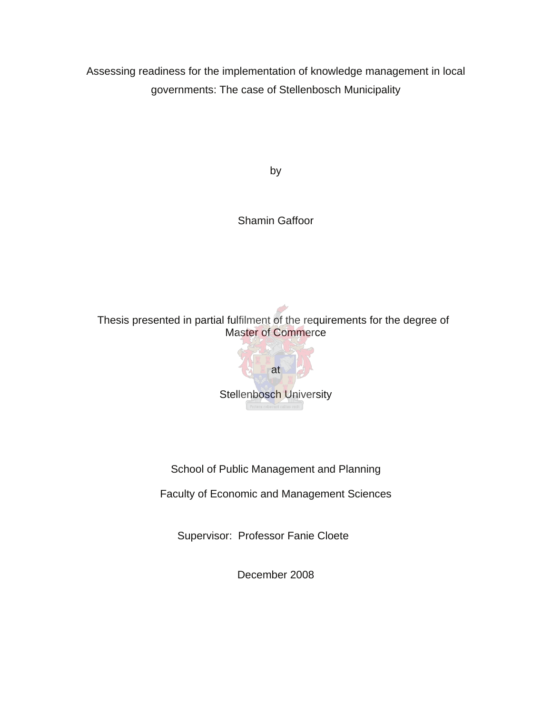Assessing readiness for the implementation of knowledge management in local governments: The case of Stellenbosch Municipality

by

Shamin Gaffoor

Thesis presented in partial fulfilment of the requirements for the degree of Master of Commerce



School of Public Management and Planning

Faculty of Economic and Management Sciences

Supervisor: Professor Fanie Cloete

December 2008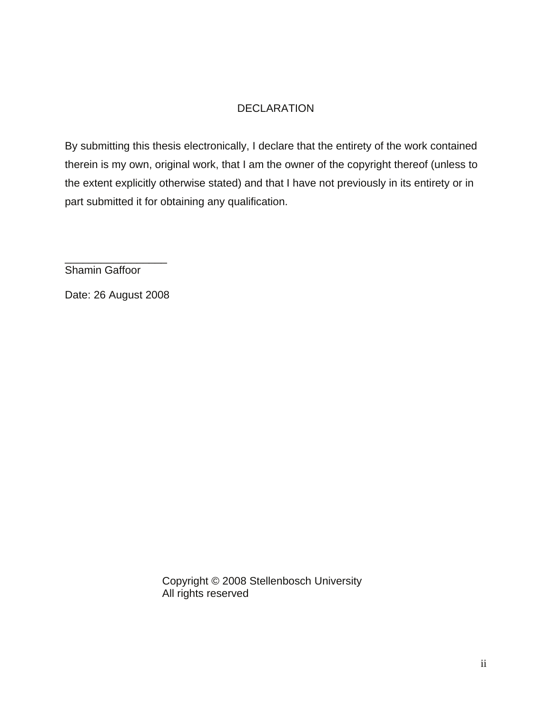# DECLARATION

By submitting this thesis electronically, I declare that the entirety of the work contained therein is my own, original work, that I am the owner of the copyright thereof (unless to the extent explicitly otherwise stated) and that I have not previously in its entirety or in part submitted it for obtaining any qualification.

\_\_\_\_\_\_\_\_\_\_\_\_\_\_\_\_\_ Shamin Gaffoor

Date: 26 August 2008

Copyright © 2008 Stellenbosch University All rights reserved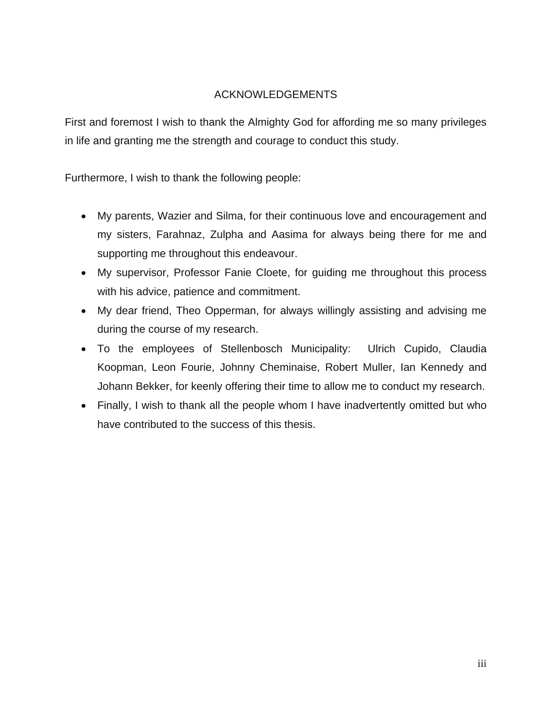# ACKNOWLEDGEMENTS

First and foremost I wish to thank the Almighty God for affording me so many privileges in life and granting me the strength and courage to conduct this study.

Furthermore, I wish to thank the following people:

- My parents, Wazier and Silma, for their continuous love and encouragement and my sisters, Farahnaz, Zulpha and Aasima for always being there for me and supporting me throughout this endeavour.
- My supervisor, Professor Fanie Cloete, for guiding me throughout this process with his advice, patience and commitment.
- My dear friend, Theo Opperman, for always willingly assisting and advising me during the course of my research.
- To the employees of Stellenbosch Municipality: Ulrich Cupido, Claudia Koopman, Leon Fourie, Johnny Cheminaise, Robert Muller, Ian Kennedy and Johann Bekker, for keenly offering their time to allow me to conduct my research.
- Finally, I wish to thank all the people whom I have inadvertently omitted but who have contributed to the success of this thesis.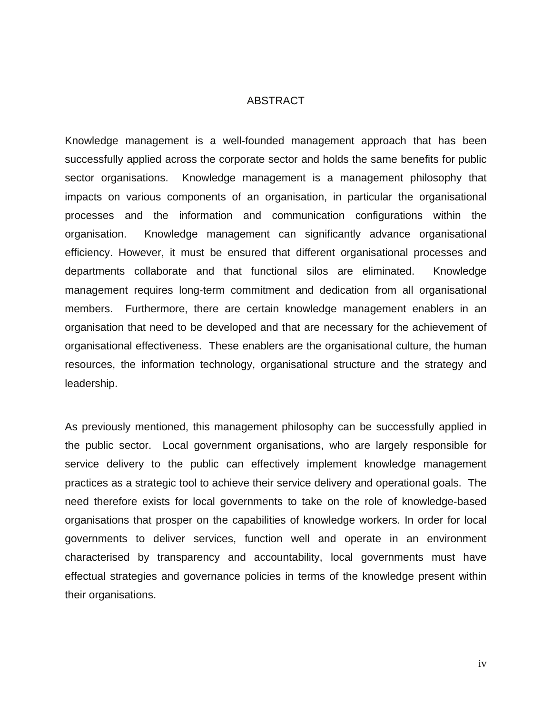#### ABSTRACT

Knowledge management is a well-founded management approach that has been successfully applied across the corporate sector and holds the same benefits for public sector organisations. Knowledge management is a management philosophy that impacts on various components of an organisation, in particular the organisational processes and the information and communication configurations within the organisation. Knowledge management can significantly advance organisational efficiency. However, it must be ensured that different organisational processes and departments collaborate and that functional silos are eliminated. Knowledge management requires long-term commitment and dedication from all organisational members. Furthermore, there are certain knowledge management enablers in an organisation that need to be developed and that are necessary for the achievement of organisational effectiveness. These enablers are the organisational culture, the human resources, the information technology, organisational structure and the strategy and leadership.

As previously mentioned, this management philosophy can be successfully applied in the public sector. Local government organisations, who are largely responsible for service delivery to the public can effectively implement knowledge management practices as a strategic tool to achieve their service delivery and operational goals. The need therefore exists for local governments to take on the role of knowledge-based organisations that prosper on the capabilities of knowledge workers. In order for local governments to deliver services, function well and operate in an environment characterised by transparency and accountability, local governments must have effectual strategies and governance policies in terms of the knowledge present within their organisations.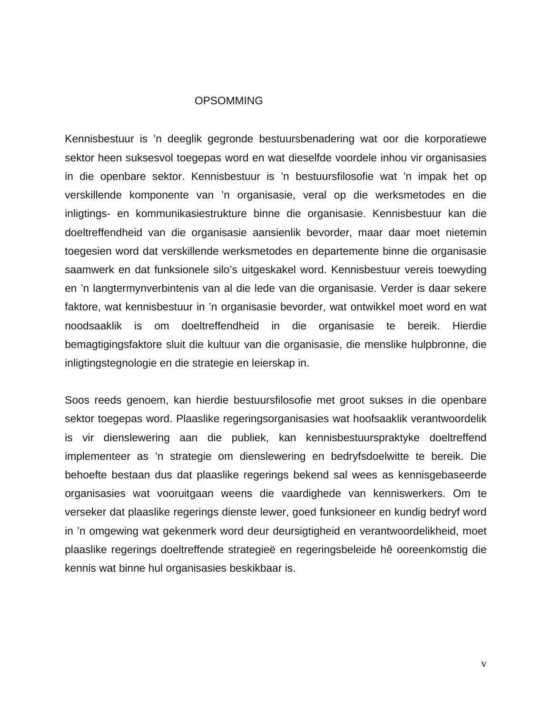#### **OPSOMMING**

Kennisbestuur is 'n deeglik gegronde bestuursbenadering wat oor die korporatiewe sektor heen suksesvol toegepas word en wat dieselfde voordele inhou vir organisasies in die openbare sektor. Kennisbestuur is 'n bestuursfilosofie wat 'n impak het op verskillende komponente van 'n organisasie, veral op die werksmetodes en die inligtings- en kommunikasiestrukture binne die organisasie. Kennisbestuur kan die doeltreffendheid van die organisasie aansienlik bevorder, maar daar moet nietemin toegesien word dat verskillende werksmetodes en departemente binne die organisasie saamwerk en dat funksionele silo's uitgeskakel word. Kennisbestuur vereis toewyding en 'n langtermynverbintenis van al die lede van die organisasie. Verder is daar sekere faktore, wat kennisbestuur in 'n organisasie bevorder, wat ontwikkel moet word en wat noodsaaklik is om doeltreffendheid in die organisasie te bereik. Hierdie bemagtigingsfaktore sluit die kultuur van die organisasie, die menslike hulpbronne, die inligtingstegnologie en die strategie en leierskap in.

Soos reeds genoem, kan hierdie bestuursfilosofie met groot sukses in die openbare sektor toegepas word. Plaaslike regeringsorganisasies wat hoofsaaklik verantwoordelik is vir dienslewering aan die publiek, kan kennisbestuurspraktyke doeltreffend implementeer as 'n strategie om dienslewering en bedryfsdoelwitte te bereik. Die behoefte bestaan dus dat plaaslike regerings bekend sal wees as kennisgebaseerde organisasies wat vooruitgaan weens die vaardighede van kenniswerkers. Om te verseker dat plaaslike regerings dienste lewer, goed funksioneer en kundig bedryf word in 'n omgewing wat gekenmerk word deur deursigtigheid en verantwoordelikheid, moet plaaslike regerings doeltreffende strategieë en regeringsbeleide hê ooreenkomstig die kennis wat binne hul organisasies beskikbaar is.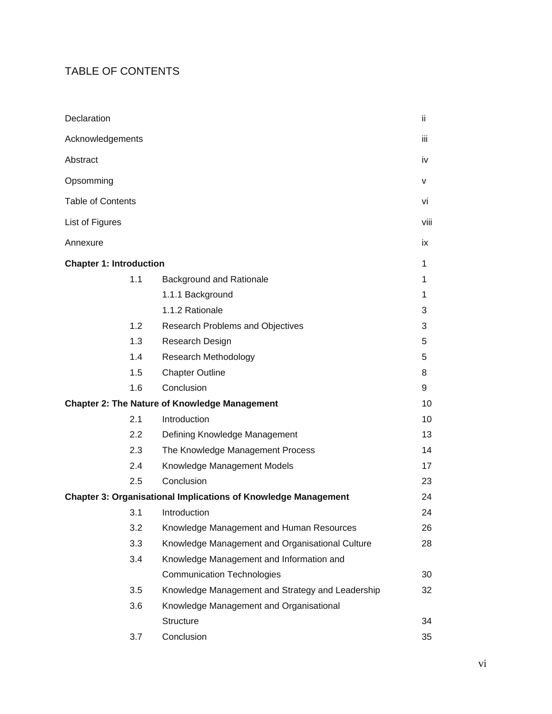# TABLE OF CONTENTS

| Declaration                                          |                                                                       | ii           |  |
|------------------------------------------------------|-----------------------------------------------------------------------|--------------|--|
| Acknowledgements                                     |                                                                       |              |  |
| Abstract                                             |                                                                       | iv           |  |
| Opsomming                                            |                                                                       | $\mathsf{v}$ |  |
| <b>Table of Contents</b>                             |                                                                       |              |  |
| List of Figures                                      |                                                                       | viii         |  |
| Annexure                                             |                                                                       | ix           |  |
| <b>Chapter 1: Introduction</b>                       |                                                                       | 1            |  |
| 1.1                                                  | Background and Rationale                                              | 1            |  |
|                                                      | 1.1.1 Background                                                      | 1            |  |
|                                                      | 1.1.2 Rationale                                                       | 3            |  |
| 1.2                                                  | Research Problems and Objectives                                      | 3            |  |
| 1.3                                                  | Research Design                                                       | 5            |  |
| 1.4                                                  | Research Methodology                                                  | 5            |  |
| 1.5                                                  | <b>Chapter Outline</b>                                                | 8            |  |
| 1.6                                                  | Conclusion                                                            | 9            |  |
| <b>Chapter 2: The Nature of Knowledge Management</b> |                                                                       |              |  |
| 2.1                                                  | Introduction                                                          | 10           |  |
| $2.2\phantom{0}$                                     | Defining Knowledge Management                                         | 13           |  |
| 2.3                                                  | The Knowledge Management Process                                      | 14           |  |
| 2.4                                                  | Knowledge Management Models                                           | 17           |  |
| 2.5                                                  | Conclusion                                                            | 23           |  |
|                                                      | <b>Chapter 3: Organisational Implications of Knowledge Management</b> | 24           |  |
| 3.1                                                  | Introduction                                                          | 24           |  |
| 3.2                                                  | Knowledge Management and Human Resources                              | 26           |  |
| 3.3                                                  | Knowledge Management and Organisational Culture                       | 28           |  |
| 3.4                                                  | Knowledge Management and Information and                              |              |  |
|                                                      | <b>Communication Technologies</b>                                     | 30           |  |
| 3.5                                                  | Knowledge Management and Strategy and Leadership                      | 32           |  |
| 3.6                                                  | Knowledge Management and Organisational                               |              |  |
|                                                      | Structure                                                             | 34           |  |
| 3.7                                                  | Conclusion                                                            | 35           |  |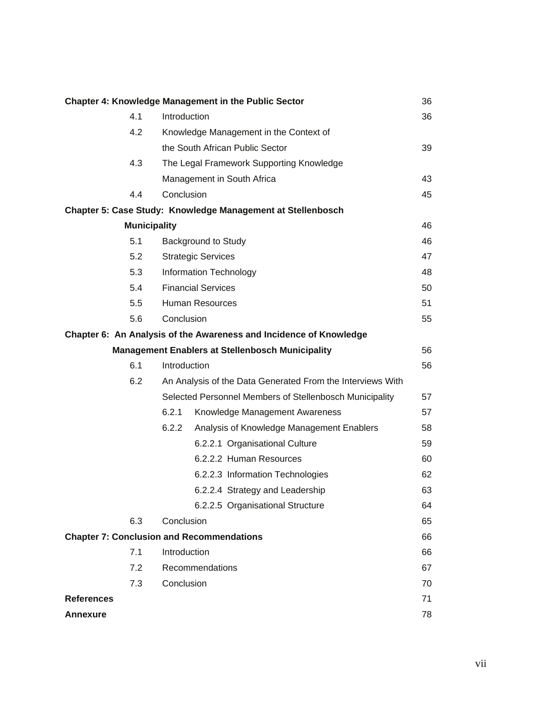|                   |                     |                                                            | <b>Chapter 4: Knowledge Management in the Public Sector</b>        | 36 |
|-------------------|---------------------|------------------------------------------------------------|--------------------------------------------------------------------|----|
|                   | 4.1                 | Introduction                                               |                                                                    | 36 |
|                   | 4.2                 |                                                            | Knowledge Management in the Context of                             |    |
|                   |                     |                                                            | the South African Public Sector                                    | 39 |
|                   | 4.3                 |                                                            | The Legal Framework Supporting Knowledge                           |    |
|                   |                     |                                                            | Management in South Africa                                         | 43 |
|                   | 4.4                 | Conclusion                                                 |                                                                    | 45 |
|                   |                     |                                                            | Chapter 5: Case Study: Knowledge Management at Stellenbosch        |    |
|                   | <b>Municipality</b> |                                                            |                                                                    | 46 |
|                   | 5.1                 |                                                            | <b>Background to Study</b>                                         | 46 |
|                   | 5.2                 |                                                            | <b>Strategic Services</b>                                          | 47 |
|                   | 5.3                 |                                                            | Information Technology                                             | 48 |
|                   | 5.4                 |                                                            | <b>Financial Services</b>                                          | 50 |
|                   | 5.5                 |                                                            | Human Resources                                                    | 51 |
|                   | 5.6                 | Conclusion                                                 |                                                                    | 55 |
|                   |                     |                                                            | Chapter 6: An Analysis of the Awareness and Incidence of Knowledge |    |
|                   |                     |                                                            | <b>Management Enablers at Stellenbosch Municipality</b>            | 56 |
|                   | 6.1                 | Introduction                                               |                                                                    | 56 |
|                   | 6.2                 | An Analysis of the Data Generated From the Interviews With |                                                                    |    |
|                   |                     |                                                            | Selected Personnel Members of Stellenbosch Municipality            | 57 |
|                   |                     | 6.2.1                                                      | Knowledge Management Awareness                                     | 57 |
|                   |                     | 6.2.2                                                      | Analysis of Knowledge Management Enablers                          | 58 |
|                   |                     |                                                            | 6.2.2.1 Organisational Culture                                     | 59 |
|                   |                     |                                                            | 6.2.2.2 Human Resources                                            | 60 |
|                   |                     |                                                            | 6.2.2.3 Information Technologies                                   | 62 |
|                   |                     |                                                            | 6.2.2.4 Strategy and Leadership                                    | 63 |
|                   |                     |                                                            | 6.2.2.5 Organisational Structure                                   | 64 |
|                   | 6.3                 | Conclusion                                                 |                                                                    | 65 |
|                   |                     |                                                            | <b>Chapter 7: Conclusion and Recommendations</b>                   | 66 |
|                   | 7.1                 | Introduction                                               |                                                                    | 66 |
|                   | 7.2                 |                                                            | Recommendations                                                    | 67 |
|                   | 7.3                 | Conclusion                                                 |                                                                    | 70 |
| <b>References</b> |                     |                                                            |                                                                    | 71 |
| <b>Annexure</b>   |                     |                                                            |                                                                    | 78 |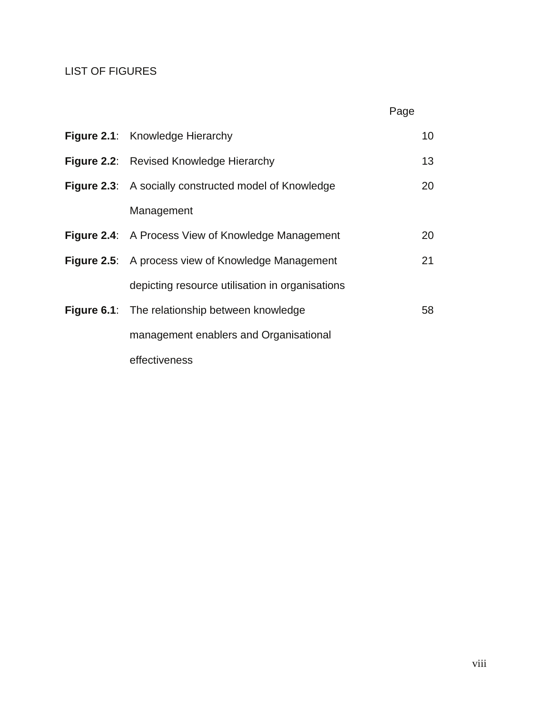# LIST OF FIGURES

| Figure 2.1: Knowledge Hierarchy                              | 10 <sup>°</sup> |
|--------------------------------------------------------------|-----------------|
| Figure 2.2: Revised Knowledge Hierarchy                      | 13              |
| <b>Figure 2.3:</b> A socially constructed model of Knowledge | 20              |
| Management                                                   |                 |
| <b>Figure 2.4:</b> A Process View of Knowledge Management    | 20              |
| Figure 2.5: A process view of Knowledge Management           | 21              |
| depicting resource utilisation in organisations              |                 |
| <b>Figure 6.1:</b> The relationship between knowledge        | 58              |
| management enablers and Organisational                       |                 |
| effectiveness                                                |                 |

in the contract of the contract of the contract of the contract of the contract of the contract of the contract of the contract of the contract of the contract of the contract of the contract of the contract of the contrac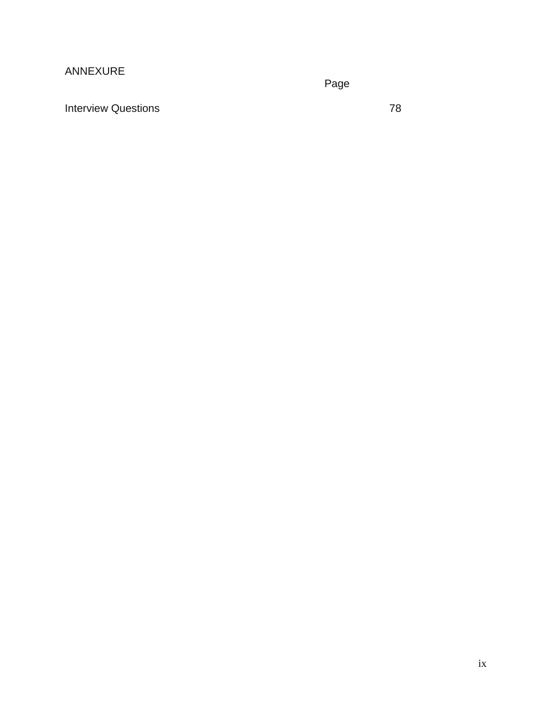# ANNEXURE

ing the contract of the contract of the contract of the Page

Interview Questions 78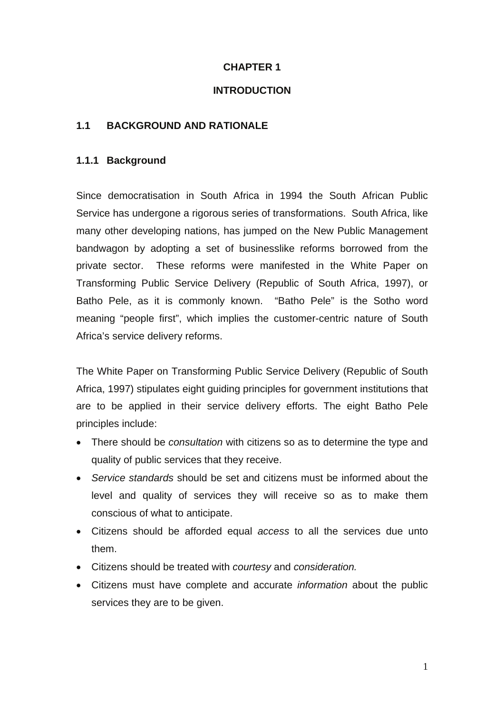### **CHAPTER 1**

#### **INTRODUCTION**

#### **1.1 BACKGROUND AND RATIONALE**

### **1.1.1 Background**

Since democratisation in South Africa in 1994 the South African Public Service has undergone a rigorous series of transformations. South Africa, like many other developing nations, has jumped on the New Public Management bandwagon by adopting a set of businesslike reforms borrowed from the private sector. These reforms were manifested in the White Paper on Transforming Public Service Delivery (Republic of South Africa, 1997), or Batho Pele, as it is commonly known. "Batho Pele" is the Sotho word meaning "people first", which implies the customer-centric nature of South Africa's service delivery reforms.

The White Paper on Transforming Public Service Delivery (Republic of South Africa, 1997) stipulates eight guiding principles for government institutions that are to be applied in their service delivery efforts. The eight Batho Pele principles include:

- There should be *consultation* with citizens so as to determine the type and quality of public services that they receive.
- *Service standards* should be set and citizens must be informed about the level and quality of services they will receive so as to make them conscious of what to anticipate.
- Citizens should be afforded equal *access* to all the services due unto them.
- Citizens should be treated with *courtesy* and *consideration.*
- Citizens must have complete and accurate *information* about the public services they are to be given.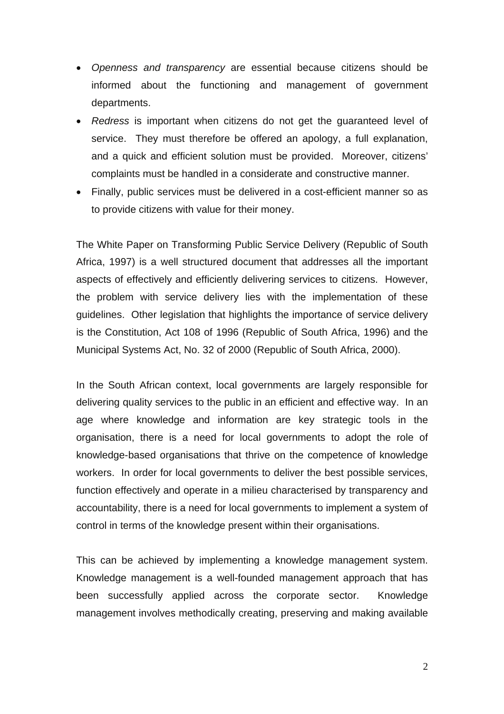- *Openness and transparency* are essential because citizens should be informed about the functioning and management of government departments.
- *Redress* is important when citizens do not get the guaranteed level of service. They must therefore be offered an apology, a full explanation, and a quick and efficient solution must be provided. Moreover, citizens' complaints must be handled in a considerate and constructive manner.
- Finally, public services must be delivered in a cost-efficient manner so as to provide citizens with value for their money.

The White Paper on Transforming Public Service Delivery (Republic of South Africa, 1997) is a well structured document that addresses all the important aspects of effectively and efficiently delivering services to citizens. However, the problem with service delivery lies with the implementation of these guidelines. Other legislation that highlights the importance of service delivery is the Constitution, Act 108 of 1996 (Republic of South Africa, 1996) and the Municipal Systems Act, No. 32 of 2000 (Republic of South Africa, 2000).

In the South African context, local governments are largely responsible for delivering quality services to the public in an efficient and effective way. In an age where knowledge and information are key strategic tools in the organisation, there is a need for local governments to adopt the role of knowledge-based organisations that thrive on the competence of knowledge workers. In order for local governments to deliver the best possible services, function effectively and operate in a milieu characterised by transparency and accountability, there is a need for local governments to implement a system of control in terms of the knowledge present within their organisations.

This can be achieved by implementing a knowledge management system. Knowledge management is a well-founded management approach that has been successfully applied across the corporate sector. Knowledge management involves methodically creating, preserving and making available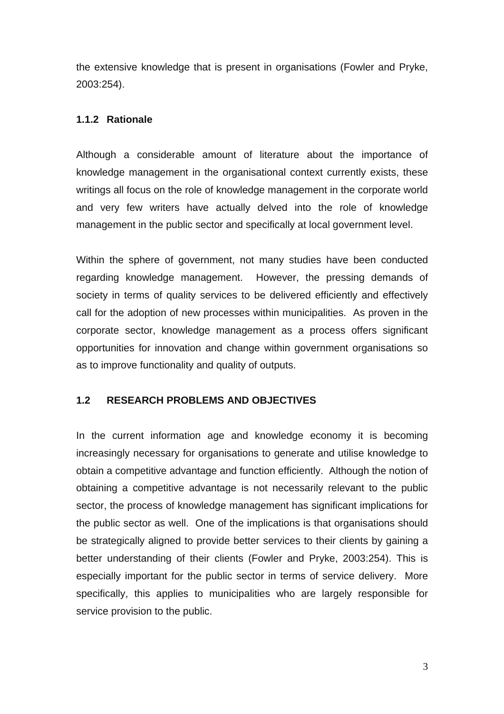the extensive knowledge that is present in organisations (Fowler and Pryke, 2003:254).

### **1.1.2 Rationale**

Although a considerable amount of literature about the importance of knowledge management in the organisational context currently exists, these writings all focus on the role of knowledge management in the corporate world and very few writers have actually delved into the role of knowledge management in the public sector and specifically at local government level.

Within the sphere of government, not many studies have been conducted regarding knowledge management. However, the pressing demands of society in terms of quality services to be delivered efficiently and effectively call for the adoption of new processes within municipalities. As proven in the corporate sector, knowledge management as a process offers significant opportunities for innovation and change within government organisations so as to improve functionality and quality of outputs.

# **1.2 RESEARCH PROBLEMS AND OBJECTIVES**

In the current information age and knowledge economy it is becoming increasingly necessary for organisations to generate and utilise knowledge to obtain a competitive advantage and function efficiently. Although the notion of obtaining a competitive advantage is not necessarily relevant to the public sector, the process of knowledge management has significant implications for the public sector as well. One of the implications is that organisations should be strategically aligned to provide better services to their clients by gaining a better understanding of their clients (Fowler and Pryke, 2003:254). This is especially important for the public sector in terms of service delivery. More specifically, this applies to municipalities who are largely responsible for service provision to the public.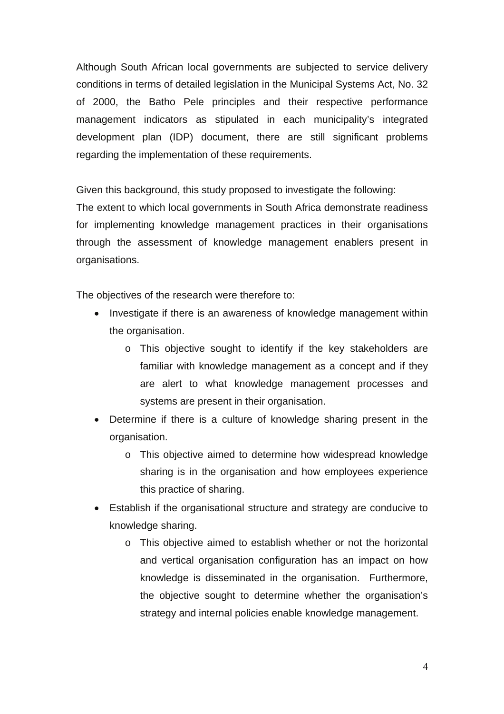Although South African local governments are subjected to service delivery conditions in terms of detailed legislation in the Municipal Systems Act, No. 32 of 2000, the Batho Pele principles and their respective performance management indicators as stipulated in each municipality's integrated development plan (IDP) document, there are still significant problems regarding the implementation of these requirements.

Given this background, this study proposed to investigate the following:

The extent to which local governments in South Africa demonstrate readiness for implementing knowledge management practices in their organisations through the assessment of knowledge management enablers present in organisations.

The objectives of the research were therefore to:

- Investigate if there is an awareness of knowledge management within the organisation.
	- o This objective sought to identify if the key stakeholders are familiar with knowledge management as a concept and if they are alert to what knowledge management processes and systems are present in their organisation.
- Determine if there is a culture of knowledge sharing present in the organisation.
	- o This objective aimed to determine how widespread knowledge sharing is in the organisation and how employees experience this practice of sharing.
- Establish if the organisational structure and strategy are conducive to knowledge sharing.
	- o This objective aimed to establish whether or not the horizontal and vertical organisation configuration has an impact on how knowledge is disseminated in the organisation. Furthermore, the objective sought to determine whether the organisation's strategy and internal policies enable knowledge management.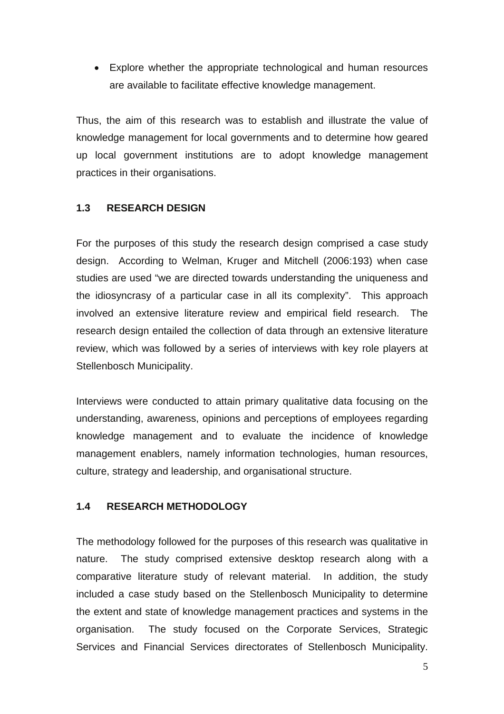• Explore whether the appropriate technological and human resources are available to facilitate effective knowledge management.

Thus, the aim of this research was to establish and illustrate the value of knowledge management for local governments and to determine how geared up local government institutions are to adopt knowledge management practices in their organisations.

# **1.3 RESEARCH DESIGN**

For the purposes of this study the research design comprised a case study design. According to Welman, Kruger and Mitchell (2006:193) when case studies are used "we are directed towards understanding the uniqueness and the idiosyncrasy of a particular case in all its complexity". This approach involved an extensive literature review and empirical field research. The research design entailed the collection of data through an extensive literature review, which was followed by a series of interviews with key role players at Stellenbosch Municipality.

Interviews were conducted to attain primary qualitative data focusing on the understanding, awareness, opinions and perceptions of employees regarding knowledge management and to evaluate the incidence of knowledge management enablers, namely information technologies, human resources, culture, strategy and leadership, and organisational structure.

# **1.4 RESEARCH METHODOLOGY**

The methodology followed for the purposes of this research was qualitative in nature. The study comprised extensive desktop research along with a comparative literature study of relevant material. In addition, the study included a case study based on the Stellenbosch Municipality to determine the extent and state of knowledge management practices and systems in the organisation. The study focused on the Corporate Services, Strategic Services and Financial Services directorates of Stellenbosch Municipality.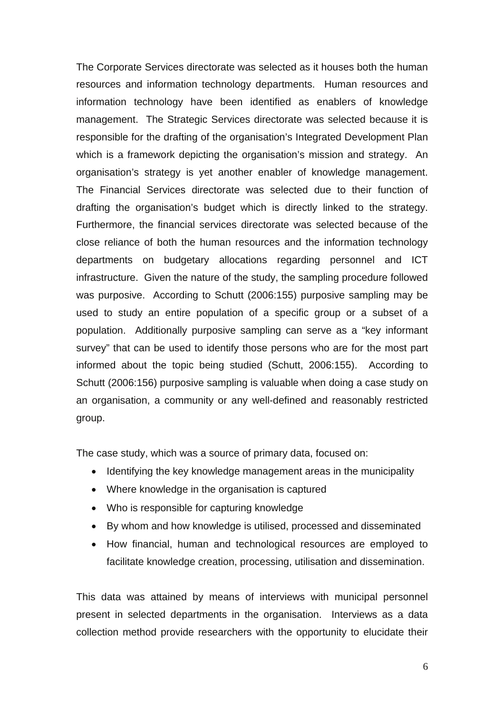The Corporate Services directorate was selected as it houses both the human resources and information technology departments. Human resources and information technology have been identified as enablers of knowledge management. The Strategic Services directorate was selected because it is responsible for the drafting of the organisation's Integrated Development Plan which is a framework depicting the organisation's mission and strategy. An organisation's strategy is yet another enabler of knowledge management. The Financial Services directorate was selected due to their function of drafting the organisation's budget which is directly linked to the strategy. Furthermore, the financial services directorate was selected because of the close reliance of both the human resources and the information technology departments on budgetary allocations regarding personnel and ICT infrastructure. Given the nature of the study, the sampling procedure followed was purposive. According to Schutt (2006:155) purposive sampling may be used to study an entire population of a specific group or a subset of a population. Additionally purposive sampling can serve as a "key informant survey" that can be used to identify those persons who are for the most part informed about the topic being studied (Schutt, 2006:155). According to Schutt (2006:156) purposive sampling is valuable when doing a case study on an organisation, a community or any well-defined and reasonably restricted group.

The case study, which was a source of primary data, focused on:

- Identifying the key knowledge management areas in the municipality
- Where knowledge in the organisation is captured
- Who is responsible for capturing knowledge
- By whom and how knowledge is utilised, processed and disseminated
- How financial, human and technological resources are employed to facilitate knowledge creation, processing, utilisation and dissemination.

This data was attained by means of interviews with municipal personnel present in selected departments in the organisation. Interviews as a data collection method provide researchers with the opportunity to elucidate their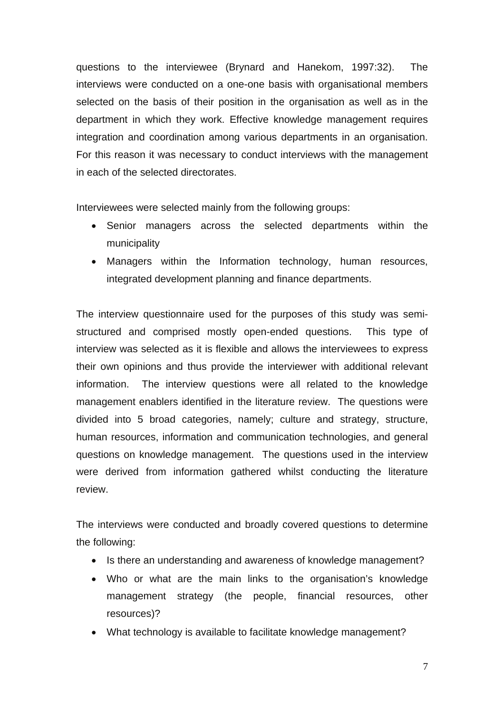questions to the interviewee (Brynard and Hanekom, 1997:32). The interviews were conducted on a one-one basis with organisational members selected on the basis of their position in the organisation as well as in the department in which they work. Effective knowledge management requires integration and coordination among various departments in an organisation. For this reason it was necessary to conduct interviews with the management in each of the selected directorates.

Interviewees were selected mainly from the following groups:

- Senior managers across the selected departments within the municipality
- Managers within the Information technology, human resources, integrated development planning and finance departments.

The interview questionnaire used for the purposes of this study was semistructured and comprised mostly open-ended questions. This type of interview was selected as it is flexible and allows the interviewees to express their own opinions and thus provide the interviewer with additional relevant information. The interview questions were all related to the knowledge management enablers identified in the literature review. The questions were divided into 5 broad categories, namely; culture and strategy, structure, human resources, information and communication technologies, and general questions on knowledge management. The questions used in the interview were derived from information gathered whilst conducting the literature review.

The interviews were conducted and broadly covered questions to determine the following:

- Is there an understanding and awareness of knowledge management?
- Who or what are the main links to the organisation's knowledge management strategy (the people, financial resources, other resources)?
- What technology is available to facilitate knowledge management?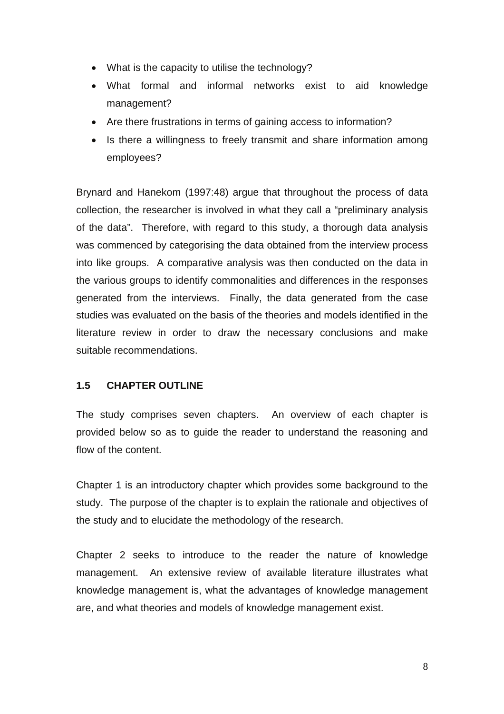- What is the capacity to utilise the technology?
- What formal and informal networks exist to aid knowledge management?
- Are there frustrations in terms of gaining access to information?
- Is there a willingness to freely transmit and share information among employees?

Brynard and Hanekom (1997:48) argue that throughout the process of data collection, the researcher is involved in what they call a "preliminary analysis of the data". Therefore, with regard to this study, a thorough data analysis was commenced by categorising the data obtained from the interview process into like groups. A comparative analysis was then conducted on the data in the various groups to identify commonalities and differences in the responses generated from the interviews. Finally, the data generated from the case studies was evaluated on the basis of the theories and models identified in the literature review in order to draw the necessary conclusions and make suitable recommendations.

# **1.5 CHAPTER OUTLINE**

The study comprises seven chapters. An overview of each chapter is provided below so as to guide the reader to understand the reasoning and flow of the content.

Chapter 1 is an introductory chapter which provides some background to the study. The purpose of the chapter is to explain the rationale and objectives of the study and to elucidate the methodology of the research.

Chapter 2 seeks to introduce to the reader the nature of knowledge management. An extensive review of available literature illustrates what knowledge management is, what the advantages of knowledge management are, and what theories and models of knowledge management exist.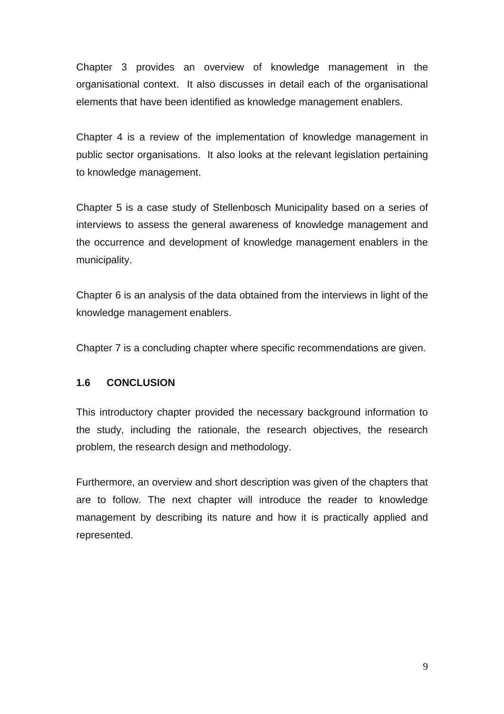Chapter 3 provides an overview of knowledge management in the organisational context. It also discusses in detail each of the organisational elements that have been identified as knowledge management enablers.

Chapter 4 is a review of the implementation of knowledge management in public sector organisations. It also looks at the relevant legislation pertaining to knowledge management.

Chapter 5 is a case study of Stellenbosch Municipality based on a series of interviews to assess the general awareness of knowledge management and the occurrence and development of knowledge management enablers in the municipality.

Chapter 6 is an analysis of the data obtained from the interviews in light of the knowledge management enablers.

Chapter 7 is a concluding chapter where specific recommendations are given.

# **1.6 CONCLUSION**

This introductory chapter provided the necessary background information to the study, including the rationale, the research objectives, the research problem, the research design and methodology.

Furthermore, an overview and short description was given of the chapters that are to follow. The next chapter will introduce the reader to knowledge management by describing its nature and how it is practically applied and represented.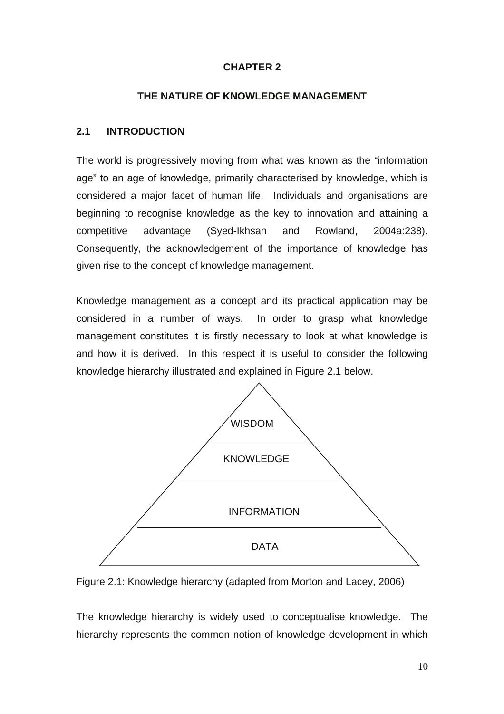# **CHAPTER 2**

#### **THE NATURE OF KNOWLEDGE MANAGEMENT**

#### **2.1 INTRODUCTION**

The world is progressively moving from what was known as the "information age" to an age of knowledge, primarily characterised by knowledge, which is considered a major facet of human life. Individuals and organisations are beginning to recognise knowledge as the key to innovation and attaining a competitive advantage (Syed-Ikhsan and Rowland, 2004a:238). Consequently, the acknowledgement of the importance of knowledge has given rise to the concept of knowledge management.

Knowledge management as a concept and its practical application may be considered in a number of ways. In order to grasp what knowledge management constitutes it is firstly necessary to look at what knowledge is and how it is derived. In this respect it is useful to consider the following knowledge hierarchy illustrated and explained in Figure 2.1 below.





The knowledge hierarchy is widely used to conceptualise knowledge. The hierarchy represents the common notion of knowledge development in which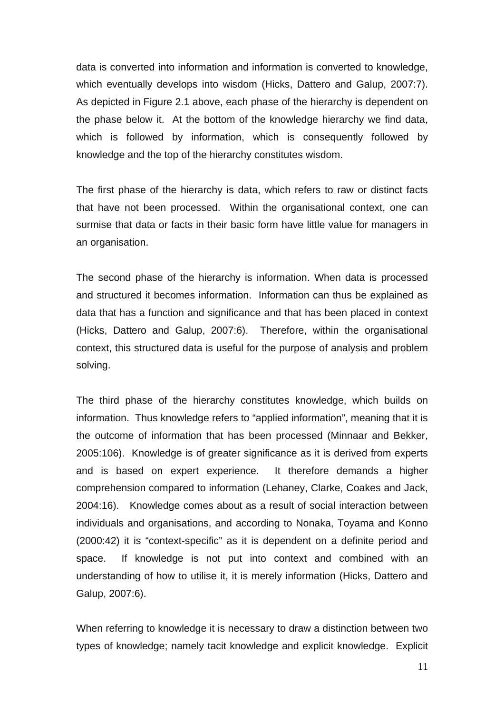data is converted into information and information is converted to knowledge, which eventually develops into wisdom (Hicks, Dattero and Galup, 2007:7). As depicted in Figure 2.1 above, each phase of the hierarchy is dependent on the phase below it. At the bottom of the knowledge hierarchy we find data, which is followed by information, which is consequently followed by knowledge and the top of the hierarchy constitutes wisdom.

The first phase of the hierarchy is data, which refers to raw or distinct facts that have not been processed. Within the organisational context, one can surmise that data or facts in their basic form have little value for managers in an organisation.

The second phase of the hierarchy is information. When data is processed and structured it becomes information. Information can thus be explained as data that has a function and significance and that has been placed in context (Hicks, Dattero and Galup, 2007:6). Therefore, within the organisational context, this structured data is useful for the purpose of analysis and problem solving.

The third phase of the hierarchy constitutes knowledge, which builds on information. Thus knowledge refers to "applied information", meaning that it is the outcome of information that has been processed (Minnaar and Bekker, 2005:106). Knowledge is of greater significance as it is derived from experts and is based on expert experience. It therefore demands a higher comprehension compared to information (Lehaney, Clarke, Coakes and Jack, 2004:16). Knowledge comes about as a result of social interaction between individuals and organisations, and according to Nonaka, Toyama and Konno (2000:42) it is "context-specific" as it is dependent on a definite period and space. If knowledge is not put into context and combined with an understanding of how to utilise it, it is merely information (Hicks, Dattero and Galup, 2007:6).

When referring to knowledge it is necessary to draw a distinction between two types of knowledge; namely tacit knowledge and explicit knowledge. Explicit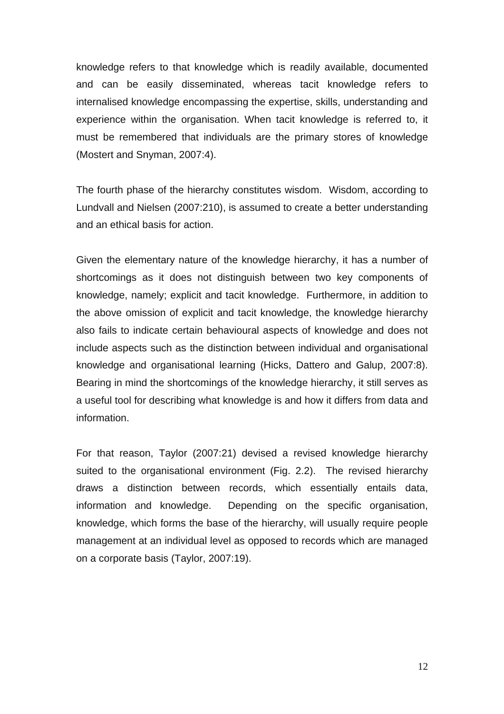knowledge refers to that knowledge which is readily available, documented and can be easily disseminated, whereas tacit knowledge refers to internalised knowledge encompassing the expertise, skills, understanding and experience within the organisation. When tacit knowledge is referred to, it must be remembered that individuals are the primary stores of knowledge (Mostert and Snyman, 2007:4).

The fourth phase of the hierarchy constitutes wisdom. Wisdom, according to Lundvall and Nielsen (2007:210), is assumed to create a better understanding and an ethical basis for action.

Given the elementary nature of the knowledge hierarchy, it has a number of shortcomings as it does not distinguish between two key components of knowledge, namely; explicit and tacit knowledge. Furthermore, in addition to the above omission of explicit and tacit knowledge, the knowledge hierarchy also fails to indicate certain behavioural aspects of knowledge and does not include aspects such as the distinction between individual and organisational knowledge and organisational learning (Hicks, Dattero and Galup, 2007:8). Bearing in mind the shortcomings of the knowledge hierarchy, it still serves as a useful tool for describing what knowledge is and how it differs from data and information.

For that reason, Taylor (2007:21) devised a revised knowledge hierarchy suited to the organisational environment (Fig. 2.2). The revised hierarchy draws a distinction between records, which essentially entails data, information and knowledge. Depending on the specific organisation, knowledge, which forms the base of the hierarchy, will usually require people management at an individual level as opposed to records which are managed on a corporate basis (Taylor, 2007:19).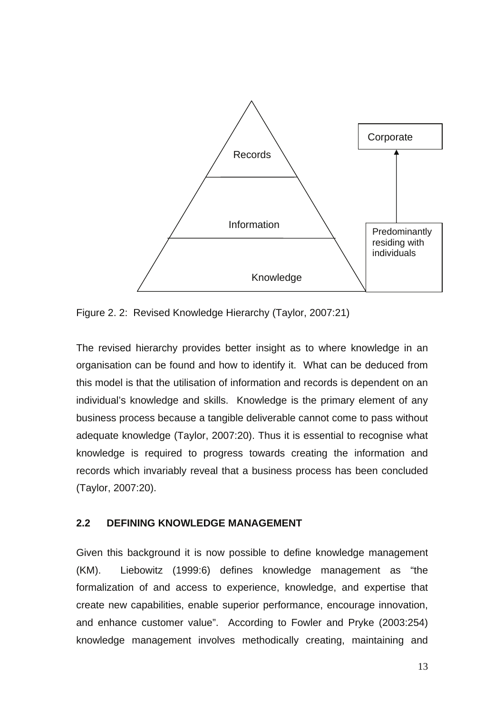

Figure 2. 2: Revised Knowledge Hierarchy (Taylor, 2007:21)

The revised hierarchy provides better insight as to where knowledge in an organisation can be found and how to identify it. What can be deduced from this model is that the utilisation of information and records is dependent on an individual's knowledge and skills. Knowledge is the primary element of any business process because a tangible deliverable cannot come to pass without adequate knowledge (Taylor, 2007:20). Thus it is essential to recognise what knowledge is required to progress towards creating the information and records which invariably reveal that a business process has been concluded (Taylor, 2007:20).

### **2.2 DEFINING KNOWLEDGE MANAGEMENT**

Given this background it is now possible to define knowledge management (KM). Liebowitz (1999:6) defines knowledge management as "the formalization of and access to experience, knowledge, and expertise that create new capabilities, enable superior performance, encourage innovation, and enhance customer value".According to Fowler and Pryke (2003:254) knowledge management involves methodically creating, maintaining and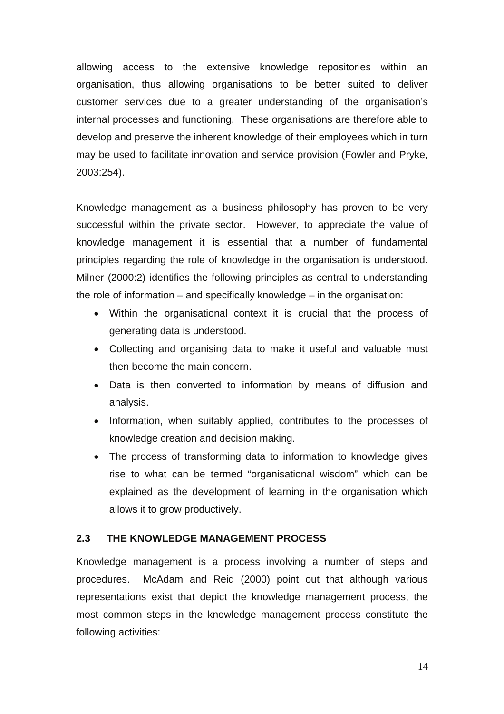allowing access to the extensive knowledge repositories within an organisation, thus allowing organisations to be better suited to deliver customer services due to a greater understanding of the organisation's internal processes and functioning. These organisations are therefore able to develop and preserve the inherent knowledge of their employees which in turn may be used to facilitate innovation and service provision (Fowler and Pryke, 2003:254).

Knowledge management as a business philosophy has proven to be very successful within the private sector. However, to appreciate the value of knowledge management it is essential that a number of fundamental principles regarding the role of knowledge in the organisation is understood. Milner (2000:2) identifies the following principles as central to understanding the role of information – and specifically knowledge – in the organisation:

- Within the organisational context it is crucial that the process of generating data is understood.
- Collecting and organising data to make it useful and valuable must then become the main concern.
- Data is then converted to information by means of diffusion and analysis.
- Information, when suitably applied, contributes to the processes of knowledge creation and decision making.
- The process of transforming data to information to knowledge gives rise to what can be termed "organisational wisdom" which can be explained as the development of learning in the organisation which allows it to grow productively.

#### **2.3 THE KNOWLEDGE MANAGEMENT PROCESS**

Knowledge management is a process involving a number of steps and procedures. McAdam and Reid (2000) point out that although various representations exist that depict the knowledge management process, the most common steps in the knowledge management process constitute the following activities: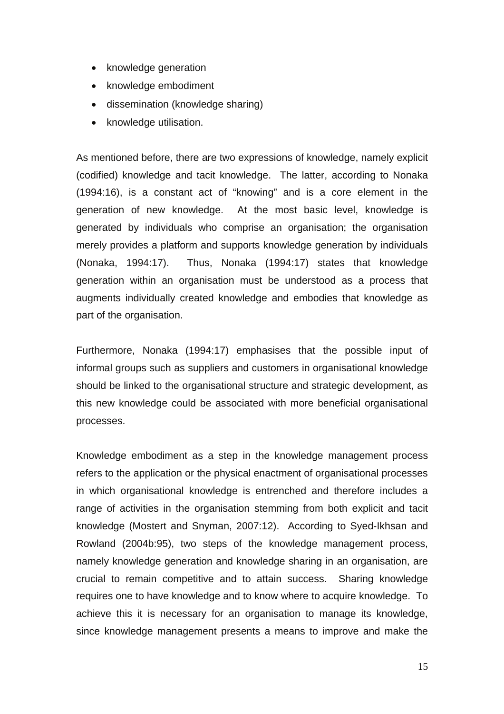- knowledge generation
- knowledge embodiment
- dissemination (knowledge sharing)
- knowledge utilisation.

As mentioned before, there are two expressions of knowledge, namely explicit (codified) knowledge and tacit knowledge. The latter, according to Nonaka (1994:16), is a constant act of "knowing" and is a core element in the generation of new knowledge. At the most basic level, knowledge is generated by individuals who comprise an organisation; the organisation merely provides a platform and supports knowledge generation by individuals (Nonaka, 1994:17). Thus, Nonaka (1994:17) states that knowledge generation within an organisation must be understood as a process that augments individually created knowledge and embodies that knowledge as part of the organisation.

Furthermore, Nonaka (1994:17) emphasises that the possible input of informal groups such as suppliers and customers in organisational knowledge should be linked to the organisational structure and strategic development, as this new knowledge could be associated with more beneficial organisational processes.

Knowledge embodiment as a step in the knowledge management process refers to the application or the physical enactment of organisational processes in which organisational knowledge is entrenched and therefore includes a range of activities in the organisation stemming from both explicit and tacit knowledge (Mostert and Snyman, 2007:12). According to Syed-Ikhsan and Rowland (2004b:95), two steps of the knowledge management process, namely knowledge generation and knowledge sharing in an organisation, are crucial to remain competitive and to attain success. Sharing knowledge requires one to have knowledge and to know where to acquire knowledge. To achieve this it is necessary for an organisation to manage its knowledge, since knowledge management presents a means to improve and make the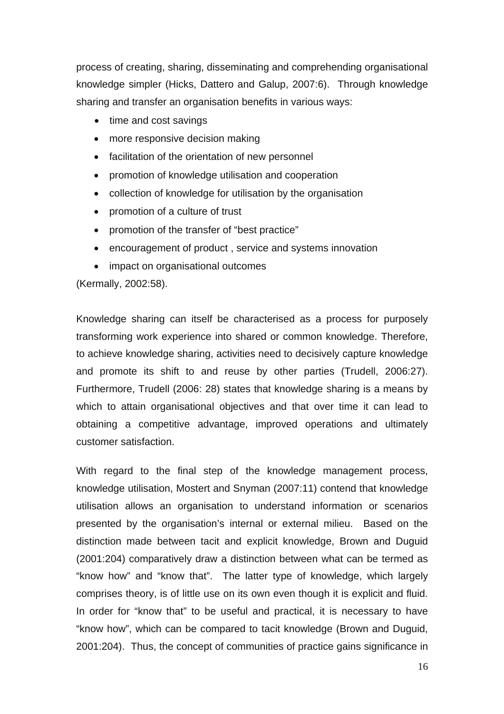process of creating, sharing, disseminating and comprehending organisational knowledge simpler (Hicks, Dattero and Galup, 2007:6). Through knowledge sharing and transfer an organisation benefits in various ways:

- time and cost savings
- more responsive decision making
- facilitation of the orientation of new personnel
- promotion of knowledge utilisation and cooperation
- collection of knowledge for utilisation by the organisation
- promotion of a culture of trust
- promotion of the transfer of "best practice"
- encouragement of product , service and systems innovation
- impact on organisational outcomes

(Kermally, 2002:58).

Knowledge sharing can itself be characterised as a process for purposely transforming work experience into shared or common knowledge. Therefore, to achieve knowledge sharing, activities need to decisively capture knowledge and promote its shift to and reuse by other parties (Trudell, 2006:27). Furthermore, Trudell (2006: 28) states that knowledge sharing is a means by which to attain organisational objectives and that over time it can lead to obtaining a competitive advantage, improved operations and ultimately customer satisfaction.

With regard to the final step of the knowledge management process, knowledge utilisation, Mostert and Snyman (2007:11) contend that knowledge utilisation allows an organisation to understand information or scenarios presented by the organisation's internal or external milieu. Based on the distinction made between tacit and explicit knowledge, Brown and Duguid (2001:204) comparatively draw a distinction between what can be termed as "know how" and "know that". The latter type of knowledge, which largely comprises theory, is of little use on its own even though it is explicit and fluid. In order for "know that" to be useful and practical, it is necessary to have "know how", which can be compared to tacit knowledge (Brown and Duguid, 2001:204). Thus, the concept of communities of practice gains significance in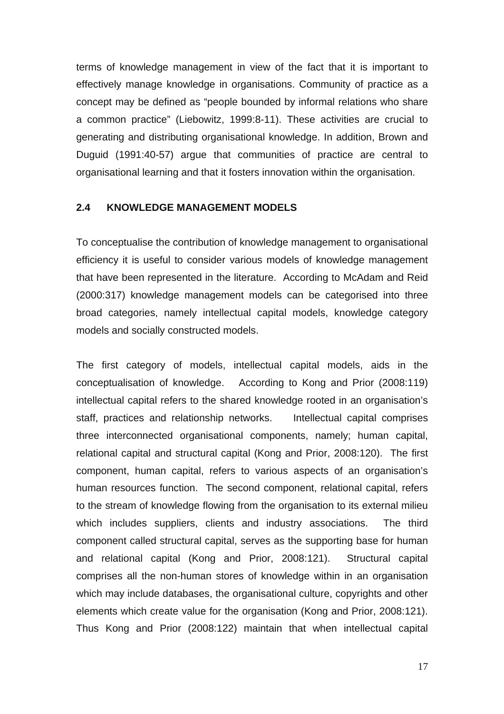terms of knowledge management in view of the fact that it is important to effectively manage knowledge in organisations. Community of practice as a concept may be defined as "people bounded by informal relations who share a common practice" (Liebowitz, 1999:8-11). These activities are crucial to generating and distributing organisational knowledge. In addition, Brown and Duguid (1991:40-57) argue that communities of practice are central to organisational learning and that it fosters innovation within the organisation.

#### **2.4 KNOWLEDGE MANAGEMENT MODELS**

To conceptualise the contribution of knowledge management to organisational efficiency it is useful to consider various models of knowledge management that have been represented in the literature. According to McAdam and Reid (2000:317) knowledge management models can be categorised into three broad categories, namely intellectual capital models, knowledge category models and socially constructed models.

The first category of models, intellectual capital models, aids in the conceptualisation of knowledge. According to Kong and Prior (2008:119) intellectual capital refers to the shared knowledge rooted in an organisation's staff, practices and relationship networks. Intellectual capital comprises three interconnected organisational components, namely; human capital, relational capital and structural capital (Kong and Prior, 2008:120). The first component, human capital, refers to various aspects of an organisation's human resources function. The second component, relational capital, refers to the stream of knowledge flowing from the organisation to its external milieu which includes suppliers, clients and industry associations. The third component called structural capital, serves as the supporting base for human and relational capital (Kong and Prior, 2008:121). Structural capital comprises all the non-human stores of knowledge within in an organisation which may include databases, the organisational culture, copyrights and other elements which create value for the organisation (Kong and Prior, 2008:121). Thus Kong and Prior (2008:122) maintain that when intellectual capital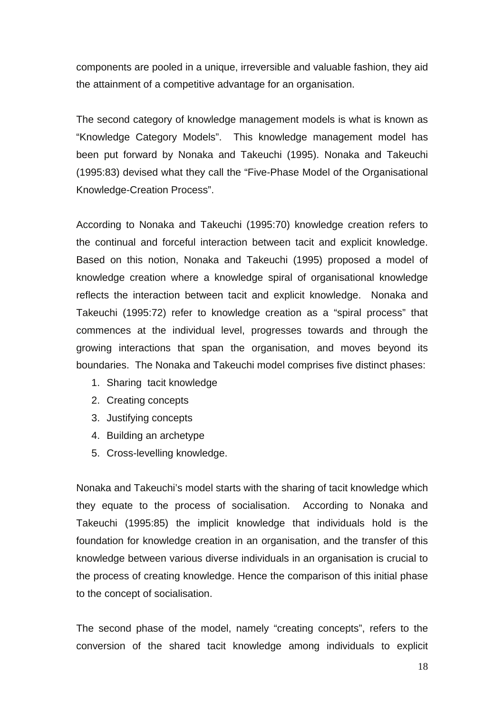components are pooled in a unique, irreversible and valuable fashion, they aid the attainment of a competitive advantage for an organisation.

The second category of knowledge management models is what is known as "Knowledge Category Models". This knowledge management model has been put forward by Nonaka and Takeuchi (1995). Nonaka and Takeuchi (1995:83) devised what they call the "Five-Phase Model of the Organisational Knowledge-Creation Process".

According to Nonaka and Takeuchi (1995:70) knowledge creation refers to the continual and forceful interaction between tacit and explicit knowledge. Based on this notion, Nonaka and Takeuchi (1995) proposed a model of knowledge creation where a knowledge spiral of organisational knowledge reflects the interaction between tacit and explicit knowledge. Nonaka and Takeuchi (1995:72) refer to knowledge creation as a "spiral process" that commences at the individual level, progresses towards and through the growing interactions that span the organisation, and moves beyond its boundaries. The Nonaka and Takeuchi model comprises five distinct phases:

- 1. Sharing tacit knowledge
- 2. Creating concepts
- 3. Justifying concepts
- 4. Building an archetype
- 5. Cross-levelling knowledge.

Nonaka and Takeuchi's model starts with the sharing of tacit knowledge which they equate to the process of socialisation. According to Nonaka and Takeuchi (1995:85) the implicit knowledge that individuals hold is the foundation for knowledge creation in an organisation, and the transfer of this knowledge between various diverse individuals in an organisation is crucial to the process of creating knowledge. Hence the comparison of this initial phase to the concept of socialisation.

The second phase of the model, namely "creating concepts", refers to the conversion of the shared tacit knowledge among individuals to explicit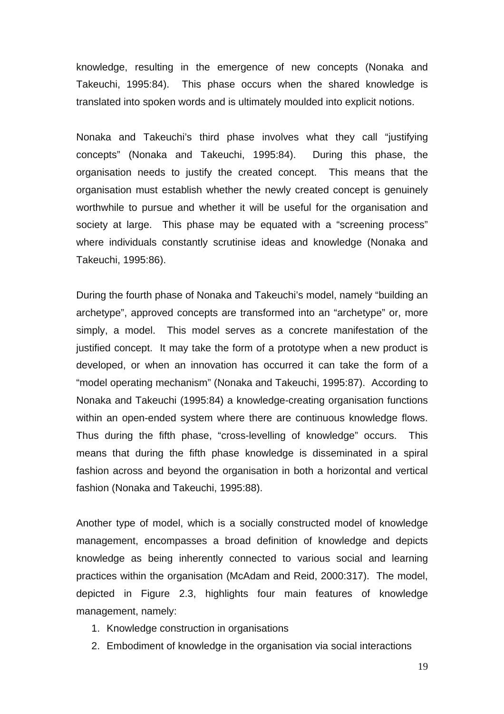knowledge, resulting in the emergence of new concepts (Nonaka and Takeuchi, 1995:84). This phase occurs when the shared knowledge is translated into spoken words and is ultimately moulded into explicit notions.

Nonaka and Takeuchi's third phase involves what they call "justifying concepts" (Nonaka and Takeuchi, 1995:84). During this phase, the organisation needs to justify the created concept. This means that the organisation must establish whether the newly created concept is genuinely worthwhile to pursue and whether it will be useful for the organisation and society at large. This phase may be equated with a "screening process" where individuals constantly scrutinise ideas and knowledge (Nonaka and Takeuchi, 1995:86).

During the fourth phase of Nonaka and Takeuchi's model, namely "building an archetype", approved concepts are transformed into an "archetype" or, more simply, a model. This model serves as a concrete manifestation of the justified concept. It may take the form of a prototype when a new product is developed, or when an innovation has occurred it can take the form of a "model operating mechanism" (Nonaka and Takeuchi, 1995:87). According to Nonaka and Takeuchi (1995:84) a knowledge-creating organisation functions within an open-ended system where there are continuous knowledge flows. Thus during the fifth phase, "cross-levelling of knowledge" occurs. This means that during the fifth phase knowledge is disseminated in a spiral fashion across and beyond the organisation in both a horizontal and vertical fashion (Nonaka and Takeuchi, 1995:88).

Another type of model, which is a socially constructed model of knowledge management, encompasses a broad definition of knowledge and depicts knowledge as being inherently connected to various social and learning practices within the organisation (McAdam and Reid, 2000:317). The model, depicted in Figure 2.3, highlights four main features of knowledge management, namely:

- 1. Knowledge construction in organisations
- 2. Embodiment of knowledge in the organisation via social interactions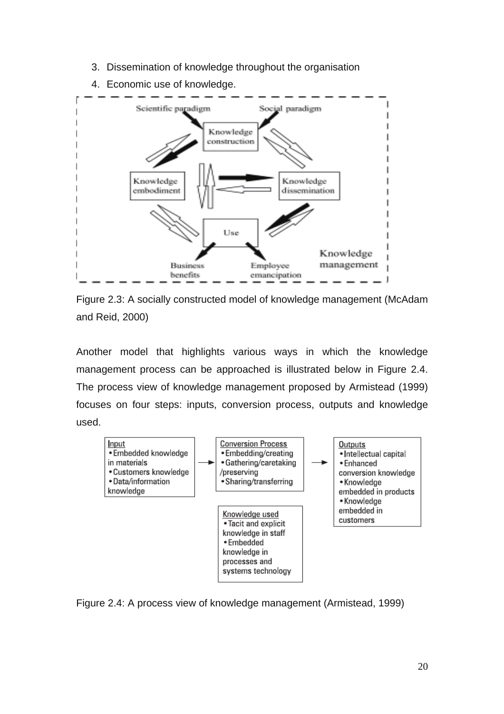3. Dissemination of knowledge throughout the organisation



4. Economic use of knowledge.

Figure 2.3: A socially constructed model of knowledge management (McAdam and Reid, 2000)

Another model that highlights various ways in which the knowledge management process can be approached is illustrated below in Figure 2.4. The process view of knowledge management proposed by Armistead (1999) focuses on four steps: inputs, conversion process, outputs and knowledge used.



Figure 2.4: A process view of knowledge management (Armistead, 1999)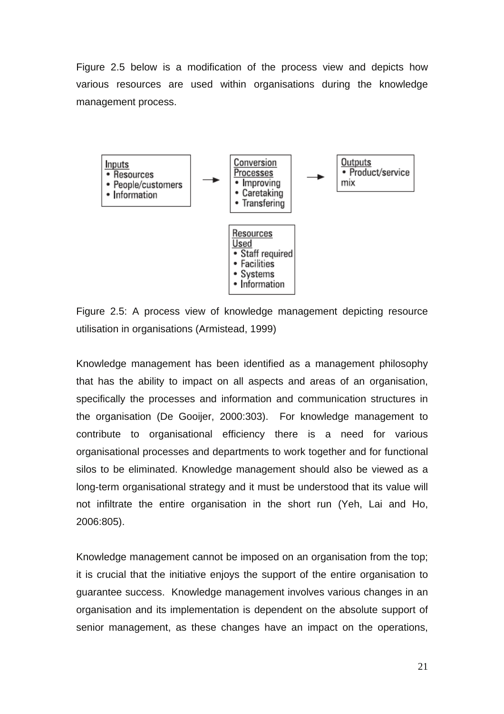Figure 2.5 below is a modification of the process view and depicts how various resources are used within organisations during the knowledge management process.



Figure 2.5: A process view of knowledge management depicting resource utilisation in organisations (Armistead, 1999)

Knowledge management has been identified as a management philosophy that has the ability to impact on all aspects and areas of an organisation, specifically the processes and information and communication structures in the organisation (De Gooijer, 2000:303). For knowledge management to contribute to organisational efficiency there is a need for various organisational processes and departments to work together and for functional silos to be eliminated. Knowledge management should also be viewed as a long-term organisational strategy and it must be understood that its value will not infiltrate the entire organisation in the short run (Yeh, Lai and Ho, 2006:805).

Knowledge management cannot be imposed on an organisation from the top; it is crucial that the initiative enjoys the support of the entire organisation to guarantee success. Knowledge management involves various changes in an organisation and its implementation is dependent on the absolute support of senior management, as these changes have an impact on the operations,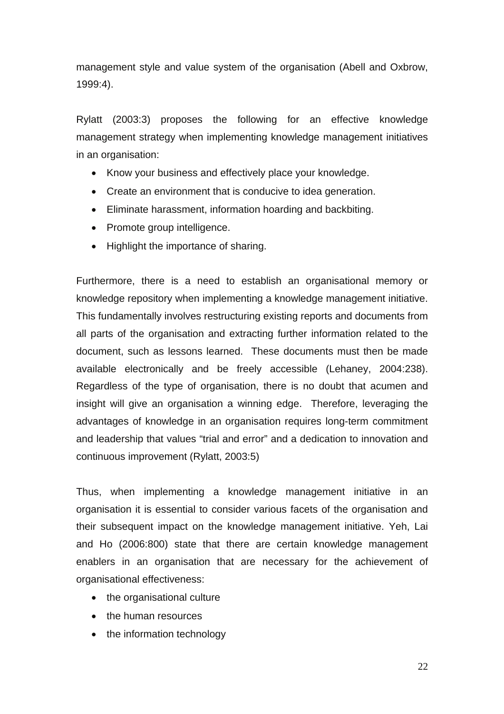management style and value system of the organisation (Abell and Oxbrow, 1999:4).

Rylatt (2003:3) proposes the following for an effective knowledge management strategy when implementing knowledge management initiatives in an organisation:

- Know your business and effectively place your knowledge.
- Create an environment that is conducive to idea generation.
- Eliminate harassment, information hoarding and backbiting.
- Promote group intelligence.
- Highlight the importance of sharing.

Furthermore, there is a need to establish an organisational memory or knowledge repository when implementing a knowledge management initiative. This fundamentally involves restructuring existing reports and documents from all parts of the organisation and extracting further information related to the document, such as lessons learned. These documents must then be made available electronically and be freely accessible (Lehaney, 2004:238). Regardless of the type of organisation, there is no doubt that acumen and insight will give an organisation a winning edge. Therefore, leveraging the advantages of knowledge in an organisation requires long-term commitment and leadership that values "trial and error" and a dedication to innovation and continuous improvement (Rylatt, 2003:5)

Thus, when implementing a knowledge management initiative in an organisation it is essential to consider various facets of the organisation and their subsequent impact on the knowledge management initiative. Yeh, Lai and Ho (2006:800) state that there are certain knowledge management enablers in an organisation that are necessary for the achievement of organisational effectiveness:

- the organisational culture
- the human resources
- the information technology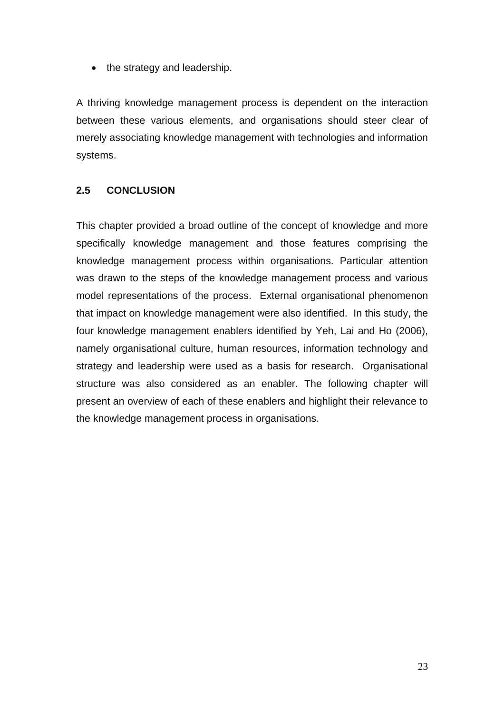• the strategy and leadership.

A thriving knowledge management process is dependent on the interaction between these various elements, and organisations should steer clear of merely associating knowledge management with technologies and information systems.

# **2.5 CONCLUSION**

This chapter provided a broad outline of the concept of knowledge and more specifically knowledge management and those features comprising the knowledge management process within organisations. Particular attention was drawn to the steps of the knowledge management process and various model representations of the process. External organisational phenomenon that impact on knowledge management were also identified. In this study, the four knowledge management enablers identified by Yeh, Lai and Ho (2006), namely organisational culture, human resources, information technology and strategy and leadership were used as a basis for research. Organisational structure was also considered as an enabler. The following chapter will present an overview of each of these enablers and highlight their relevance to the knowledge management process in organisations.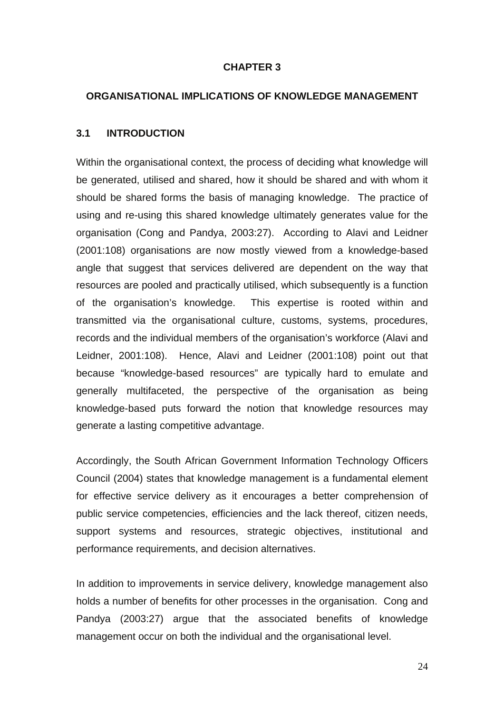#### **CHAPTER 3**

#### **ORGANISATIONAL IMPLICATIONS OF KNOWLEDGE MANAGEMENT**

#### **3.1 INTRODUCTION**

Within the organisational context, the process of deciding what knowledge will be generated, utilised and shared, how it should be shared and with whom it should be shared forms the basis of managing knowledge. The practice of using and re-using this shared knowledge ultimately generates value for the organisation (Cong and Pandya, 2003:27). According to Alavi and Leidner (2001:108) organisations are now mostly viewed from a knowledge-based angle that suggest that services delivered are dependent on the way that resources are pooled and practically utilised, which subsequently is a function of the organisation's knowledge. This expertise is rooted within and transmitted via the organisational culture, customs, systems, procedures, records and the individual members of the organisation's workforce (Alavi and Leidner, 2001:108). Hence, Alavi and Leidner (2001:108) point out that because "knowledge-based resources" are typically hard to emulate and generally multifaceted, the perspective of the organisation as being knowledge-based puts forward the notion that knowledge resources may generate a lasting competitive advantage.

Accordingly, the South African Government Information Technology Officers Council (2004) states that knowledge management is a fundamental element for effective service delivery as it encourages a better comprehension of public service competencies, efficiencies and the lack thereof, citizen needs, support systems and resources, strategic objectives, institutional and performance requirements, and decision alternatives.

In addition to improvements in service delivery, knowledge management also holds a number of benefits for other processes in the organisation. Cong and Pandya (2003:27) argue that the associated benefits of knowledge management occur on both the individual and the organisational level.

24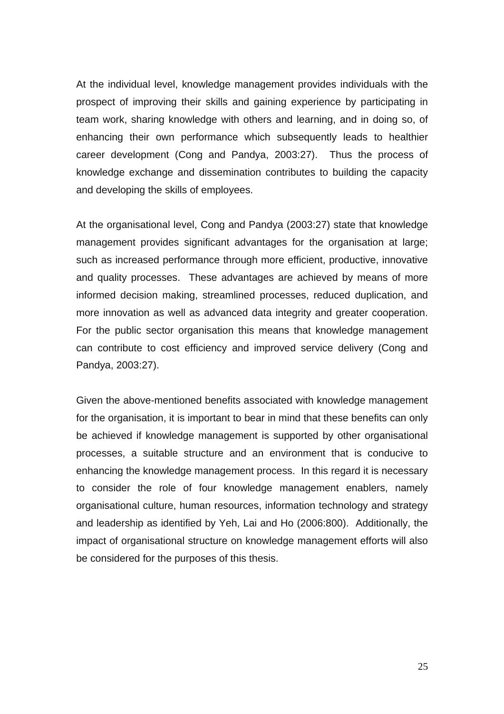At the individual level, knowledge management provides individuals with the prospect of improving their skills and gaining experience by participating in team work, sharing knowledge with others and learning, and in doing so, of enhancing their own performance which subsequently leads to healthier career development (Cong and Pandya, 2003:27). Thus the process of knowledge exchange and dissemination contributes to building the capacity and developing the skills of employees.

At the organisational level, Cong and Pandya (2003:27) state that knowledge management provides significant advantages for the organisation at large; such as increased performance through more efficient, productive, innovative and quality processes. These advantages are achieved by means of more informed decision making, streamlined processes, reduced duplication, and more innovation as well as advanced data integrity and greater cooperation. For the public sector organisation this means that knowledge management can contribute to cost efficiency and improved service delivery (Cong and Pandya, 2003:27).

Given the above-mentioned benefits associated with knowledge management for the organisation, it is important to bear in mind that these benefits can only be achieved if knowledge management is supported by other organisational processes, a suitable structure and an environment that is conducive to enhancing the knowledge management process. In this regard it is necessary to consider the role of four knowledge management enablers, namely organisational culture, human resources, information technology and strategy and leadership as identified by Yeh, Lai and Ho (2006:800). Additionally, the impact of organisational structure on knowledge management efforts will also be considered for the purposes of this thesis.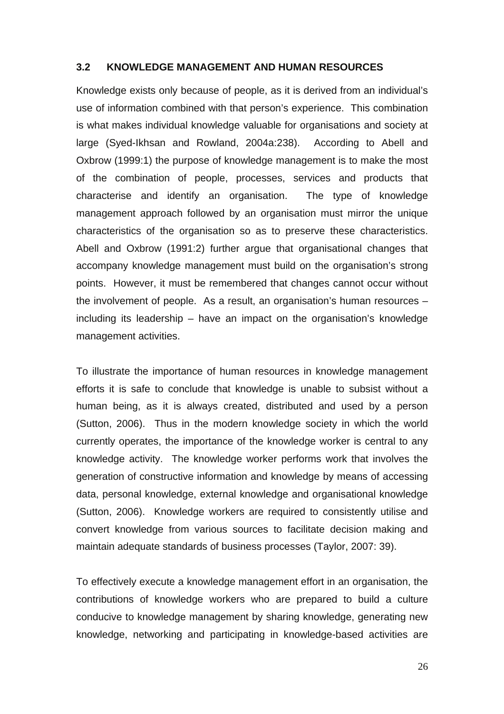#### **3.2 KNOWLEDGE MANAGEMENT AND HUMAN RESOURCES**

Knowledge exists only because of people, as it is derived from an individual's use of information combined with that person's experience. This combination is what makes individual knowledge valuable for organisations and society at large (Syed-Ikhsan and Rowland, 2004a:238). According to Abell and Oxbrow (1999:1) the purpose of knowledge management is to make the most of the combination of people, processes, services and products that characterise and identify an organisation. The type of knowledge management approach followed by an organisation must mirror the unique characteristics of the organisation so as to preserve these characteristics. Abell and Oxbrow (1991:2) further argue that organisational changes that accompany knowledge management must build on the organisation's strong points. However, it must be remembered that changes cannot occur without the involvement of people. As a result, an organisation's human resources – including its leadership – have an impact on the organisation's knowledge management activities.

To illustrate the importance of human resources in knowledge management efforts it is safe to conclude that knowledge is unable to subsist without a human being, as it is always created, distributed and used by a person (Sutton, 2006). Thus in the modern knowledge society in which the world currently operates, the importance of the knowledge worker is central to any knowledge activity. The knowledge worker performs work that involves the generation of constructive information and knowledge by means of accessing data, personal knowledge, external knowledge and organisational knowledge (Sutton, 2006). Knowledge workers are required to consistently utilise and convert knowledge from various sources to facilitate decision making and maintain adequate standards of business processes (Taylor, 2007: 39).

To effectively execute a knowledge management effort in an organisation, the contributions of knowledge workers who are prepared to build a culture conducive to knowledge management by sharing knowledge, generating new knowledge, networking and participating in knowledge-based activities are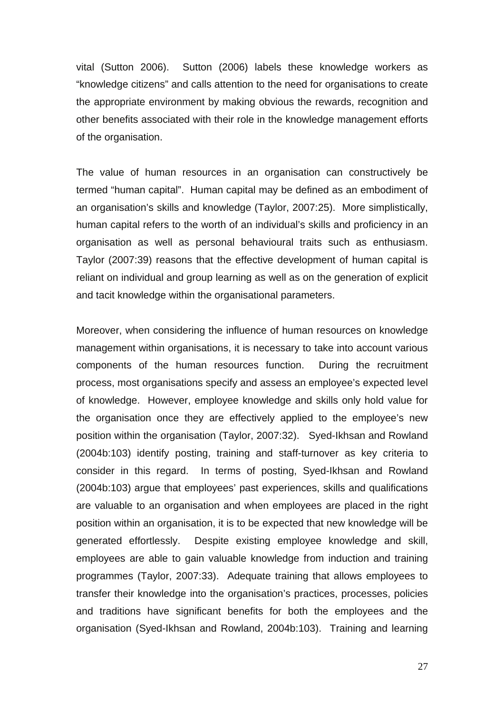vital (Sutton 2006). Sutton (2006) labels these knowledge workers as "knowledge citizens" and calls attention to the need for organisations to create the appropriate environment by making obvious the rewards, recognition and other benefits associated with their role in the knowledge management efforts of the organisation.

The value of human resources in an organisation can constructively be termed "human capital". Human capital may be defined as an embodiment of an organisation's skills and knowledge (Taylor, 2007:25). More simplistically, human capital refers to the worth of an individual's skills and proficiency in an organisation as well as personal behavioural traits such as enthusiasm. Taylor (2007:39) reasons that the effective development of human capital is reliant on individual and group learning as well as on the generation of explicit and tacit knowledge within the organisational parameters.

Moreover, when considering the influence of human resources on knowledge management within organisations, it is necessary to take into account various components of the human resources function. During the recruitment process, most organisations specify and assess an employee's expected level of knowledge. However, employee knowledge and skills only hold value for the organisation once they are effectively applied to the employee's new position within the organisation (Taylor, 2007:32). Syed-Ikhsan and Rowland (2004b:103) identify posting, training and staff-turnover as key criteria to consider in this regard. In terms of posting, Syed-Ikhsan and Rowland (2004b:103) argue that employees' past experiences, skills and qualifications are valuable to an organisation and when employees are placed in the right position within an organisation, it is to be expected that new knowledge will be generated effortlessly. Despite existing employee knowledge and skill, employees are able to gain valuable knowledge from induction and training programmes (Taylor, 2007:33). Adequate training that allows employees to transfer their knowledge into the organisation's practices, processes, policies and traditions have significant benefits for both the employees and the organisation (Syed-Ikhsan and Rowland, 2004b:103). Training and learning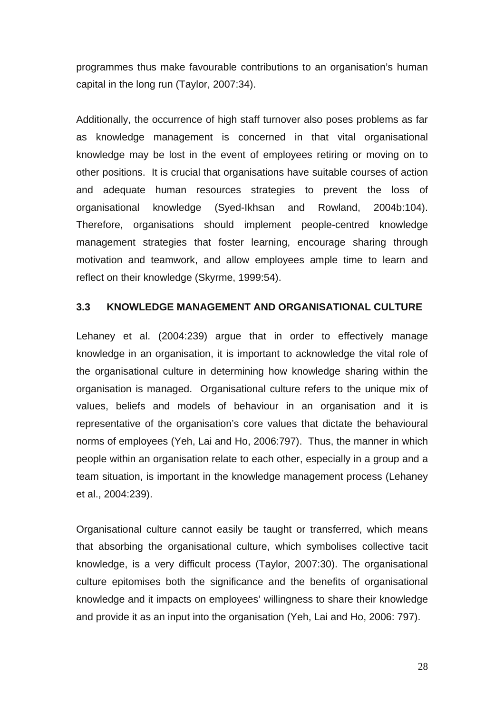programmes thus make favourable contributions to an organisation's human capital in the long run (Taylor, 2007:34).

Additionally, the occurrence of high staff turnover also poses problems as far as knowledge management is concerned in that vital organisational knowledge may be lost in the event of employees retiring or moving on to other positions. It is crucial that organisations have suitable courses of action and adequate human resources strategies to prevent the loss of organisational knowledge (Syed-Ikhsan and Rowland, 2004b:104). Therefore, organisations should implement people-centred knowledge management strategies that foster learning, encourage sharing through motivation and teamwork, and allow employees ample time to learn and reflect on their knowledge (Skyrme, 1999:54).

## **3.3 KNOWLEDGE MANAGEMENT AND ORGANISATIONAL CULTURE**

Lehaney et al. (2004:239) argue that in order to effectively manage knowledge in an organisation, it is important to acknowledge the vital role of the organisational culture in determining how knowledge sharing within the organisation is managed. Organisational culture refers to the unique mix of values, beliefs and models of behaviour in an organisation and it is representative of the organisation's core values that dictate the behavioural norms of employees (Yeh, Lai and Ho, 2006:797). Thus, the manner in which people within an organisation relate to each other, especially in a group and a team situation, is important in the knowledge management process (Lehaney et al., 2004:239).

Organisational culture cannot easily be taught or transferred, which means that absorbing the organisational culture, which symbolises collective tacit knowledge, is a very difficult process (Taylor, 2007:30). The organisational culture epitomises both the significance and the benefits of organisational knowledge and it impacts on employees' willingness to share their knowledge and provide it as an input into the organisation (Yeh, Lai and Ho, 2006: 797).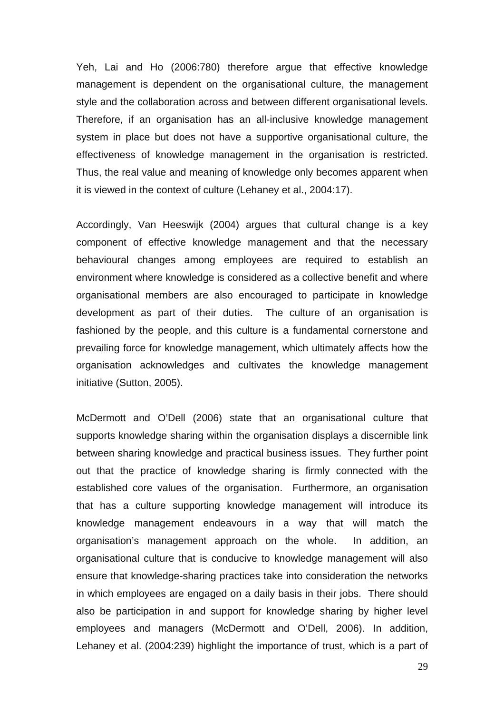Yeh, Lai and Ho (2006:780) therefore argue that effective knowledge management is dependent on the organisational culture, the management style and the collaboration across and between different organisational levels. Therefore, if an organisation has an all-inclusive knowledge management system in place but does not have a supportive organisational culture, the effectiveness of knowledge management in the organisation is restricted. Thus, the real value and meaning of knowledge only becomes apparent when it is viewed in the context of culture (Lehaney et al., 2004:17).

Accordingly, Van Heeswijk (2004) argues that cultural change is a key component of effective knowledge management and that the necessary behavioural changes among employees are required to establish an environment where knowledge is considered as a collective benefit and where organisational members are also encouraged to participate in knowledge development as part of their duties. The culture of an organisation is fashioned by the people, and this culture is a fundamental cornerstone and prevailing force for knowledge management, which ultimately affects how the organisation acknowledges and cultivates the knowledge management initiative (Sutton, 2005).

McDermott and O'Dell (2006) state that an organisational culture that supports knowledge sharing within the organisation displays a discernible link between sharing knowledge and practical business issues. They further point out that the practice of knowledge sharing is firmly connected with the established core values of the organisation. Furthermore, an organisation that has a culture supporting knowledge management will introduce its knowledge management endeavours in a way that will match the organisation's management approach on the whole. In addition, an organisational culture that is conducive to knowledge management will also ensure that knowledge-sharing practices take into consideration the networks in which employees are engaged on a daily basis in their jobs. There should also be participation in and support for knowledge sharing by higher level employees and managers (McDermott and O'Dell, 2006). In addition, Lehaney et al. (2004:239) highlight the importance of trust, which is a part of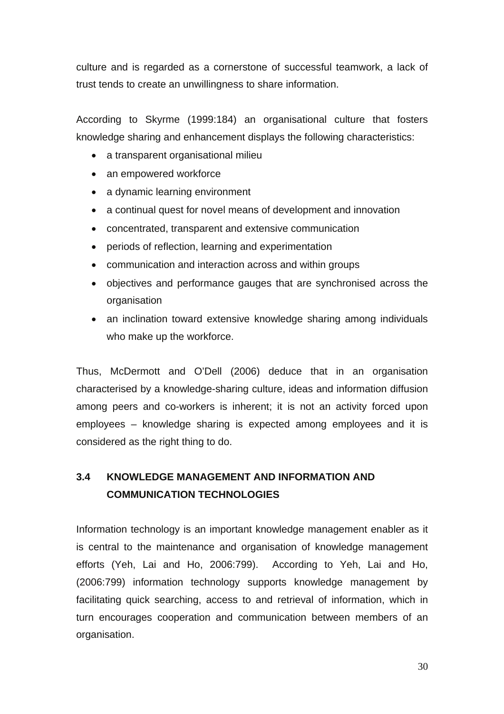culture and is regarded as a cornerstone of successful teamwork, a lack of trust tends to create an unwillingness to share information.

According to Skyrme (1999:184) an organisational culture that fosters knowledge sharing and enhancement displays the following characteristics:

- a transparent organisational milieu
- an empowered workforce
- a dynamic learning environment
- a continual quest for novel means of development and innovation
- concentrated, transparent and extensive communication
- periods of reflection, learning and experimentation
- communication and interaction across and within groups
- objectives and performance gauges that are synchronised across the organisation
- an inclination toward extensive knowledge sharing among individuals who make up the workforce.

Thus, McDermott and O'Dell (2006) deduce that in an organisation characterised by a knowledge-sharing culture, ideas and information diffusion among peers and co-workers is inherent; it is not an activity forced upon employees – knowledge sharing is expected among employees and it is considered as the right thing to do.

# **3.4 KNOWLEDGE MANAGEMENT AND INFORMATION AND COMMUNICATION TECHNOLOGIES**

Information technology is an important knowledge management enabler as it is central to the maintenance and organisation of knowledge management efforts (Yeh, Lai and Ho, 2006:799). According to Yeh, Lai and Ho, (2006:799) information technology supports knowledge management by facilitating quick searching, access to and retrieval of information, which in turn encourages cooperation and communication between members of an organisation.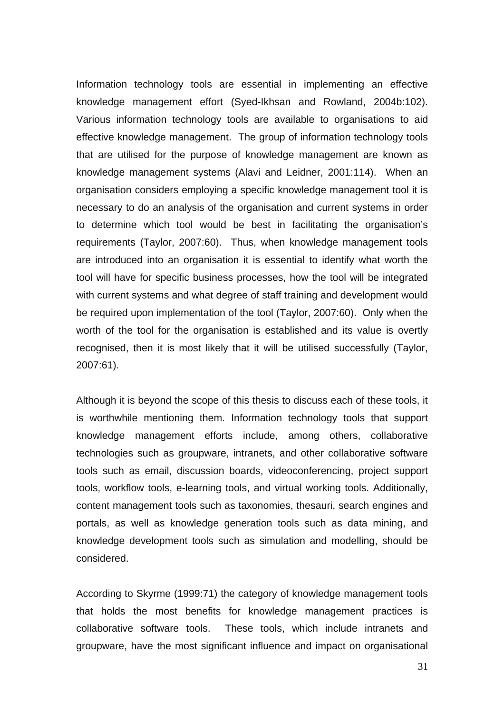Information technology tools are essential in implementing an effective knowledge management effort (Syed-Ikhsan and Rowland, 2004b:102). Various information technology tools are available to organisations to aid effective knowledge management. The group of information technology tools that are utilised for the purpose of knowledge management are known as knowledge management systems (Alavi and Leidner, 2001:114). When an organisation considers employing a specific knowledge management tool it is necessary to do an analysis of the organisation and current systems in order to determine which tool would be best in facilitating the organisation's requirements (Taylor, 2007:60). Thus, when knowledge management tools are introduced into an organisation it is essential to identify what worth the tool will have for specific business processes, how the tool will be integrated with current systems and what degree of staff training and development would be required upon implementation of the tool (Taylor, 2007:60). Only when the worth of the tool for the organisation is established and its value is overtly recognised, then it is most likely that it will be utilised successfully (Taylor, 2007:61).

Although it is beyond the scope of this thesis to discuss each of these tools, it is worthwhile mentioning them. Information technology tools that support knowledge management efforts include, among others, collaborative technologies such as groupware, intranets, and other collaborative software tools such as email, discussion boards, videoconferencing, project support tools, workflow tools, e-learning tools, and virtual working tools. Additionally, content management tools such as taxonomies, thesauri, search engines and portals, as well as knowledge generation tools such as data mining, and knowledge development tools such as simulation and modelling, should be considered.

According to Skyrme (1999:71) the category of knowledge management tools that holds the most benefits for knowledge management practices is collaborative software tools. These tools, which include intranets and groupware, have the most significant influence and impact on organisational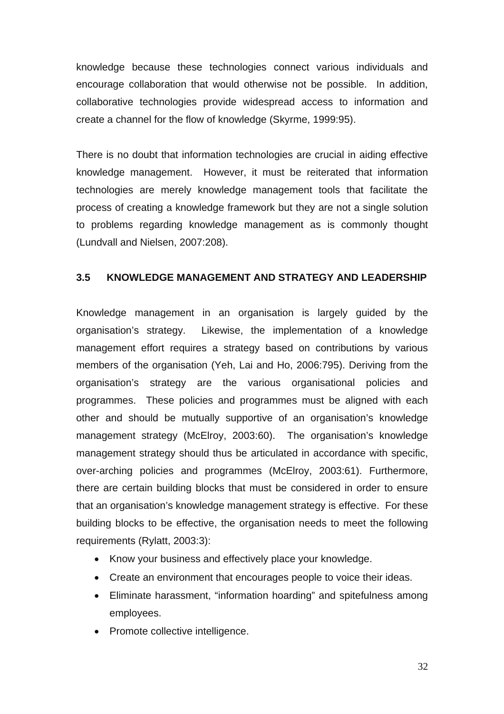knowledge because these technologies connect various individuals and encourage collaboration that would otherwise not be possible. In addition, collaborative technologies provide widespread access to information and create a channel for the flow of knowledge (Skyrme, 1999:95).

There is no doubt that information technologies are crucial in aiding effective knowledge management. However, it must be reiterated that information technologies are merely knowledge management tools that facilitate the process of creating a knowledge framework but they are not a single solution to problems regarding knowledge management as is commonly thought (Lundvall and Nielsen, 2007:208).

## **3.5 KNOWLEDGE MANAGEMENT AND STRATEGY AND LEADERSHIP**

Knowledge management in an organisation is largely guided by the organisation's strategy. Likewise, the implementation of a knowledge management effort requires a strategy based on contributions by various members of the organisation (Yeh, Lai and Ho, 2006:795). Deriving from the organisation's strategy are the various organisational policies and programmes. These policies and programmes must be aligned with each other and should be mutually supportive of an organisation's knowledge management strategy (McElroy, 2003:60). The organisation's knowledge management strategy should thus be articulated in accordance with specific, over-arching policies and programmes (McElroy, 2003:61). Furthermore, there are certain building blocks that must be considered in order to ensure that an organisation's knowledge management strategy is effective. For these building blocks to be effective, the organisation needs to meet the following requirements (Rylatt, 2003:3):

- Know your business and effectively place your knowledge.
- Create an environment that encourages people to voice their ideas.
- Eliminate harassment, "information hoarding" and spitefulness among employees.
- Promote collective intelligence.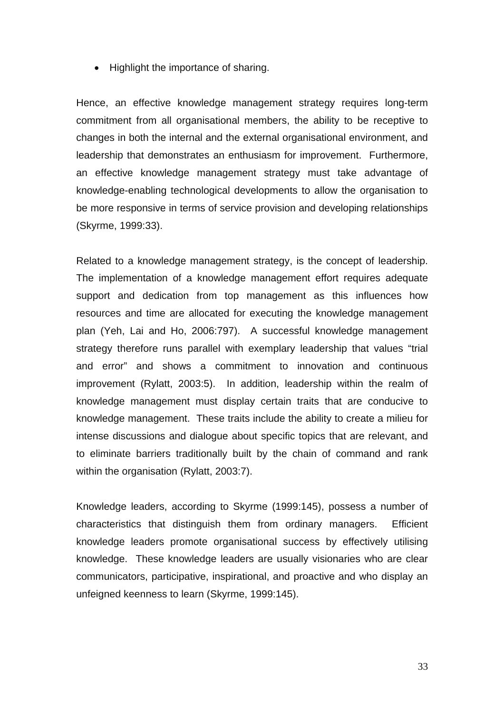• Highlight the importance of sharing.

Hence, an effective knowledge management strategy requires long-term commitment from all organisational members, the ability to be receptive to changes in both the internal and the external organisational environment, and leadership that demonstrates an enthusiasm for improvement. Furthermore, an effective knowledge management strategy must take advantage of knowledge-enabling technological developments to allow the organisation to be more responsive in terms of service provision and developing relationships (Skyrme, 1999:33).

Related to a knowledge management strategy, is the concept of leadership. The implementation of a knowledge management effort requires adequate support and dedication from top management as this influences how resources and time are allocated for executing the knowledge management plan (Yeh, Lai and Ho, 2006:797). A successful knowledge management strategy therefore runs parallel with exemplary leadership that values "trial and error" and shows a commitment to innovation and continuous improvement (Rylatt, 2003:5). In addition, leadership within the realm of knowledge management must display certain traits that are conducive to knowledge management. These traits include the ability to create a milieu for intense discussions and dialogue about specific topics that are relevant, and to eliminate barriers traditionally built by the chain of command and rank within the organisation (Rylatt, 2003:7).

Knowledge leaders, according to Skyrme (1999:145), possess a number of characteristics that distinguish them from ordinary managers. Efficient knowledge leaders promote organisational success by effectively utilising knowledge. These knowledge leaders are usually visionaries who are clear communicators, participative, inspirational, and proactive and who display an unfeigned keenness to learn (Skyrme, 1999:145).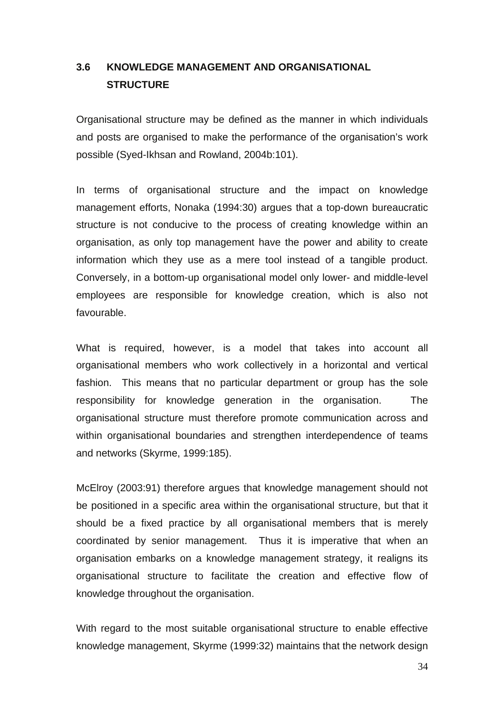# **3.6 KNOWLEDGE MANAGEMENT AND ORGANISATIONAL STRUCTURE**

Organisational structure may be defined as the manner in which individuals and posts are organised to make the performance of the organisation's work possible (Syed-Ikhsan and Rowland, 2004b:101).

In terms of organisational structure and the impact on knowledge management efforts, Nonaka (1994:30) argues that a top-down bureaucratic structure is not conducive to the process of creating knowledge within an organisation, as only top management have the power and ability to create information which they use as a mere tool instead of a tangible product. Conversely, in a bottom-up organisational model only lower- and middle-level employees are responsible for knowledge creation, which is also not favourable.

What is required, however, is a model that takes into account all organisational members who work collectively in a horizontal and vertical fashion. This means that no particular department or group has the sole responsibility for knowledge generation in the organisation. The organisational structure must therefore promote communication across and within organisational boundaries and strengthen interdependence of teams and networks (Skyrme, 1999:185).

McElroy (2003:91) therefore argues that knowledge management should not be positioned in a specific area within the organisational structure, but that it should be a fixed practice by all organisational members that is merely coordinated by senior management. Thus it is imperative that when an organisation embarks on a knowledge management strategy, it realigns its organisational structure to facilitate the creation and effective flow of knowledge throughout the organisation.

With regard to the most suitable organisational structure to enable effective knowledge management, Skyrme (1999:32) maintains that the network design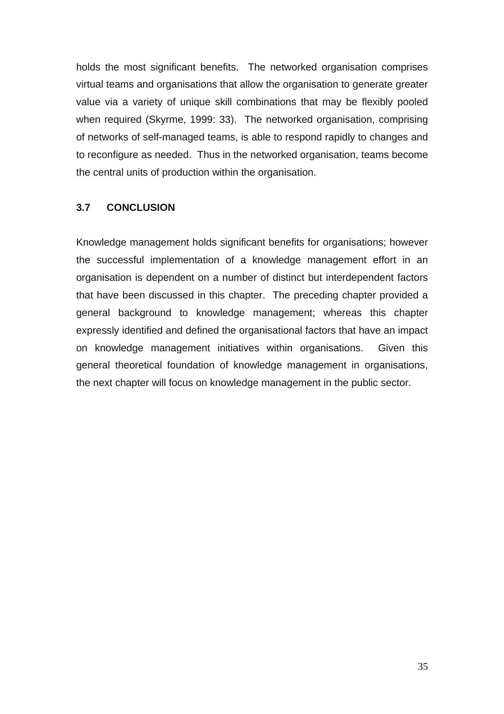holds the most significant benefits. The networked organisation comprises virtual teams and organisations that allow the organisation to generate greater value via a variety of unique skill combinations that may be flexibly pooled when required (Skyrme, 1999: 33). The networked organisation, comprising of networks of self-managed teams, is able to respond rapidly to changes and to reconfigure as needed. Thus in the networked organisation, teams become the central units of production within the organisation.

## **3.7 CONCLUSION**

Knowledge management holds significant benefits for organisations; however the successful implementation of a knowledge management effort in an organisation is dependent on a number of distinct but interdependent factors that have been discussed in this chapter. The preceding chapter provided a general background to knowledge management; whereas this chapter expressly identified and defined the organisational factors that have an impact on knowledge management initiatives within organisations. Given this general theoretical foundation of knowledge management in organisations, the next chapter will focus on knowledge management in the public sector.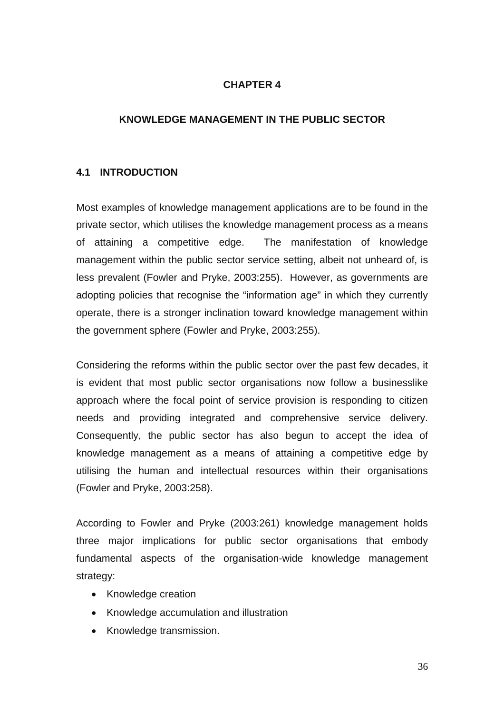## **CHAPTER 4**

## **KNOWLEDGE MANAGEMENT IN THE PUBLIC SECTOR**

## **4.1 INTRODUCTION**

Most examples of knowledge management applications are to be found in the private sector, which utilises the knowledge management process as a means of attaining a competitive edge. The manifestation of knowledge management within the public sector service setting, albeit not unheard of, is less prevalent (Fowler and Pryke, 2003:255). However, as governments are adopting policies that recognise the "information age" in which they currently operate, there is a stronger inclination toward knowledge management within the government sphere (Fowler and Pryke, 2003:255).

Considering the reforms within the public sector over the past few decades, it is evident that most public sector organisations now follow a businesslike approach where the focal point of service provision is responding to citizen needs and providing integrated and comprehensive service delivery. Consequently, the public sector has also begun to accept the idea of knowledge management as a means of attaining a competitive edge by utilising the human and intellectual resources within their organisations (Fowler and Pryke, 2003:258).

According to Fowler and Pryke (2003:261) knowledge management holds three major implications for public sector organisations that embody fundamental aspects of the organisation-wide knowledge management strategy:

- Knowledge creation
- Knowledge accumulation and illustration
- Knowledge transmission.

36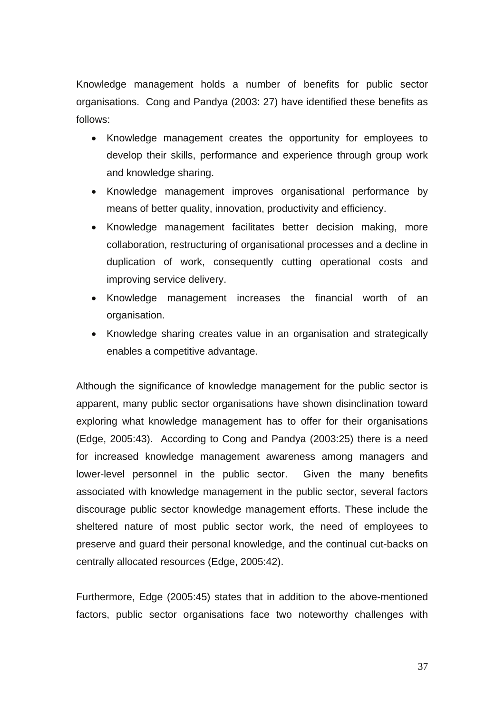Knowledge management holds a number of benefits for public sector organisations. Cong and Pandya (2003: 27) have identified these benefits as follows:

- Knowledge management creates the opportunity for employees to develop their skills, performance and experience through group work and knowledge sharing.
- Knowledge management improves organisational performance by means of better quality, innovation, productivity and efficiency.
- Knowledge management facilitates better decision making, more collaboration, restructuring of organisational processes and a decline in duplication of work, consequently cutting operational costs and improving service delivery.
- Knowledge management increases the financial worth of an organisation.
- Knowledge sharing creates value in an organisation and strategically enables a competitive advantage.

Although the significance of knowledge management for the public sector is apparent, many public sector organisations have shown disinclination toward exploring what knowledge management has to offer for their organisations (Edge, 2005:43). According to Cong and Pandya (2003:25) there is a need for increased knowledge management awareness among managers and lower-level personnel in the public sector. Given the many benefits associated with knowledge management in the public sector, several factors discourage public sector knowledge management efforts. These include the sheltered nature of most public sector work, the need of employees to preserve and guard their personal knowledge, and the continual cut-backs on centrally allocated resources (Edge, 2005:42).

Furthermore, Edge (2005:45) states that in addition to the above-mentioned factors, public sector organisations face two noteworthy challenges with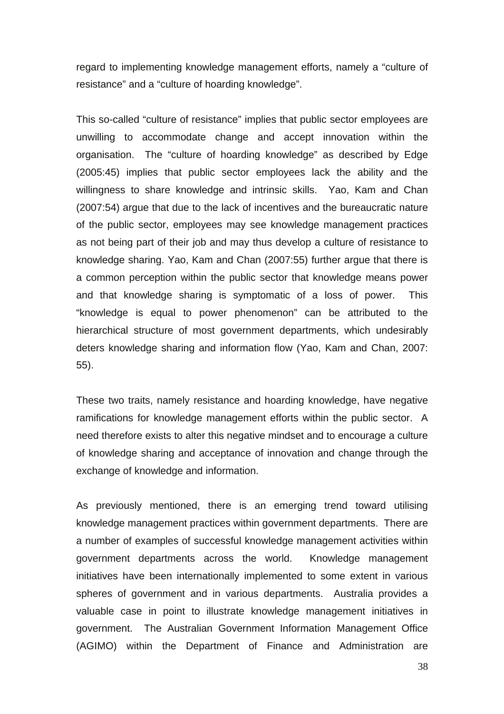regard to implementing knowledge management efforts, namely a "culture of resistance" and a "culture of hoarding knowledge".

This so-called "culture of resistance" implies that public sector employees are unwilling to accommodate change and accept innovation within the organisation. The "culture of hoarding knowledge" as described by Edge (2005:45) implies that public sector employees lack the ability and the willingness to share knowledge and intrinsic skills. Yao, Kam and Chan (2007:54) argue that due to the lack of incentives and the bureaucratic nature of the public sector, employees may see knowledge management practices as not being part of their job and may thus develop a culture of resistance to knowledge sharing. Yao, Kam and Chan (2007:55) further argue that there is a common perception within the public sector that knowledge means power and that knowledge sharing is symptomatic of a loss of power. This "knowledge is equal to power phenomenon" can be attributed to the hierarchical structure of most government departments, which undesirably deters knowledge sharing and information flow (Yao, Kam and Chan, 2007: 55).

These two traits, namely resistance and hoarding knowledge, have negative ramifications for knowledge management efforts within the public sector. A need therefore exists to alter this negative mindset and to encourage a culture of knowledge sharing and acceptance of innovation and change through the exchange of knowledge and information.

As previously mentioned, there is an emerging trend toward utilising knowledge management practices within government departments. There are a number of examples of successful knowledge management activities within government departments across the world. Knowledge management initiatives have been internationally implemented to some extent in various spheres of government and in various departments. Australia provides a valuable case in point to illustrate knowledge management initiatives in government. The Australian Government Information Management Office (AGIMO) within the Department of Finance and Administration are

38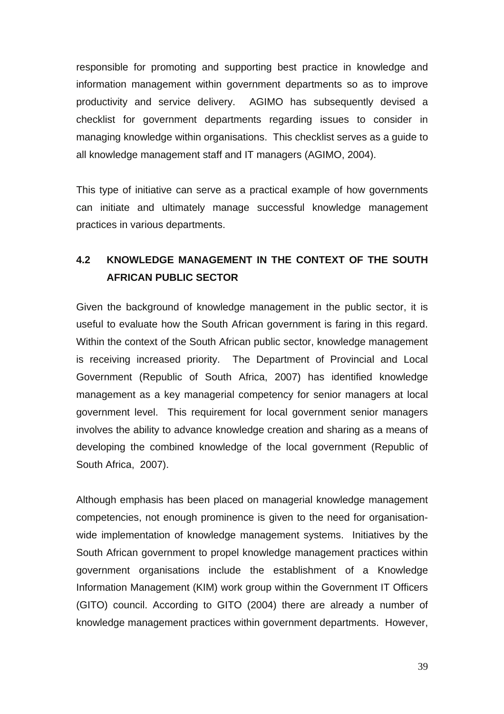responsible for promoting and supporting best practice in knowledge and information management within government departments so as to improve productivity and service delivery. AGIMO has subsequently devised a checklist for government departments regarding issues to consider in managing knowledge within organisations. This checklist serves as a guide to all knowledge management staff and IT managers (AGIMO, 2004).

This type of initiative can serve as a practical example of how governments can initiate and ultimately manage successful knowledge management practices in various departments.

## **4.2 KNOWLEDGE MANAGEMENT IN THE CONTEXT OF THE SOUTH AFRICAN PUBLIC SECTOR**

Given the background of knowledge management in the public sector, it is useful to evaluate how the South African government is faring in this regard. Within the context of the South African public sector, knowledge management is receiving increased priority. The Department of Provincial and Local Government (Republic of South Africa, 2007) has identified knowledge management as a key managerial competency for senior managers at local government level. This requirement for local government senior managers involves the ability to advance knowledge creation and sharing as a means of developing the combined knowledge of the local government (Republic of South Africa, 2007).

Although emphasis has been placed on managerial knowledge management competencies, not enough prominence is given to the need for organisationwide implementation of knowledge management systems. Initiatives by the South African government to propel knowledge management practices within government organisations include the establishment of a Knowledge Information Management (KIM) work group within the Government IT Officers (GITO) council. According to GITO (2004) there are already a number of knowledge management practices within government departments. However,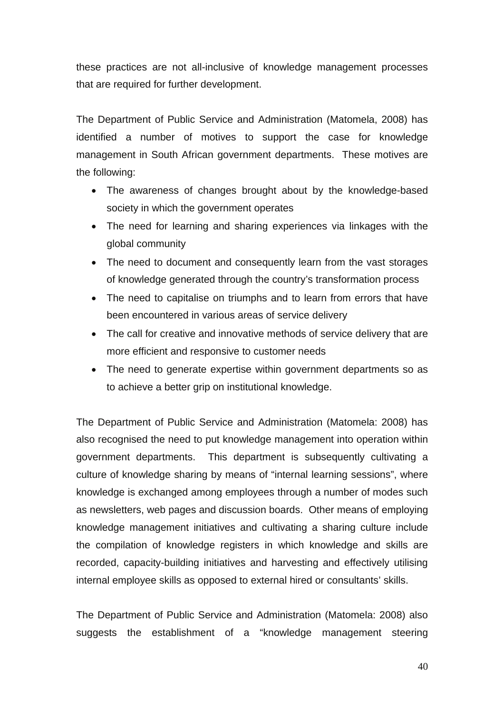these practices are not all-inclusive of knowledge management processes that are required for further development.

The Department of Public Service and Administration (Matomela, 2008) has identified a number of motives to support the case for knowledge management in South African government departments. These motives are the following:

- The awareness of changes brought about by the knowledge-based society in which the government operates
- The need for learning and sharing experiences via linkages with the global community
- The need to document and consequently learn from the vast storages of knowledge generated through the country's transformation process
- The need to capitalise on triumphs and to learn from errors that have been encountered in various areas of service delivery
- The call for creative and innovative methods of service delivery that are more efficient and responsive to customer needs
- The need to generate expertise within government departments so as to achieve a better grip on institutional knowledge.

The Department of Public Service and Administration (Matomela: 2008) has also recognised the need to put knowledge management into operation within government departments. This department is subsequently cultivating a culture of knowledge sharing by means of "internal learning sessions", where knowledge is exchanged among employees through a number of modes such as newsletters, web pages and discussion boards. Other means of employing knowledge management initiatives and cultivating a sharing culture include the compilation of knowledge registers in which knowledge and skills are recorded, capacity-building initiatives and harvesting and effectively utilising internal employee skills as opposed to external hired or consultants' skills.

The Department of Public Service and Administration (Matomela: 2008) also suggests the establishment of a "knowledge management steering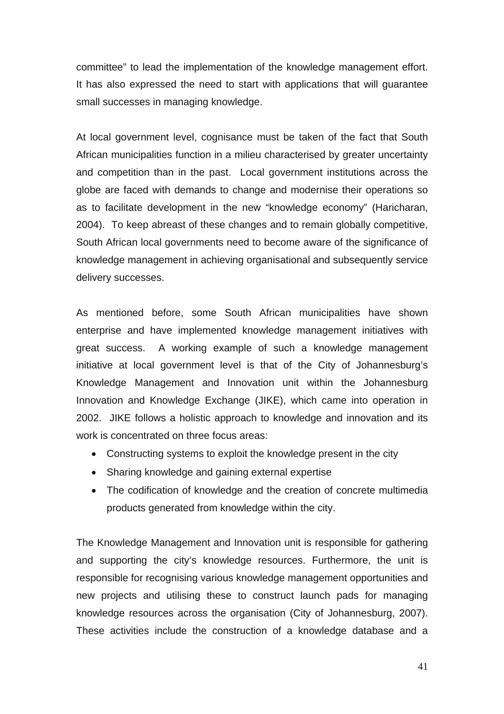committee" to lead the implementation of the knowledge management effort. It has also expressed the need to start with applications that will guarantee small successes in managing knowledge.

At local government level, cognisance must be taken of the fact that South African municipalities function in a milieu characterised by greater uncertainty and competition than in the past. Local government institutions across the globe are faced with demands to change and modernise their operations so as to facilitate development in the new "knowledge economy" (Haricharan, 2004). To keep abreast of these changes and to remain globally competitive, South African local governments need to become aware of the significance of knowledge management in achieving organisational and subsequently service delivery successes.

As mentioned before, some South African municipalities have shown enterprise and have implemented knowledge management initiatives with great success. A working example of such a knowledge management initiative at local government level is that of the City of Johannesburg's Knowledge Management and Innovation unit within the Johannesburg Innovation and Knowledge Exchange (JIKE), which came into operation in 2002. JIKE follows a holistic approach to knowledge and innovation and its work is concentrated on three focus areas:

- Constructing systems to exploit the knowledge present in the city
- Sharing knowledge and gaining external expertise
- The codification of knowledge and the creation of concrete multimedia products generated from knowledge within the city.

The Knowledge Management and Innovation unit is responsible for gathering and supporting the city's knowledge resources. Furthermore, the unit is responsible for recognising various knowledge management opportunities and new projects and utilising these to construct launch pads for managing knowledge resources across the organisation (City of Johannesburg, 2007). These activities include the construction of a knowledge database and a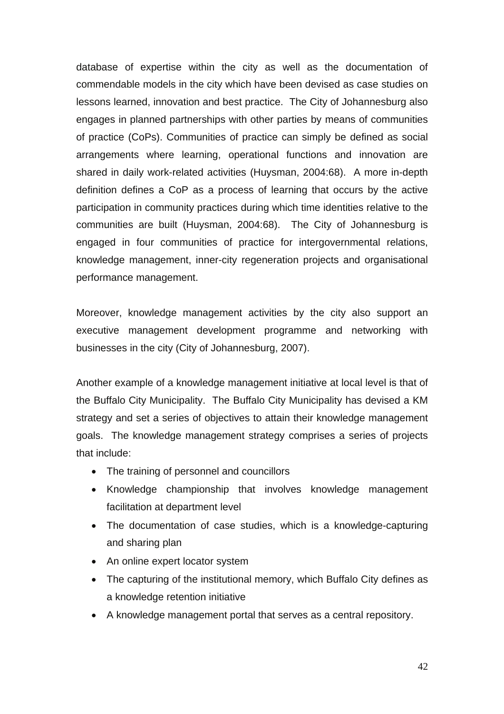database of expertise within the city as well as the documentation of commendable models in the city which have been devised as case studies on lessons learned, innovation and best practice. The City of Johannesburg also engages in planned partnerships with other parties by means of communities of practice (CoPs). Communities of practice can simply be defined as social arrangements where learning, operational functions and innovation are shared in daily work-related activities (Huysman, 2004:68). A more in-depth definition defines a CoP as a process of learning that occurs by the active participation in community practices during which time identities relative to the communities are built (Huysman, 2004:68). The City of Johannesburg is engaged in four communities of practice for intergovernmental relations, knowledge management, inner-city regeneration projects and organisational performance management.

Moreover, knowledge management activities by the city also support an executive management development programme and networking with businesses in the city (City of Johannesburg, 2007).

Another example of a knowledge management initiative at local level is that of the Buffalo City Municipality. The Buffalo City Municipality has devised a KM strategy and set a series of objectives to attain their knowledge management goals. The knowledge management strategy comprises a series of projects that include:

- The training of personnel and councillors
- Knowledge championship that involves knowledge management facilitation at department level
- The documentation of case studies, which is a knowledge-capturing and sharing plan
- An online expert locator system
- The capturing of the institutional memory, which Buffalo City defines as a knowledge retention initiative
- A knowledge management portal that serves as a central repository.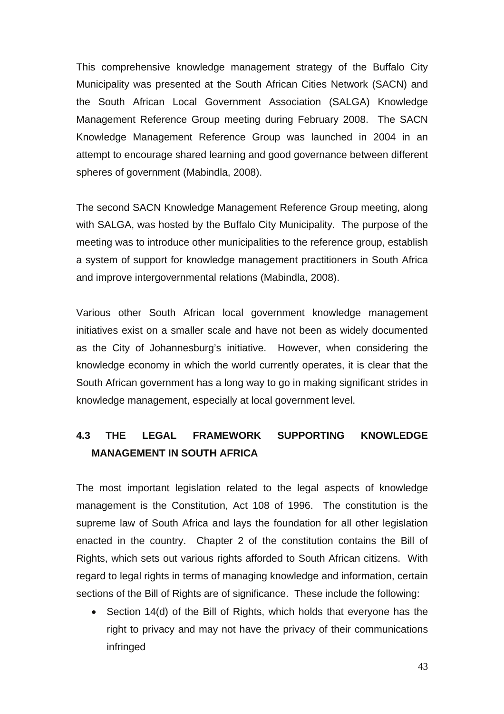This comprehensive knowledge management strategy of the Buffalo City Municipality was presented at the South African Cities Network (SACN) and the South African Local Government Association (SALGA) Knowledge Management Reference Group meeting during February 2008. The SACN Knowledge Management Reference Group was launched in 2004 in an attempt to encourage shared learning and good governance between different spheres of government (Mabindla, 2008).

The second SACN Knowledge Management Reference Group meeting, along with SALGA, was hosted by the Buffalo City Municipality. The purpose of the meeting was to introduce other municipalities to the reference group, establish a system of support for knowledge management practitioners in South Africa and improve intergovernmental relations (Mabindla, 2008).

Various other South African local government knowledge management initiatives exist on a smaller scale and have not been as widely documented as the City of Johannesburg's initiative. However, when considering the knowledge economy in which the world currently operates, it is clear that the South African government has a long way to go in making significant strides in knowledge management, especially at local government level.

# **4.3 THE LEGAL FRAMEWORK SUPPORTING KNOWLEDGE MANAGEMENT IN SOUTH AFRICA**

The most important legislation related to the legal aspects of knowledge management is the Constitution, Act 108 of 1996. The constitution is the supreme law of South Africa and lays the foundation for all other legislation enacted in the country. Chapter 2 of the constitution contains the Bill of Rights, which sets out various rights afforded to South African citizens. With regard to legal rights in terms of managing knowledge and information, certain sections of the Bill of Rights are of significance. These include the following:

• Section 14(d) of the Bill of Rights, which holds that everyone has the right to privacy and may not have the privacy of their communications infringed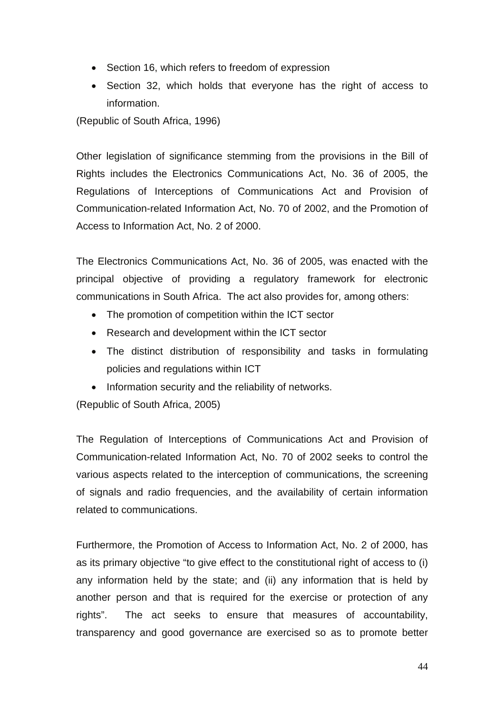- Section 16, which refers to freedom of expression
- Section 32, which holds that everyone has the right of access to information.

(Republic of South Africa, 1996)

Other legislation of significance stemming from the provisions in the Bill of Rights includes the Electronics Communications Act, No. 36 of 2005, the Regulations of Interceptions of Communications Act and Provision of Communication-related Information Act, No. 70 of 2002, and the Promotion of Access to Information Act, No. 2 of 2000.

The Electronics Communications Act, No. 36 of 2005, was enacted with the principal objective of providing a regulatory framework for electronic communications in South Africa. The act also provides for, among others:

- The promotion of competition within the ICT sector
- Research and development within the ICT sector
- The distinct distribution of responsibility and tasks in formulating policies and regulations within ICT
- Information security and the reliability of networks.

(Republic of South Africa, 2005)

The Regulation of Interceptions of Communications Act and Provision of Communication-related Information Act, No. 70 of 2002 seeks to control the various aspects related to the interception of communications, the screening of signals and radio frequencies, and the availability of certain information related to communications.

Furthermore, the Promotion of Access to Information Act, No. 2 of 2000, has as its primary objective "to give effect to the constitutional right of access to (i) any information held by the state; and (ii) any information that is held by another person and that is required for the exercise or protection of any rights". The act seeks to ensure that measures of accountability, transparency and good governance are exercised so as to promote better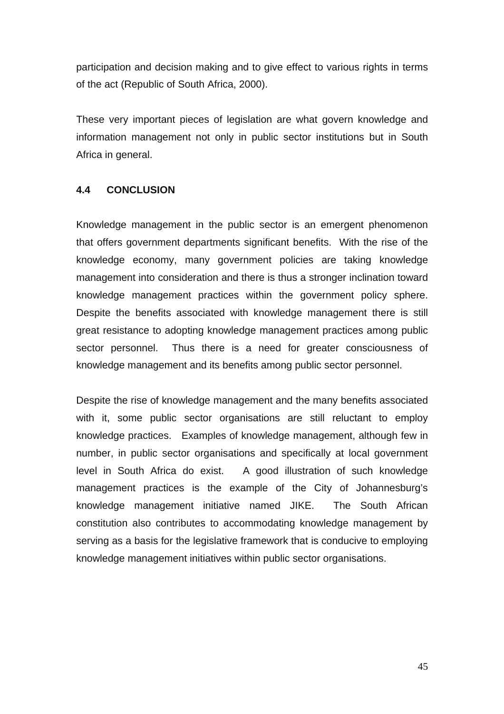participation and decision making and to give effect to various rights in terms of the act (Republic of South Africa, 2000).

These very important pieces of legislation are what govern knowledge and information management not only in public sector institutions but in South Africa in general.

## **4.4 CONCLUSION**

Knowledge management in the public sector is an emergent phenomenon that offers government departments significant benefits. With the rise of the knowledge economy, many government policies are taking knowledge management into consideration and there is thus a stronger inclination toward knowledge management practices within the government policy sphere. Despite the benefits associated with knowledge management there is still great resistance to adopting knowledge management practices among public sector personnel. Thus there is a need for greater consciousness of knowledge management and its benefits among public sector personnel.

Despite the rise of knowledge management and the many benefits associated with it, some public sector organisations are still reluctant to employ knowledge practices. Examples of knowledge management, although few in number, in public sector organisations and specifically at local government level in South Africa do exist. A good illustration of such knowledge management practices is the example of the City of Johannesburg's knowledge management initiative named JIKE. The South African constitution also contributes to accommodating knowledge management by serving as a basis for the legislative framework that is conducive to employing knowledge management initiatives within public sector organisations.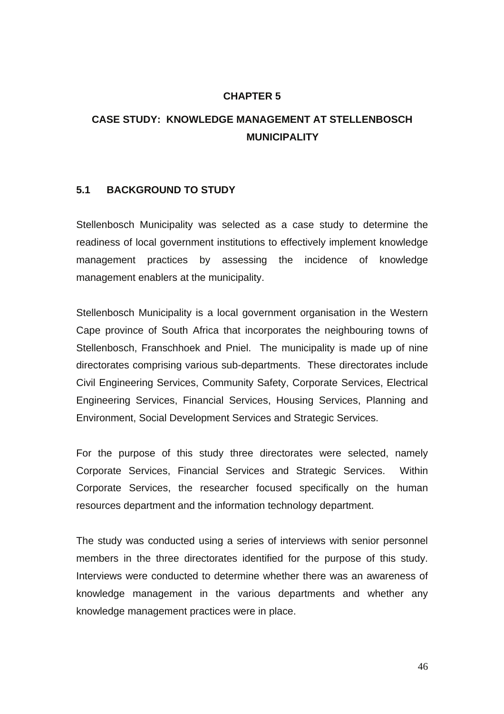#### **CHAPTER 5**

# **CASE STUDY: KNOWLEDGE MANAGEMENT AT STELLENBOSCH MUNICIPALITY**

#### **5.1 BACKGROUND TO STUDY**

Stellenbosch Municipality was selected as a case study to determine the readiness of local government institutions to effectively implement knowledge management practices by assessing the incidence of knowledge management enablers at the municipality.

Stellenbosch Municipality is a local government organisation in the Western Cape province of South Africa that incorporates the neighbouring towns of Stellenbosch, Franschhoek and Pniel. The municipality is made up of nine directorates comprising various sub-departments. These directorates include Civil Engineering Services, Community Safety, Corporate Services, Electrical Engineering Services, Financial Services, Housing Services, Planning and Environment, Social Development Services and Strategic Services.

For the purpose of this study three directorates were selected, namely Corporate Services, Financial Services and Strategic Services. Within Corporate Services, the researcher focused specifically on the human resources department and the information technology department.

The study was conducted using a series of interviews with senior personnel members in the three directorates identified for the purpose of this study. Interviews were conducted to determine whether there was an awareness of knowledge management in the various departments and whether any knowledge management practices were in place.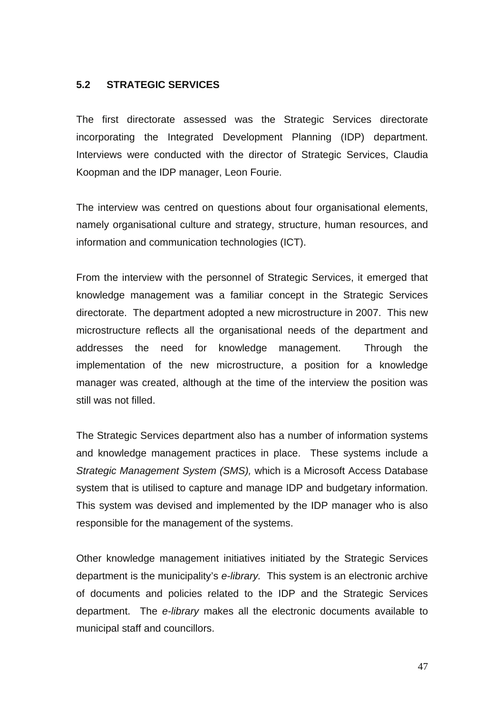## **5.2 STRATEGIC SERVICES**

The first directorate assessed was the Strategic Services directorate incorporating the Integrated Development Planning (IDP) department. Interviews were conducted with the director of Strategic Services, Claudia Koopman and the IDP manager, Leon Fourie.

The interview was centred on questions about four organisational elements, namely organisational culture and strategy, structure, human resources, and information and communication technologies (ICT).

From the interview with the personnel of Strategic Services, it emerged that knowledge management was a familiar concept in the Strategic Services directorate. The department adopted a new microstructure in 2007. This new microstructure reflects all the organisational needs of the department and addresses the need for knowledge management. Through the implementation of the new microstructure, a position for a knowledge manager was created, although at the time of the interview the position was still was not filled.

The Strategic Services department also has a number of information systems and knowledge management practices in place. These systems include a *Strategic Management System (SMS),* which is a Microsoft Access Database system that is utilised to capture and manage IDP and budgetary information. This system was devised and implemented by the IDP manager who is also responsible for the management of the systems.

Other knowledge management initiatives initiated by the Strategic Services department is the municipality's *e-library.* This system is an electronic archive of documents and policies related to the IDP and the Strategic Services department. The *e-library* makes all the electronic documents available to municipal staff and councillors.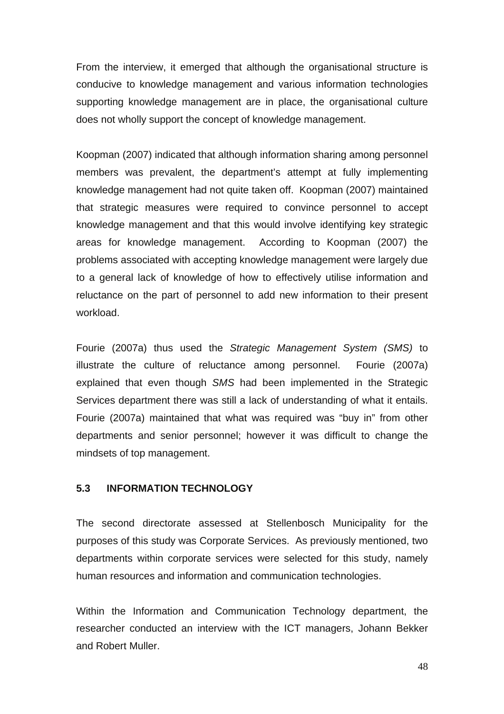From the interview, it emerged that although the organisational structure is conducive to knowledge management and various information technologies supporting knowledge management are in place, the organisational culture does not wholly support the concept of knowledge management.

Koopman (2007) indicated that although information sharing among personnel members was prevalent, the department's attempt at fully implementing knowledge management had not quite taken off. Koopman (2007) maintained that strategic measures were required to convince personnel to accept knowledge management and that this would involve identifying key strategic areas for knowledge management. According to Koopman (2007) the problems associated with accepting knowledge management were largely due to a general lack of knowledge of how to effectively utilise information and reluctance on the part of personnel to add new information to their present workload.

Fourie (2007a) thus used the *Strategic Management System (SMS)* to illustrate the culture of reluctance among personnel. Fourie (2007a) explained that even though *SMS* had been implemented in the Strategic Services department there was still a lack of understanding of what it entails. Fourie (2007a) maintained that what was required was "buy in" from other departments and senior personnel; however it was difficult to change the mindsets of top management.

## **5.3 INFORMATION TECHNOLOGY**

The second directorate assessed at Stellenbosch Municipality for the purposes of this study was Corporate Services. As previously mentioned, two departments within corporate services were selected for this study, namely human resources and information and communication technologies.

Within the Information and Communication Technology department, the researcher conducted an interview with the ICT managers, Johann Bekker and Robert Muller.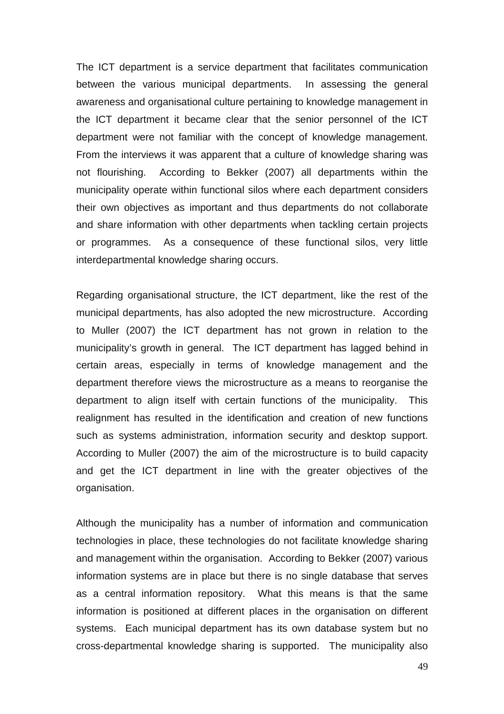The ICT department is a service department that facilitates communication between the various municipal departments. In assessing the general awareness and organisational culture pertaining to knowledge management in the ICT department it became clear that the senior personnel of the ICT department were not familiar with the concept of knowledge management. From the interviews it was apparent that a culture of knowledge sharing was not flourishing. According to Bekker (2007) all departments within the municipality operate within functional silos where each department considers their own objectives as important and thus departments do not collaborate and share information with other departments when tackling certain projects or programmes. As a consequence of these functional silos, very little interdepartmental knowledge sharing occurs.

Regarding organisational structure, the ICT department, like the rest of the municipal departments, has also adopted the new microstructure. According to Muller (2007) the ICT department has not grown in relation to the municipality's growth in general. The ICT department has lagged behind in certain areas, especially in terms of knowledge management and the department therefore views the microstructure as a means to reorganise the department to align itself with certain functions of the municipality. This realignment has resulted in the identification and creation of new functions such as systems administration, information security and desktop support. According to Muller (2007) the aim of the microstructure is to build capacity and get the ICT department in line with the greater objectives of the organisation.

Although the municipality has a number of information and communication technologies in place, these technologies do not facilitate knowledge sharing and management within the organisation. According to Bekker (2007) various information systems are in place but there is no single database that serves as a central information repository. What this means is that the same information is positioned at different places in the organisation on different systems. Each municipal department has its own database system but no cross-departmental knowledge sharing is supported. The municipality also

49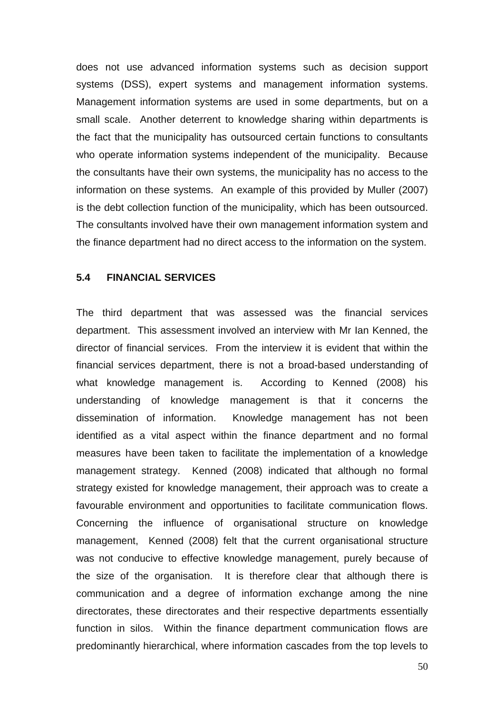does not use advanced information systems such as decision support systems (DSS), expert systems and management information systems. Management information systems are used in some departments, but on a small scale. Another deterrent to knowledge sharing within departments is the fact that the municipality has outsourced certain functions to consultants who operate information systems independent of the municipality. Because the consultants have their own systems, the municipality has no access to the information on these systems. An example of this provided by Muller (2007) is the debt collection function of the municipality, which has been outsourced. The consultants involved have their own management information system and the finance department had no direct access to the information on the system.

### **5.4 FINANCIAL SERVICES**

The third department that was assessed was the financial services department. This assessment involved an interview with Mr Ian Kenned, the director of financial services. From the interview it is evident that within the financial services department, there is not a broad-based understanding of what knowledge management is. According to Kenned (2008) his understanding of knowledge management is that it concerns the dissemination of information. Knowledge management has not been identified as a vital aspect within the finance department and no formal measures have been taken to facilitate the implementation of a knowledge management strategy. Kenned (2008) indicated that although no formal strategy existed for knowledge management, their approach was to create a favourable environment and opportunities to facilitate communication flows. Concerning the influence of organisational structure on knowledge management, Kenned (2008) felt that the current organisational structure was not conducive to effective knowledge management, purely because of the size of the organisation. It is therefore clear that although there is communication and a degree of information exchange among the nine directorates, these directorates and their respective departments essentially function in silos. Within the finance department communication flows are predominantly hierarchical, where information cascades from the top levels to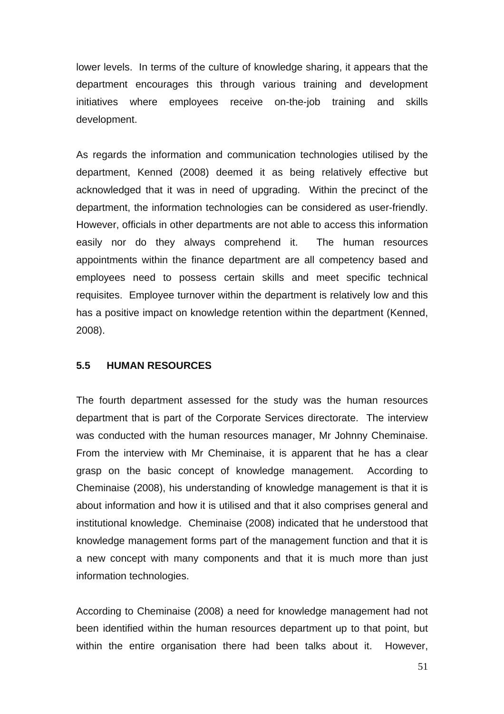lower levels. In terms of the culture of knowledge sharing, it appears that the department encourages this through various training and development initiatives where employees receive on-the-job training and skills development.

As regards the information and communication technologies utilised by the department, Kenned (2008) deemed it as being relatively effective but acknowledged that it was in need of upgrading. Within the precinct of the department, the information technologies can be considered as user-friendly. However, officials in other departments are not able to access this information easily nor do they always comprehend it. The human resources appointments within the finance department are all competency based and employees need to possess certain skills and meet specific technical requisites. Employee turnover within the department is relatively low and this has a positive impact on knowledge retention within the department (Kenned, 2008).

#### **5.5 HUMAN RESOURCES**

The fourth department assessed for the study was the human resources department that is part of the Corporate Services directorate. The interview was conducted with the human resources manager, Mr Johnny Cheminaise. From the interview with Mr Cheminaise, it is apparent that he has a clear grasp on the basic concept of knowledge management. According to Cheminaise (2008), his understanding of knowledge management is that it is about information and how it is utilised and that it also comprises general and institutional knowledge. Cheminaise (2008) indicated that he understood that knowledge management forms part of the management function and that it is a new concept with many components and that it is much more than just information technologies.

According to Cheminaise (2008) a need for knowledge management had not been identified within the human resources department up to that point, but within the entire organisation there had been talks about it. However,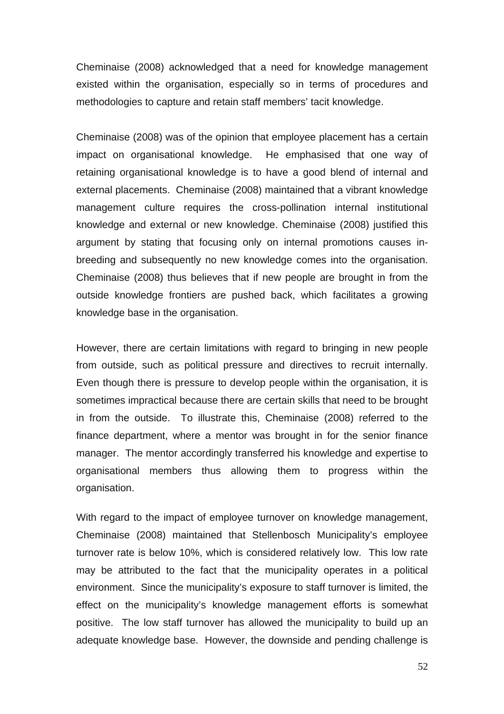Cheminaise (2008) acknowledged that a need for knowledge management existed within the organisation, especially so in terms of procedures and methodologies to capture and retain staff members' tacit knowledge.

Cheminaise (2008) was of the opinion that employee placement has a certain impact on organisational knowledge. He emphasised that one way of retaining organisational knowledge is to have a good blend of internal and external placements. Cheminaise (2008) maintained that a vibrant knowledge management culture requires the cross-pollination internal institutional knowledge and external or new knowledge. Cheminaise (2008) justified this argument by stating that focusing only on internal promotions causes inbreeding and subsequently no new knowledge comes into the organisation. Cheminaise (2008) thus believes that if new people are brought in from the outside knowledge frontiers are pushed back, which facilitates a growing knowledge base in the organisation.

However, there are certain limitations with regard to bringing in new people from outside, such as political pressure and directives to recruit internally. Even though there is pressure to develop people within the organisation, it is sometimes impractical because there are certain skills that need to be brought in from the outside. To illustrate this, Cheminaise (2008) referred to the finance department, where a mentor was brought in for the senior finance manager. The mentor accordingly transferred his knowledge and expertise to organisational members thus allowing them to progress within the organisation.

With regard to the impact of employee turnover on knowledge management, Cheminaise (2008) maintained that Stellenbosch Municipality's employee turnover rate is below 10%, which is considered relatively low. This low rate may be attributed to the fact that the municipality operates in a political environment. Since the municipality's exposure to staff turnover is limited, the effect on the municipality's knowledge management efforts is somewhat positive. The low staff turnover has allowed the municipality to build up an adequate knowledge base. However, the downside and pending challenge is

52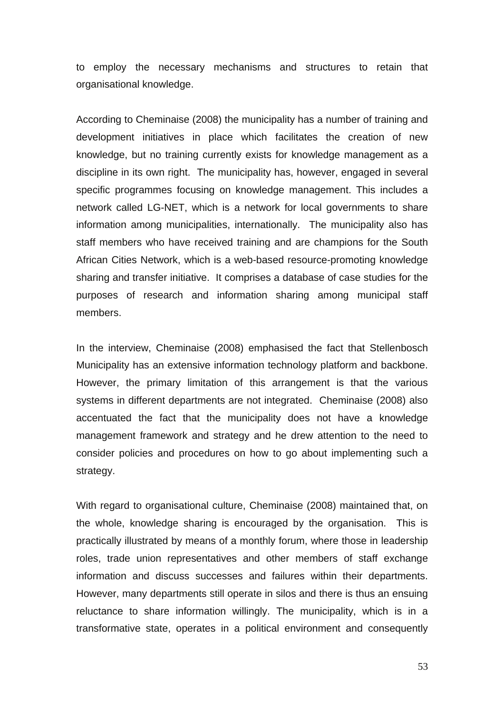to employ the necessary mechanisms and structures to retain that organisational knowledge.

According to Cheminaise (2008) the municipality has a number of training and development initiatives in place which facilitates the creation of new knowledge, but no training currently exists for knowledge management as a discipline in its own right. The municipality has, however, engaged in several specific programmes focusing on knowledge management. This includes a network called LG-NET, which is a network for local governments to share information among municipalities, internationally. The municipality also has staff members who have received training and are champions for the South African Cities Network, which is a web-based resource-promoting knowledge sharing and transfer initiative. It comprises a database of case studies for the purposes of research and information sharing among municipal staff members.

In the interview, Cheminaise (2008) emphasised the fact that Stellenbosch Municipality has an extensive information technology platform and backbone. However, the primary limitation of this arrangement is that the various systems in different departments are not integrated. Cheminaise (2008) also accentuated the fact that the municipality does not have a knowledge management framework and strategy and he drew attention to the need to consider policies and procedures on how to go about implementing such a strategy.

With regard to organisational culture, Cheminaise (2008) maintained that, on the whole, knowledge sharing is encouraged by the organisation. This is practically illustrated by means of a monthly forum, where those in leadership roles, trade union representatives and other members of staff exchange information and discuss successes and failures within their departments. However, many departments still operate in silos and there is thus an ensuing reluctance to share information willingly. The municipality, which is in a transformative state, operates in a political environment and consequently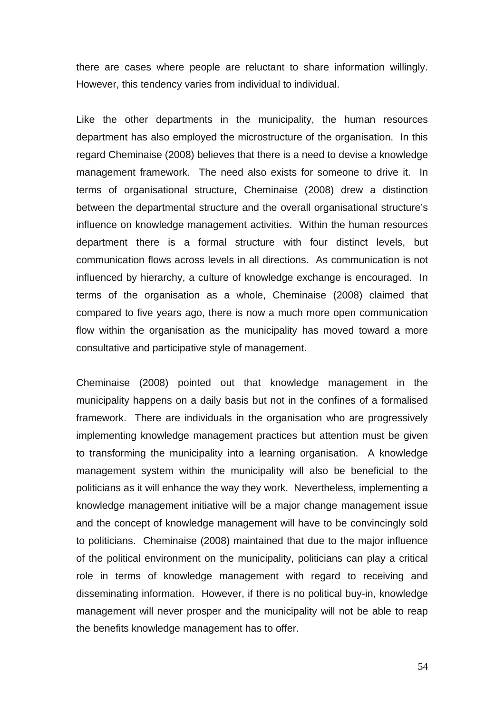there are cases where people are reluctant to share information willingly. However, this tendency varies from individual to individual.

Like the other departments in the municipality, the human resources department has also employed the microstructure of the organisation. In this regard Cheminaise (2008) believes that there is a need to devise a knowledge management framework. The need also exists for someone to drive it. In terms of organisational structure, Cheminaise (2008) drew a distinction between the departmental structure and the overall organisational structure's influence on knowledge management activities. Within the human resources department there is a formal structure with four distinct levels, but communication flows across levels in all directions. As communication is not influenced by hierarchy, a culture of knowledge exchange is encouraged. In terms of the organisation as a whole, Cheminaise (2008) claimed that compared to five years ago, there is now a much more open communication flow within the organisation as the municipality has moved toward a more consultative and participative style of management.

Cheminaise (2008) pointed out that knowledge management in the municipality happens on a daily basis but not in the confines of a formalised framework. There are individuals in the organisation who are progressively implementing knowledge management practices but attention must be given to transforming the municipality into a learning organisation. A knowledge management system within the municipality will also be beneficial to the politicians as it will enhance the way they work. Nevertheless, implementing a knowledge management initiative will be a major change management issue and the concept of knowledge management will have to be convincingly sold to politicians. Cheminaise (2008) maintained that due to the major influence of the political environment on the municipality, politicians can play a critical role in terms of knowledge management with regard to receiving and disseminating information. However, if there is no political buy-in, knowledge management will never prosper and the municipality will not be able to reap the benefits knowledge management has to offer.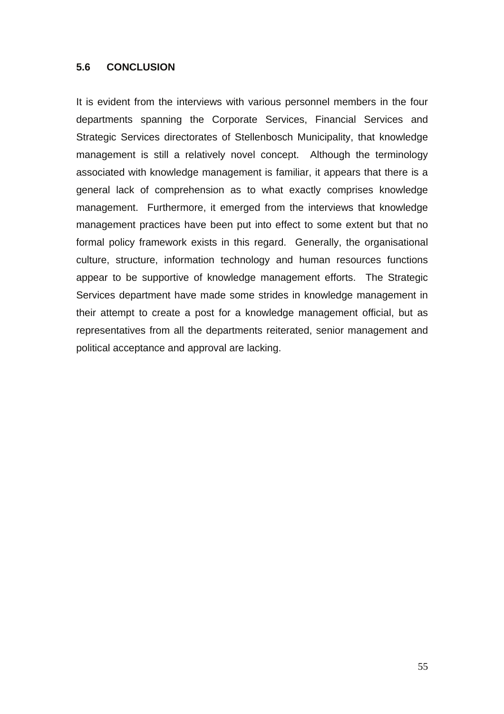## **5.6 CONCLUSION**

It is evident from the interviews with various personnel members in the four departments spanning the Corporate Services, Financial Services and Strategic Services directorates of Stellenbosch Municipality, that knowledge management is still a relatively novel concept. Although the terminology associated with knowledge management is familiar, it appears that there is a general lack of comprehension as to what exactly comprises knowledge management. Furthermore, it emerged from the interviews that knowledge management practices have been put into effect to some extent but that no formal policy framework exists in this regard. Generally, the organisational culture, structure, information technology and human resources functions appear to be supportive of knowledge management efforts. The Strategic Services department have made some strides in knowledge management in their attempt to create a post for a knowledge management official, but as representatives from all the departments reiterated, senior management and political acceptance and approval are lacking.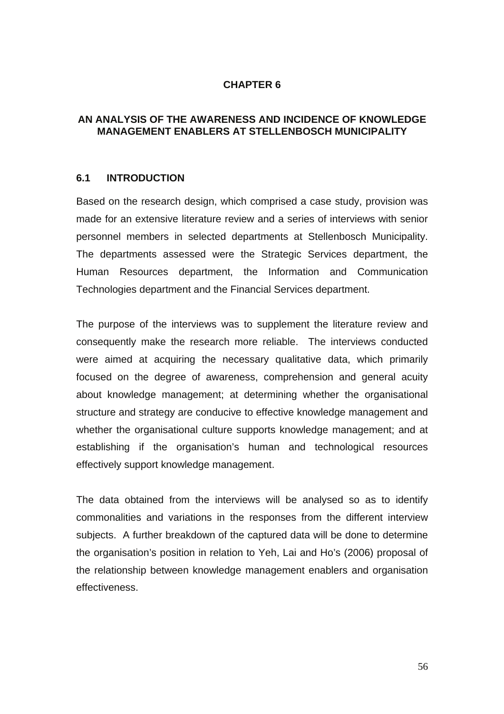## **CHAPTER 6**

## **AN ANALYSIS OF THE AWARENESS AND INCIDENCE OF KNOWLEDGE MANAGEMENT ENABLERS AT STELLENBOSCH MUNICIPALITY**

#### **6.1 INTRODUCTION**

Based on the research design, which comprised a case study, provision was made for an extensive literature review and a series of interviews with senior personnel members in selected departments at Stellenbosch Municipality. The departments assessed were the Strategic Services department, the Human Resources department, the Information and Communication Technologies department and the Financial Services department.

The purpose of the interviews was to supplement the literature review and consequently make the research more reliable. The interviews conducted were aimed at acquiring the necessary qualitative data, which primarily focused on the degree of awareness, comprehension and general acuity about knowledge management; at determining whether the organisational structure and strategy are conducive to effective knowledge management and whether the organisational culture supports knowledge management; and at establishing if the organisation's human and technological resources effectively support knowledge management.

The data obtained from the interviews will be analysed so as to identify commonalities and variations in the responses from the different interview subjects. A further breakdown of the captured data will be done to determine the organisation's position in relation to Yeh, Lai and Ho's (2006) proposal of the relationship between knowledge management enablers and organisation effectiveness.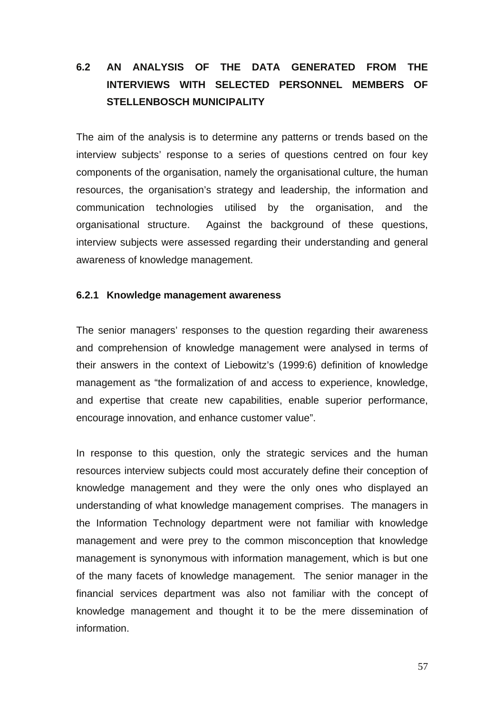# **6.2 AN ANALYSIS OF THE DATA GENERATED FROM THE INTERVIEWS WITH SELECTED PERSONNEL MEMBERS OF STELLENBOSCH MUNICIPALITY**

The aim of the analysis is to determine any patterns or trends based on the interview subjects' response to a series of questions centred on four key components of the organisation, namely the organisational culture, the human resources, the organisation's strategy and leadership, the information and communication technologies utilised by the organisation, and the organisational structure. Against the background of these questions, interview subjects were assessed regarding their understanding and general awareness of knowledge management.

#### **6.2.1 Knowledge management awareness**

The senior managers' responses to the question regarding their awareness and comprehension of knowledge management were analysed in terms of their answers in the context of Liebowitz's (1999:6) definition of knowledge management as "the formalization of and access to experience, knowledge, and expertise that create new capabilities, enable superior performance, encourage innovation, and enhance customer value".

In response to this question, only the strategic services and the human resources interview subjects could most accurately define their conception of knowledge management and they were the only ones who displayed an understanding of what knowledge management comprises. The managers in the Information Technology department were not familiar with knowledge management and were prey to the common misconception that knowledge management is synonymous with information management, which is but one of the many facets of knowledge management. The senior manager in the financial services department was also not familiar with the concept of knowledge management and thought it to be the mere dissemination of information.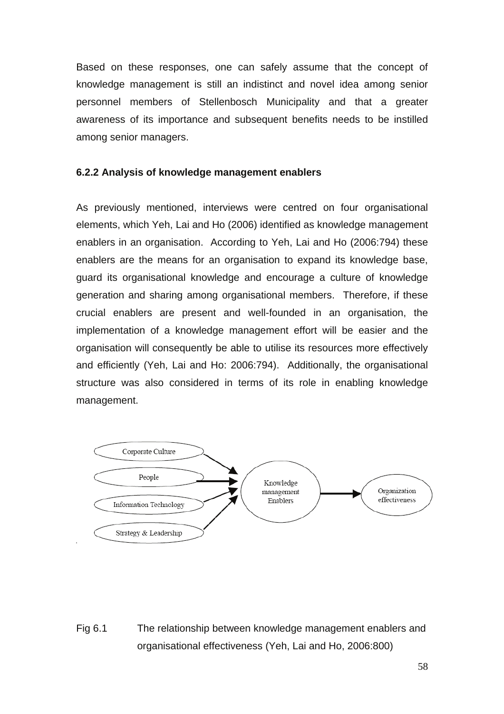Based on these responses, one can safely assume that the concept of knowledge management is still an indistinct and novel idea among senior personnel members of Stellenbosch Municipality and that a greater awareness of its importance and subsequent benefits needs to be instilled among senior managers.

## **6.2.2 Analysis of knowledge management enablers**

As previously mentioned, interviews were centred on four organisational elements, which Yeh, Lai and Ho (2006) identified as knowledge management enablers in an organisation. According to Yeh, Lai and Ho (2006:794) these enablers are the means for an organisation to expand its knowledge base, guard its organisational knowledge and encourage a culture of knowledge generation and sharing among organisational members. Therefore, if these crucial enablers are present and well-founded in an organisation, the implementation of a knowledge management effort will be easier and the organisation will consequently be able to utilise its resources more effectively and efficiently (Yeh, Lai and Ho: 2006:794). Additionally, the organisational structure was also considered in terms of its role in enabling knowledge management.



Fig 6.1 The relationship between knowledge management enablers and organisational effectiveness (Yeh, Lai and Ho, 2006:800)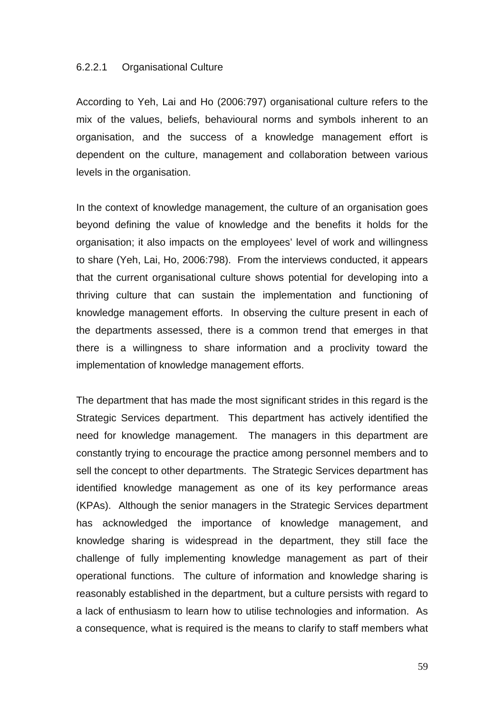#### 6.2.2.1 Organisational Culture

According to Yeh, Lai and Ho (2006:797) organisational culture refers to the mix of the values, beliefs, behavioural norms and symbols inherent to an organisation, and the success of a knowledge management effort is dependent on the culture, management and collaboration between various levels in the organisation.

In the context of knowledge management, the culture of an organisation goes beyond defining the value of knowledge and the benefits it holds for the organisation; it also impacts on the employees' level of work and willingness to share (Yeh, Lai, Ho, 2006:798). From the interviews conducted, it appears that the current organisational culture shows potential for developing into a thriving culture that can sustain the implementation and functioning of knowledge management efforts. In observing the culture present in each of the departments assessed, there is a common trend that emerges in that there is a willingness to share information and a proclivity toward the implementation of knowledge management efforts.

The department that has made the most significant strides in this regard is the Strategic Services department. This department has actively identified the need for knowledge management. The managers in this department are constantly trying to encourage the practice among personnel members and to sell the concept to other departments. The Strategic Services department has identified knowledge management as one of its key performance areas (KPAs). Although the senior managers in the Strategic Services department has acknowledged the importance of knowledge management, and knowledge sharing is widespread in the department, they still face the challenge of fully implementing knowledge management as part of their operational functions. The culture of information and knowledge sharing is reasonably established in the department, but a culture persists with regard to a lack of enthusiasm to learn how to utilise technologies and information. As a consequence, what is required is the means to clarify to staff members what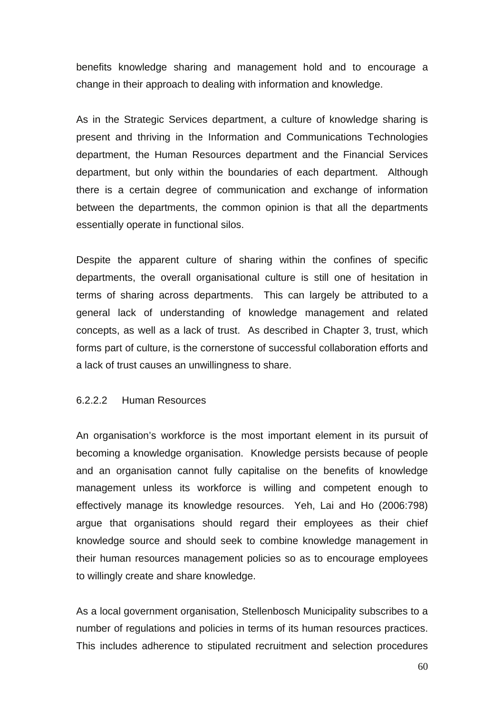benefits knowledge sharing and management hold and to encourage a change in their approach to dealing with information and knowledge.

As in the Strategic Services department, a culture of knowledge sharing is present and thriving in the Information and Communications Technologies department, the Human Resources department and the Financial Services department, but only within the boundaries of each department. Although there is a certain degree of communication and exchange of information between the departments, the common opinion is that all the departments essentially operate in functional silos.

Despite the apparent culture of sharing within the confines of specific departments, the overall organisational culture is still one of hesitation in terms of sharing across departments. This can largely be attributed to a general lack of understanding of knowledge management and related concepts, as well as a lack of trust. As described in Chapter 3, trust, which forms part of culture, is the cornerstone of successful collaboration efforts and a lack of trust causes an unwillingness to share.

#### 6.2.2.2 Human Resources

An organisation's workforce is the most important element in its pursuit of becoming a knowledge organisation. Knowledge persists because of people and an organisation cannot fully capitalise on the benefits of knowledge management unless its workforce is willing and competent enough to effectively manage its knowledge resources. Yeh, Lai and Ho (2006:798) argue that organisations should regard their employees as their chief knowledge source and should seek to combine knowledge management in their human resources management policies so as to encourage employees to willingly create and share knowledge.

As a local government organisation, Stellenbosch Municipality subscribes to a number of regulations and policies in terms of its human resources practices. This includes adherence to stipulated recruitment and selection procedures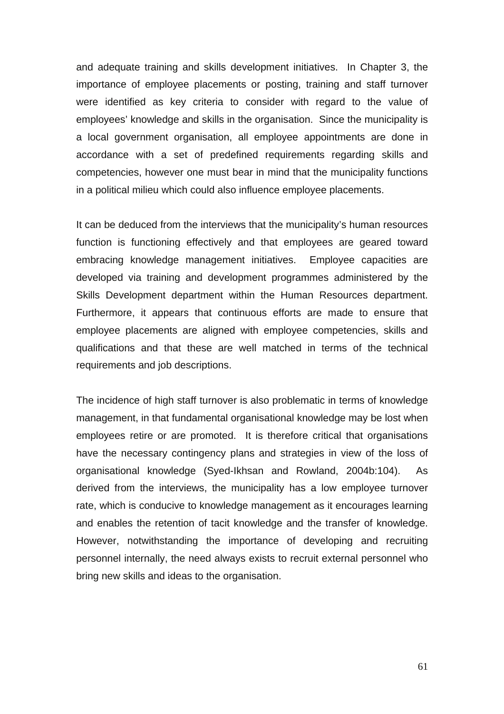and adequate training and skills development initiatives. In Chapter 3, the importance of employee placements or posting, training and staff turnover were identified as key criteria to consider with regard to the value of employees' knowledge and skills in the organisation. Since the municipality is a local government organisation, all employee appointments are done in accordance with a set of predefined requirements regarding skills and competencies, however one must bear in mind that the municipality functions in a political milieu which could also influence employee placements.

It can be deduced from the interviews that the municipality's human resources function is functioning effectively and that employees are geared toward embracing knowledge management initiatives. Employee capacities are developed via training and development programmes administered by the Skills Development department within the Human Resources department. Furthermore, it appears that continuous efforts are made to ensure that employee placements are aligned with employee competencies, skills and qualifications and that these are well matched in terms of the technical requirements and job descriptions.

The incidence of high staff turnover is also problematic in terms of knowledge management, in that fundamental organisational knowledge may be lost when employees retire or are promoted. It is therefore critical that organisations have the necessary contingency plans and strategies in view of the loss of organisational knowledge (Syed-Ikhsan and Rowland, 2004b:104). As derived from the interviews, the municipality has a low employee turnover rate, which is conducive to knowledge management as it encourages learning and enables the retention of tacit knowledge and the transfer of knowledge. However, notwithstanding the importance of developing and recruiting personnel internally, the need always exists to recruit external personnel who bring new skills and ideas to the organisation.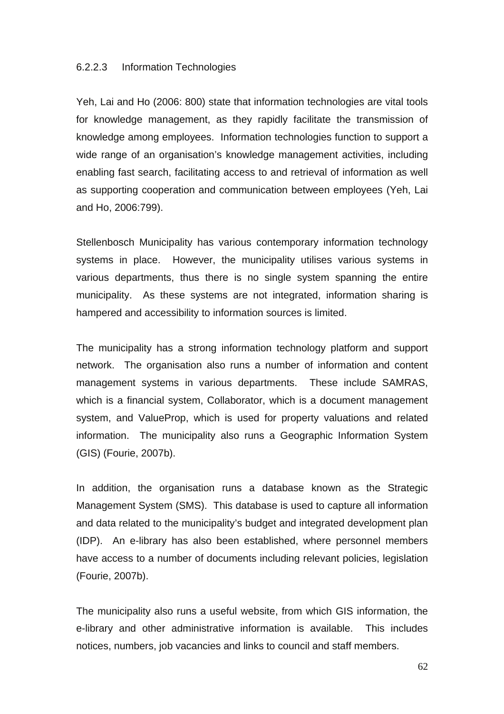#### 6.2.2.3 Information Technologies

Yeh, Lai and Ho (2006: 800) state that information technologies are vital tools for knowledge management, as they rapidly facilitate the transmission of knowledge among employees. Information technologies function to support a wide range of an organisation's knowledge management activities, including enabling fast search, facilitating access to and retrieval of information as well as supporting cooperation and communication between employees (Yeh, Lai and Ho, 2006:799).

Stellenbosch Municipality has various contemporary information technology systems in place. However, the municipality utilises various systems in various departments, thus there is no single system spanning the entire municipality. As these systems are not integrated, information sharing is hampered and accessibility to information sources is limited.

The municipality has a strong information technology platform and support network. The organisation also runs a number of information and content management systems in various departments. These include SAMRAS, which is a financial system, Collaborator, which is a document management system, and ValueProp, which is used for property valuations and related information. The municipality also runs a Geographic Information System (GIS) (Fourie, 2007b).

In addition, the organisation runs a database known as the Strategic Management System (SMS). This database is used to capture all information and data related to the municipality's budget and integrated development plan (IDP). An e-library has also been established, where personnel members have access to a number of documents including relevant policies, legislation (Fourie, 2007b).

The municipality also runs a useful website, from which GIS information, the e-library and other administrative information is available. This includes notices, numbers, job vacancies and links to council and staff members.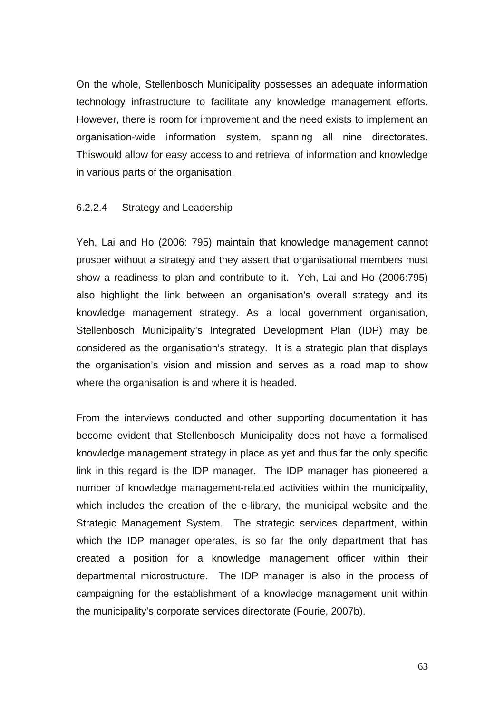On the whole, Stellenbosch Municipality possesses an adequate information technology infrastructure to facilitate any knowledge management efforts. However, there is room for improvement and the need exists to implement an organisation-wide information system, spanning all nine directorates. Thiswould allow for easy access to and retrieval of information and knowledge in various parts of the organisation.

#### 6.2.2.4 Strategy and Leadership

Yeh, Lai and Ho (2006: 795) maintain that knowledge management cannot prosper without a strategy and they assert that organisational members must show a readiness to plan and contribute to it. Yeh, Lai and Ho (2006:795) also highlight the link between an organisation's overall strategy and its knowledge management strategy. As a local government organisation, Stellenbosch Municipality's Integrated Development Plan (IDP) may be considered as the organisation's strategy. It is a strategic plan that displays the organisation's vision and mission and serves as a road map to show where the organisation is and where it is headed.

From the interviews conducted and other supporting documentation it has become evident that Stellenbosch Municipality does not have a formalised knowledge management strategy in place as yet and thus far the only specific link in this regard is the IDP manager. The IDP manager has pioneered a number of knowledge management-related activities within the municipality, which includes the creation of the e-library, the municipal website and the Strategic Management System. The strategic services department, within which the IDP manager operates, is so far the only department that has created a position for a knowledge management officer within their departmental microstructure. The IDP manager is also in the process of campaigning for the establishment of a knowledge management unit within the municipality's corporate services directorate (Fourie, 2007b).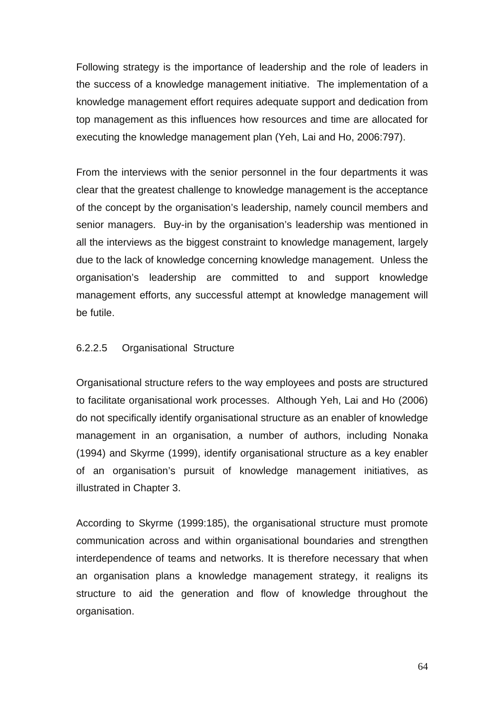Following strategy is the importance of leadership and the role of leaders in the success of a knowledge management initiative. The implementation of a knowledge management effort requires adequate support and dedication from top management as this influences how resources and time are allocated for executing the knowledge management plan (Yeh, Lai and Ho, 2006:797).

From the interviews with the senior personnel in the four departments it was clear that the greatest challenge to knowledge management is the acceptance of the concept by the organisation's leadership, namely council members and senior managers. Buy-in by the organisation's leadership was mentioned in all the interviews as the biggest constraint to knowledge management, largely due to the lack of knowledge concerning knowledge management. Unless the organisation's leadership are committed to and support knowledge management efforts, any successful attempt at knowledge management will be futile.

#### 6.2.2.5 Organisational Structure

Organisational structure refers to the way employees and posts are structured to facilitate organisational work processes. Although Yeh, Lai and Ho (2006) do not specifically identify organisational structure as an enabler of knowledge management in an organisation, a number of authors, including Nonaka (1994) and Skyrme (1999), identify organisational structure as a key enabler of an organisation's pursuit of knowledge management initiatives, as illustrated in Chapter 3.

According to Skyrme (1999:185), the organisational structure must promote communication across and within organisational boundaries and strengthen interdependence of teams and networks. It is therefore necessary that when an organisation plans a knowledge management strategy, it realigns its structure to aid the generation and flow of knowledge throughout the organisation.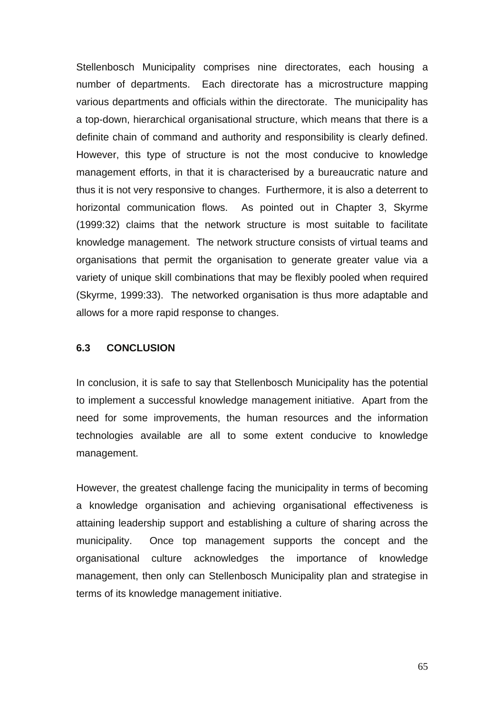Stellenbosch Municipality comprises nine directorates, each housing a number of departments. Each directorate has a microstructure mapping various departments and officials within the directorate. The municipality has a top-down, hierarchical organisational structure, which means that there is a definite chain of command and authority and responsibility is clearly defined. However, this type of structure is not the most conducive to knowledge management efforts, in that it is characterised by a bureaucratic nature and thus it is not very responsive to changes. Furthermore, it is also a deterrent to horizontal communication flows. As pointed out in Chapter 3, Skyrme (1999:32) claims that the network structure is most suitable to facilitate knowledge management. The network structure consists of virtual teams and organisations that permit the organisation to generate greater value via a variety of unique skill combinations that may be flexibly pooled when required (Skyrme, 1999:33). The networked organisation is thus more adaptable and allows for a more rapid response to changes.

#### **6.3 CONCLUSION**

In conclusion, it is safe to say that Stellenbosch Municipality has the potential to implement a successful knowledge management initiative. Apart from the need for some improvements, the human resources and the information technologies available are all to some extent conducive to knowledge management.

However, the greatest challenge facing the municipality in terms of becoming a knowledge organisation and achieving organisational effectiveness is attaining leadership support and establishing a culture of sharing across the municipality. Once top management supports the concept and the organisational culture acknowledges the importance of knowledge management, then only can Stellenbosch Municipality plan and strategise in terms of its knowledge management initiative.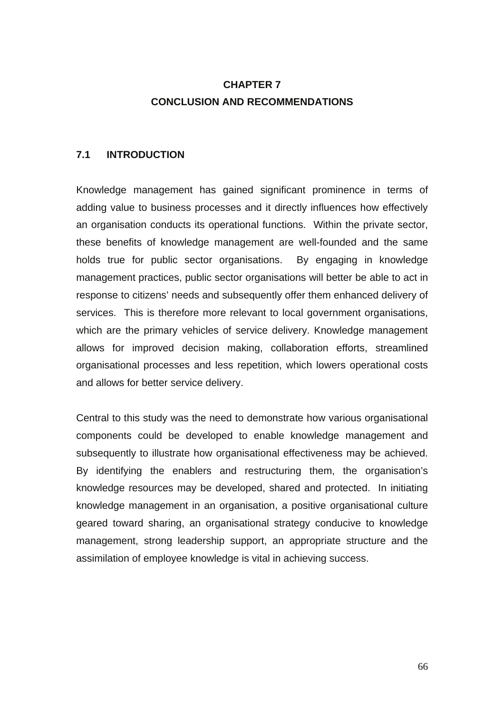# **CHAPTER 7 CONCLUSION AND RECOMMENDATIONS**

#### **7.1 INTRODUCTION**

Knowledge management has gained significant prominence in terms of adding value to business processes and it directly influences how effectively an organisation conducts its operational functions. Within the private sector, these benefits of knowledge management are well-founded and the same holds true for public sector organisations. By engaging in knowledge management practices, public sector organisations will better be able to act in response to citizens' needs and subsequently offer them enhanced delivery of services. This is therefore more relevant to local government organisations, which are the primary vehicles of service delivery. Knowledge management allows for improved decision making, collaboration efforts, streamlined organisational processes and less repetition, which lowers operational costs and allows for better service delivery.

Central to this study was the need to demonstrate how various organisational components could be developed to enable knowledge management and subsequently to illustrate how organisational effectiveness may be achieved. By identifying the enablers and restructuring them, the organisation's knowledge resources may be developed, shared and protected. In initiating knowledge management in an organisation, a positive organisational culture geared toward sharing, an organisational strategy conducive to knowledge management, strong leadership support, an appropriate structure and the assimilation of employee knowledge is vital in achieving success.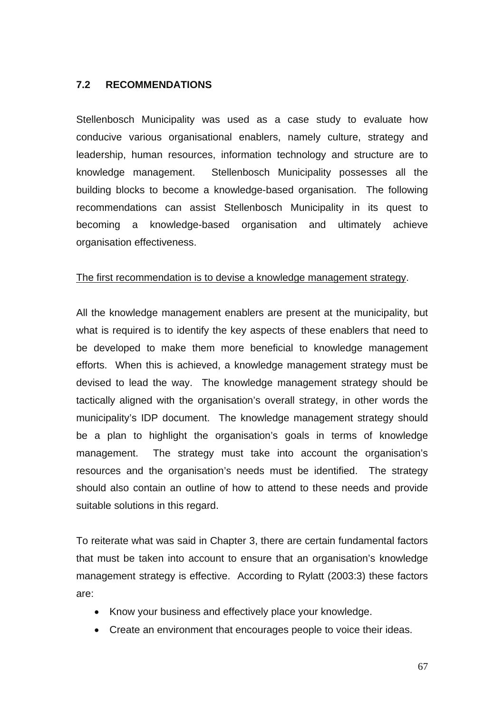### **7.2 RECOMMENDATIONS**

Stellenbosch Municipality was used as a case study to evaluate how conducive various organisational enablers, namely culture, strategy and leadership, human resources, information technology and structure are to knowledge management. Stellenbosch Municipality possesses all the building blocks to become a knowledge-based organisation. The following recommendations can assist Stellenbosch Municipality in its quest to becoming a knowledge-based organisation and ultimately achieve organisation effectiveness.

#### The first recommendation is to devise a knowledge management strategy.

All the knowledge management enablers are present at the municipality, but what is required is to identify the key aspects of these enablers that need to be developed to make them more beneficial to knowledge management efforts. When this is achieved, a knowledge management strategy must be devised to lead the way. The knowledge management strategy should be tactically aligned with the organisation's overall strategy, in other words the municipality's IDP document. The knowledge management strategy should be a plan to highlight the organisation's goals in terms of knowledge management. The strategy must take into account the organisation's resources and the organisation's needs must be identified. The strategy should also contain an outline of how to attend to these needs and provide suitable solutions in this regard.

To reiterate what was said in Chapter 3, there are certain fundamental factors that must be taken into account to ensure that an organisation's knowledge management strategy is effective. According to Rylatt (2003:3) these factors are:

- Know your business and effectively place your knowledge.
- Create an environment that encourages people to voice their ideas.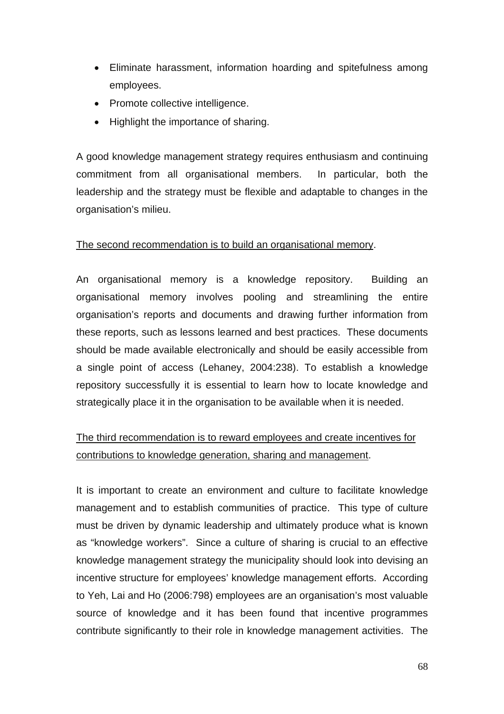- Eliminate harassment, information hoarding and spitefulness among employees.
- Promote collective intelligence.
- Highlight the importance of sharing.

A good knowledge management strategy requires enthusiasm and continuing commitment from all organisational members. In particular, both the leadership and the strategy must be flexible and adaptable to changes in the organisation's milieu.

### The second recommendation is to build an organisational memory.

An organisational memory is a knowledge repository. Building an organisational memory involves pooling and streamlining the entire organisation's reports and documents and drawing further information from these reports, such as lessons learned and best practices. These documents should be made available electronically and should be easily accessible from a single point of access (Lehaney, 2004:238). To establish a knowledge repository successfully it is essential to learn how to locate knowledge and strategically place it in the organisation to be available when it is needed.

# The third recommendation is to reward employees and create incentives for contributions to knowledge generation, sharing and management.

It is important to create an environment and culture to facilitate knowledge management and to establish communities of practice. This type of culture must be driven by dynamic leadership and ultimately produce what is known as "knowledge workers". Since a culture of sharing is crucial to an effective knowledge management strategy the municipality should look into devising an incentive structure for employees' knowledge management efforts. According to Yeh, Lai and Ho (2006:798) employees are an organisation's most valuable source of knowledge and it has been found that incentive programmes contribute significantly to their role in knowledge management activities. The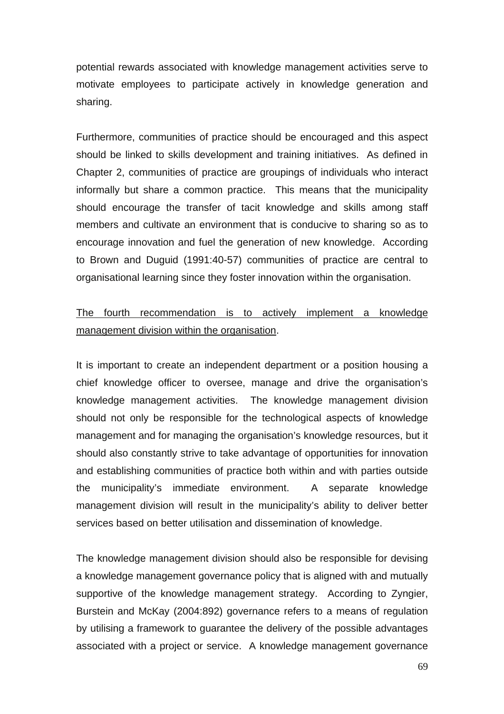potential rewards associated with knowledge management activities serve to motivate employees to participate actively in knowledge generation and sharing.

Furthermore, communities of practice should be encouraged and this aspect should be linked to skills development and training initiatives. As defined in Chapter 2, communities of practice are groupings of individuals who interact informally but share a common practice. This means that the municipality should encourage the transfer of tacit knowledge and skills among staff members and cultivate an environment that is conducive to sharing so as to encourage innovation and fuel the generation of new knowledge. According to Brown and Duguid (1991:40-57) communities of practice are central to organisational learning since they foster innovation within the organisation.

# The fourth recommendation is to actively implement a knowledge management division within the organisation.

It is important to create an independent department or a position housing a chief knowledge officer to oversee, manage and drive the organisation's knowledge management activities. The knowledge management division should not only be responsible for the technological aspects of knowledge management and for managing the organisation's knowledge resources, but it should also constantly strive to take advantage of opportunities for innovation and establishing communities of practice both within and with parties outside the municipality's immediate environment. A separate knowledge management division will result in the municipality's ability to deliver better services based on better utilisation and dissemination of knowledge.

The knowledge management division should also be responsible for devising a knowledge management governance policy that is aligned with and mutually supportive of the knowledge management strategy. According to Zyngier, Burstein and McKay (2004:892) governance refers to a means of regulation by utilising a framework to guarantee the delivery of the possible advantages associated with a project or service. A knowledge management governance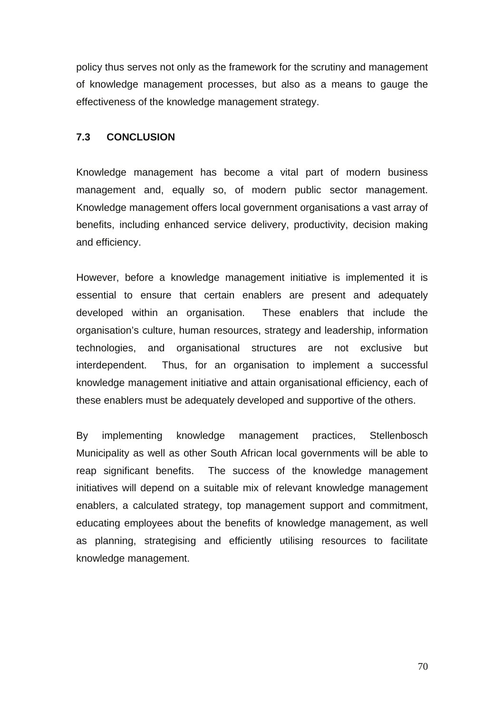policy thus serves not only as the framework for the scrutiny and management of knowledge management processes, but also as a means to gauge the effectiveness of the knowledge management strategy.

#### **7.3 CONCLUSION**

Knowledge management has become a vital part of modern business management and, equally so, of modern public sector management. Knowledge management offers local government organisations a vast array of benefits, including enhanced service delivery, productivity, decision making and efficiency.

However, before a knowledge management initiative is implemented it is essential to ensure that certain enablers are present and adequately developed within an organisation. These enablers that include the organisation's culture, human resources, strategy and leadership, information technologies, and organisational structures are not exclusive but interdependent. Thus, for an organisation to implement a successful knowledge management initiative and attain organisational efficiency, each of these enablers must be adequately developed and supportive of the others.

By implementing knowledge management practices, Stellenbosch Municipality as well as other South African local governments will be able to reap significant benefits. The success of the knowledge management initiatives will depend on a suitable mix of relevant knowledge management enablers, a calculated strategy, top management support and commitment, educating employees about the benefits of knowledge management, as well as planning, strategising and efficiently utilising resources to facilitate knowledge management.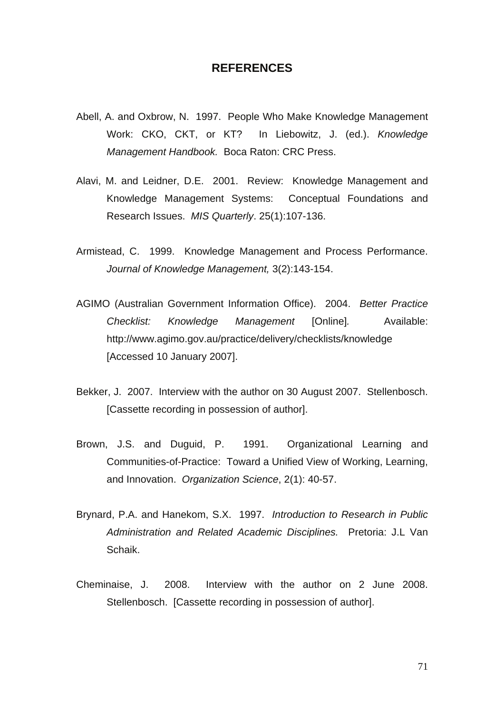#### **REFERENCES**

- Abell, A. and Oxbrow, N. 1997. People Who Make Knowledge Management Work: CKO, CKT, or KT? In Liebowitz, J. (ed.). *Knowledge Management Handbook.* Boca Raton: CRC Press.
- Alavi, M. and Leidner, D.E. 2001. Review: Knowledge Management and Knowledge Management Systems: Conceptual Foundations and Research Issues. *MIS Quarterly*. 25(1):107-136.
- Armistead, C. 1999. Knowledge Management and Process Performance. *Journal of Knowledge Management,* 3(2):143-154.
- AGIMO (Australian Government Information Office). 2004. *Better Practice Checklist: Knowledge Management* [Online]*.* Available: http://www.agimo.gov.au/practice/delivery/checklists/knowledge [Accessed 10 January 2007].
- Bekker, J. 2007. Interview with the author on 30 August 2007. Stellenbosch. [Cassette recording in possession of author].
- Brown, J.S. and Duguid, P. 1991. Organizational Learning and Communities-of-Practice: Toward a Unified View of Working, Learning, and Innovation. *Organization Science*, 2(1): 40-57.
- Brynard, P.A. and Hanekom, S.X. 1997. *Introduction to Research in Public Administration and Related Academic Disciplines.*Pretoria: J.L Van Schaik.
- Cheminaise, J. 2008. Interview with the author on 2 June 2008. Stellenbosch. [Cassette recording in possession of author].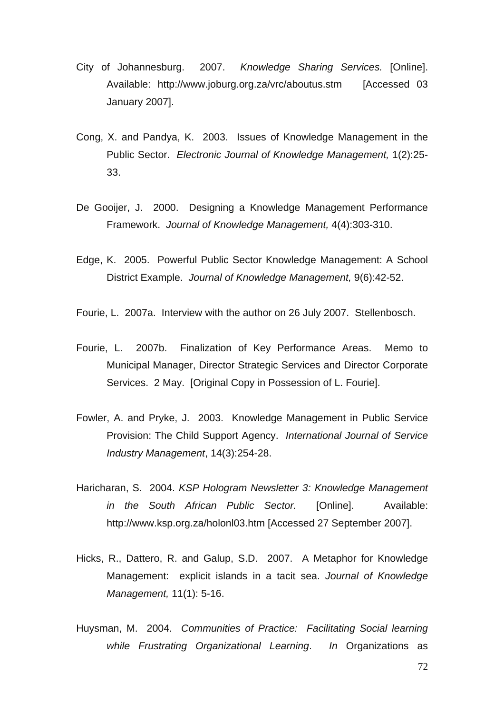- City of Johannesburg. 2007. *Knowledge Sharing Services.* [Online]. Available: http://www.joburg.org.za/vrc/aboutus.stm [Accessed 03 January 2007].
- Cong, X. and Pandya, K. 2003. Issues of Knowledge Management in the Public Sector. *Electronic Journal of Knowledge Management,* 1(2):25- 33.
- De Gooijer, J. 2000. Designing a Knowledge Management Performance Framework.*Journal of Knowledge Management,* 4(4):303-310.
- Edge, K. 2005. Powerful Public Sector Knowledge Management: A School District Example. *Journal of Knowledge Management,* 9(6):42-52.

Fourie, L. 2007a. Interview with the author on 26 July 2007. Stellenbosch.

- Fourie, L. 2007b. Finalization of Key Performance Areas. Memo to Municipal Manager, Director Strategic Services and Director Corporate Services. 2 May. [Original Copy in Possession of L. Fourie].
- Fowler, A. and Pryke, J. 2003. Knowledge Management in Public Service Provision: The Child Support Agency.*International Journal of Service Industry Management*, 14(3):254-28.
- Haricharan, S. 2004. *KSP Hologram Newsletter 3: Knowledge Management in the South African Public Sector.* [Online]. Available: http://www.ksp.org.za/holonl03.htm [Accessed 27 September 2007].
- Hicks, R., Dattero, R. and Galup, S.D. 2007. A Metaphor for Knowledge Management: explicit islands in a tacit sea. *Journal of Knowledge Management,* 11(1): 5-16.
- Huysman, M. 2004. *Communities of Practice: Facilitating Social learning while Frustrating Organizational Learning*. *In* Organizations as

72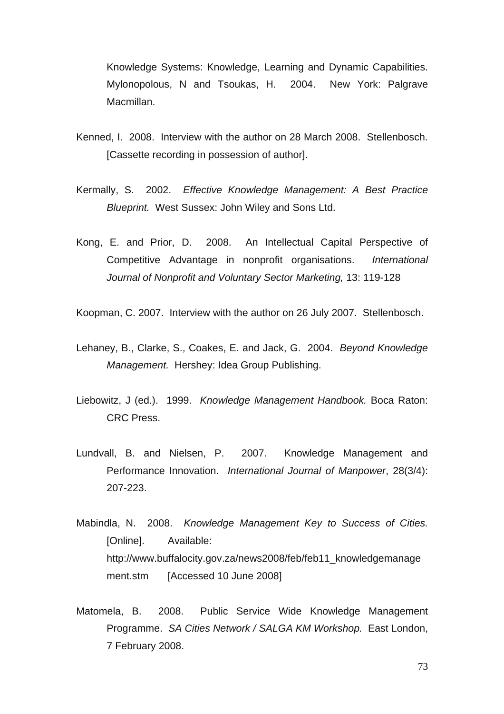Knowledge Systems: Knowledge, Learning and Dynamic Capabilities. Mylonopolous, N and Tsoukas, H. 2004. New York: Palgrave Macmillan.

- Kenned, I. 2008. Interview with the author on 28 March 2008. Stellenbosch. [Cassette recording in possession of author].
- Kermally, S. 2002. *Effective Knowledge Management: A Best Practice Blueprint.* West Sussex: John Wiley and Sons Ltd.
- Kong, E. and Prior, D. 2008. An Intellectual Capital Perspective of Competitive Advantage in nonprofit organisations. *International Journal of Nonprofit and Voluntary Sector Marketing,* 13: 119-128

Koopman, C. 2007. Interview with the author on 26 July 2007. Stellenbosch.

- Lehaney, B., Clarke, S., Coakes, E. and Jack, G. 2004. *Beyond Knowledge Management.* Hershey: Idea Group Publishing.
- Liebowitz, J (ed.). 1999. *Knowledge Management Handbook.* Boca Raton: CRC Press.
- Lundvall, B. and Nielsen, P. 2007. Knowledge Management and Performance Innovation. *International Journal of Manpower*, 28(3/4): 207-223.
- Mabindla, N. 2008. *Knowledge Management Key to Success of Cities.*  [Online]. Available: http://www.buffalocity.gov.za/news2008/feb/feb11\_knowledgemanage ment.stm [Accessed 10 June 2008]
- Matomela, B. 2008. Public Service Wide Knowledge Management Programme. *SA Cities Network / SALGA KM Workshop.* East London, 7 February 2008.

73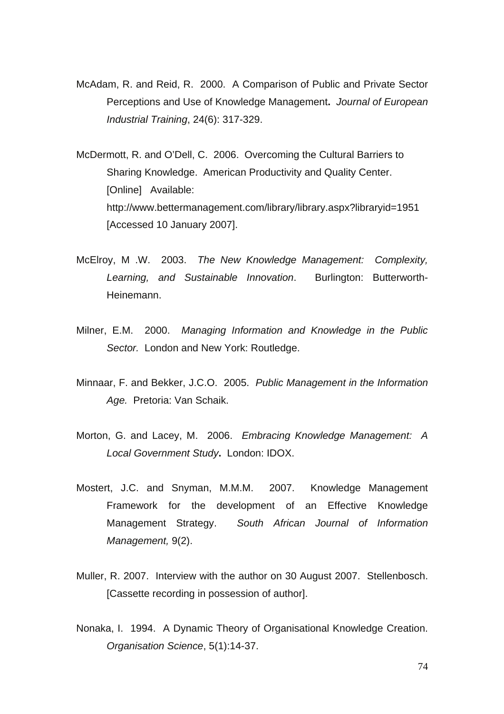- McAdam, R. and Reid, R. 2000. A Comparison of Public and Private Sector Perceptions and Use of Knowledge Management**.** *Journal of European Industrial Training*, 24(6): 317-329.
- McDermott, R. and O'Dell, C. 2006. Overcoming the Cultural Barriers to Sharing Knowledge. American Productivity and Quality Center. [Online] Available: http://www.bettermanagement.com/library/library.aspx?libraryid=1951 [Accessed 10 January 2007].
- McElroy, M .W. 2003. *The New Knowledge Management: Complexity, Learning, and Sustainable Innovation*. Burlington: Butterworth-Heinemann.
- Milner, E.M. 2000. *Managing Information and Knowledge in the Public Sector.* London and New York: Routledge.
- Minnaar, F. and Bekker, J.C.O. 2005. *Public Management in the Information Age.* Pretoria: Van Schaik.
- Morton, G. and Lacey, M. 2006. *Embracing Knowledge Management: A Local Government Study***.** London: IDOX.
- Mostert, J.C. and Snyman, M.M.M. 2007. Knowledge Management Framework for the development of an Effective Knowledge Management Strategy. *South African Journal of Information Management,* 9(2).
- Muller, R. 2007. Interview with the author on 30 August 2007. Stellenbosch. [Cassette recording in possession of author].
- Nonaka, I. 1994. A Dynamic Theory of Organisational Knowledge Creation. *Organisation Science*, 5(1):14-37.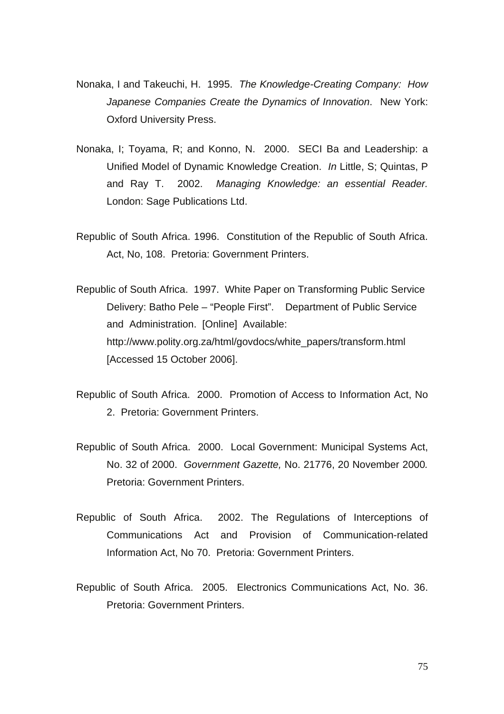- Nonaka, I and Takeuchi, H. 1995. *The Knowledge-Creating Company: How Japanese Companies Create the Dynamics of Innovation*. New York: Oxford University Press.
- Nonaka, I; Toyama, R; and Konno, N. 2000. SECI Ba and Leadership: a Unified Model of Dynamic Knowledge Creation. *In* Little, S; Quintas, P and Ray T. 2002. *Managing Knowledge: an essential Reader.* London: Sage Publications Ltd.
- Republic of South Africa. 1996. Constitution of the Republic of South Africa. Act, No, 108. Pretoria: Government Printers.
- Republic of South Africa. 1997. White Paper on Transforming Public Service Delivery: Batho Pele – "People First". Department of Public Service and Administration. [Online] Available: http://www.polity.org.za/html/govdocs/white\_papers/transform.html [Accessed 15 October 2006].
- Republic of South Africa. 2000. Promotion of Access to Information Act, No 2. Pretoria: Government Printers.
- Republic of South Africa. 2000. Local Government: Municipal Systems Act, No. 32 of 2000. *Government Gazette,* No. 21776, 20 November 2000*.*  Pretoria: Government Printers.
- Republic of South Africa. 2002. The Regulations of Interceptions of Communications Act and Provision of Communication-related Information Act, No 70. Pretoria: Government Printers.
- Republic of South Africa. 2005. Electronics Communications Act, No. 36. Pretoria: Government Printers.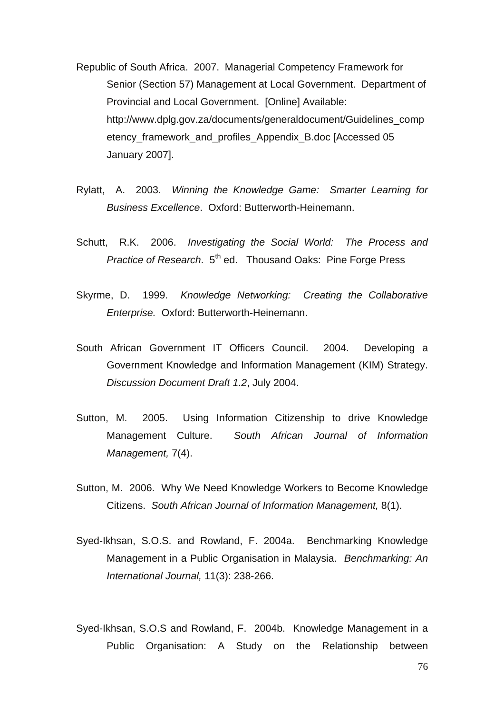- Republic of South Africa. 2007. Managerial Competency Framework for Senior (Section 57) Management at Local Government.Department of Provincial and Local Government. [Online] Available: http://www.dplg.gov.za/documents/generaldocument/Guidelines\_comp etency framework and profiles Appendix B.doc [Accessed 05 January 2007].
- Rylatt, A. 2003. *Winning the Knowledge Game: Smarter Learning for Business Excellence*. Oxford: Butterworth-Heinemann.
- Schutt, R.K. 2006. *Investigating the Social World: The Process and Practice of Research.* 5<sup>th</sup> ed. Thousand Oaks: Pine Forge Press
- Skyrme, D. 1999. *Knowledge Networking: Creating the Collaborative Enterprise.* Oxford: Butterworth-Heinemann.
- South African Government IT Officers Council. 2004. Developing a Government Knowledge and Information Management (KIM) Strategy. *Discussion Document Draft 1.2*, July 2004.
- Sutton, M. 2005. Using Information Citizenship to drive Knowledge Management Culture.*South African Journal of Information Management,* 7(4).
- Sutton, M. 2006. Why We Need Knowledge Workers to Become Knowledge Citizens. *South African Journal of Information Management,* 8(1).
- Syed-Ikhsan, S.O.S. and Rowland, F. 2004a. Benchmarking Knowledge Management in a Public Organisation in Malaysia. *Benchmarking: An International Journal,* 11(3): 238-266.
- Syed-Ikhsan, S.O.S and Rowland, F. 2004b. Knowledge Management in a Public Organisation: A Study on the Relationship between

76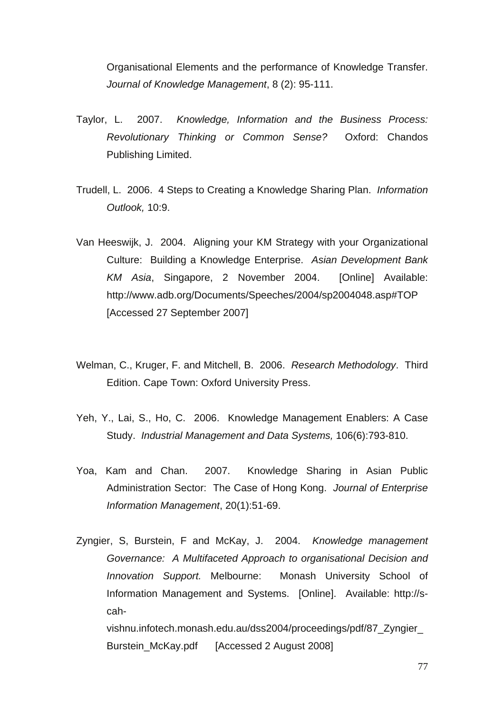Organisational Elements and the performance of Knowledge Transfer. *Journal of Knowledge Management*, 8 (2): 95-111.

- Taylor, L. 2007. *Knowledge, Information and the Business Process: Revolutionary Thinking or Common Sense?* Oxford: Chandos Publishing Limited.
- Trudell, L. 2006. 4 Steps to Creating a Knowledge Sharing Plan. *Information Outlook,* 10:9.
- Van Heeswijk, J. 2004. Aligning your KM Strategy with your Organizational Culture: Building a Knowledge Enterprise.*Asian Development Bank KM Asia*, Singapore, 2 November 2004. [Online] Available: http://www.adb.org/Documents/Speeches/2004/sp2004048.asp#TOP [Accessed 27 September 2007]
- Welman, C., Kruger, F. and Mitchell, B. 2006. *Research Methodology*. Third Edition. Cape Town: Oxford University Press.
- Yeh, Y., Lai, S., Ho, C. 2006. Knowledge Management Enablers: A Case Study. *Industrial Management and Data Systems,* 106(6):793-810.
- Yoa, Kam and Chan. 2007. Knowledge Sharing in Asian Public Administration Sector: The Case of Hong Kong. *Journal of Enterprise Information Management*, 20(1):51-69.
- Zyngier, S, Burstein, F and McKay, J. 2004. *Knowledge management Governance: A Multifaceted Approach to organisational Decision and Innovation Support.* Melbourne: Monash University School of Information Management and Systems. [Online]. Available: http://scah-

vishnu.infotech.monash.edu.au/dss2004/proceedings/pdf/87\_Zyngier\_ Burstein McKay.pdf [Accessed 2 August 2008]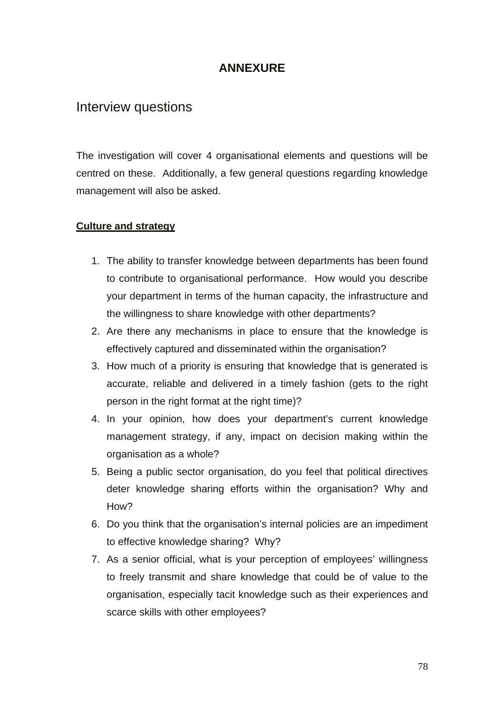## **ANNEXURE**

## Interview questions

The investigation will cover 4 organisational elements and questions will be centred on these. Additionally, a few general questions regarding knowledge management will also be asked.

### **Culture and strategy**

- 1. The ability to transfer knowledge between departments has been found to contribute to organisational performance. How would you describe your department in terms of the human capacity, the infrastructure and the willingness to share knowledge with other departments?
- 2. Are there any mechanisms in place to ensure that the knowledge is effectively captured and disseminated within the organisation?
- 3. How much of a priority is ensuring that knowledge that is generated is accurate, reliable and delivered in a timely fashion (gets to the right person in the right format at the right time)?
- 4. In your opinion, how does your department's current knowledge management strategy, if any, impact on decision making within the organisation as a whole?
- 5. Being a public sector organisation, do you feel that political directives deter knowledge sharing efforts within the organisation? Why and How?
- 6. Do you think that the organisation's internal policies are an impediment to effective knowledge sharing? Why?
- 7. As a senior official, what is your perception of employees' willingness to freely transmit and share knowledge that could be of value to the organisation, especially tacit knowledge such as their experiences and scarce skills with other employees?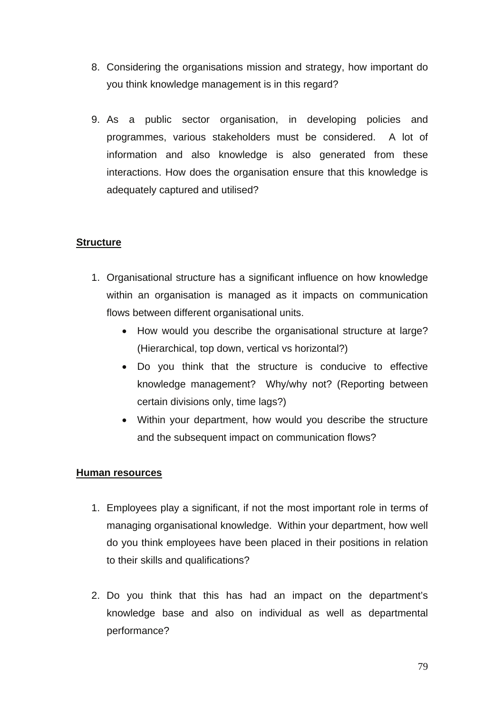- 8. Considering the organisations mission and strategy, how important do you think knowledge management is in this regard?
- 9. As a public sector organisation, in developing policies and programmes, various stakeholders must be considered. A lot of information and also knowledge is also generated from these interactions. How does the organisation ensure that this knowledge is adequately captured and utilised?

### **Structure**

- 1. Organisational structure has a significant influence on how knowledge within an organisation is managed as it impacts on communication flows between different organisational units.
	- How would you describe the organisational structure at large? (Hierarchical, top down, vertical vs horizontal?)
	- Do you think that the structure is conducive to effective knowledge management? Why/why not? (Reporting between certain divisions only, time lags?)
	- Within your department, how would you describe the structure and the subsequent impact on communication flows?

### **Human resources**

- 1. Employees play a significant, if not the most important role in terms of managing organisational knowledge. Within your department, how well do you think employees have been placed in their positions in relation to their skills and qualifications?
- 2. Do you think that this has had an impact on the department's knowledge base and also on individual as well as departmental performance?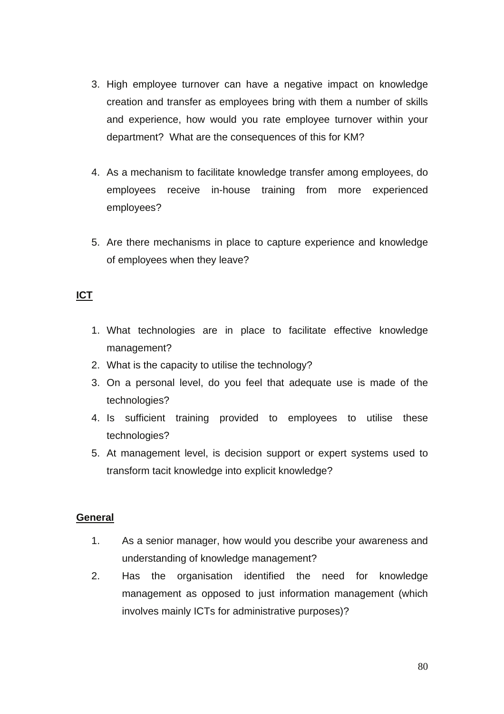- 3. High employee turnover can have a negative impact on knowledge creation and transfer as employees bring with them a number of skills and experience, how would you rate employee turnover within your department? What are the consequences of this for KM?
- 4. As a mechanism to facilitate knowledge transfer among employees, do employees receive in-house training from more experienced employees?
- 5. Are there mechanisms in place to capture experience and knowledge of employees when they leave?

## **ICT**

- 1. What technologies are in place to facilitate effective knowledge management?
- 2. What is the capacity to utilise the technology?
- 3. On a personal level, do you feel that adequate use is made of the technologies?
- 4. Is sufficient training provided to employees to utilise these technologies?
- 5. At management level, is decision support or expert systems used to transform tacit knowledge into explicit knowledge?

#### **General**

- 1. As a senior manager, how would you describe your awareness and understanding of knowledge management?
- 2. Has the organisation identified the need for knowledge management as opposed to just information management (which involves mainly ICTs for administrative purposes)?